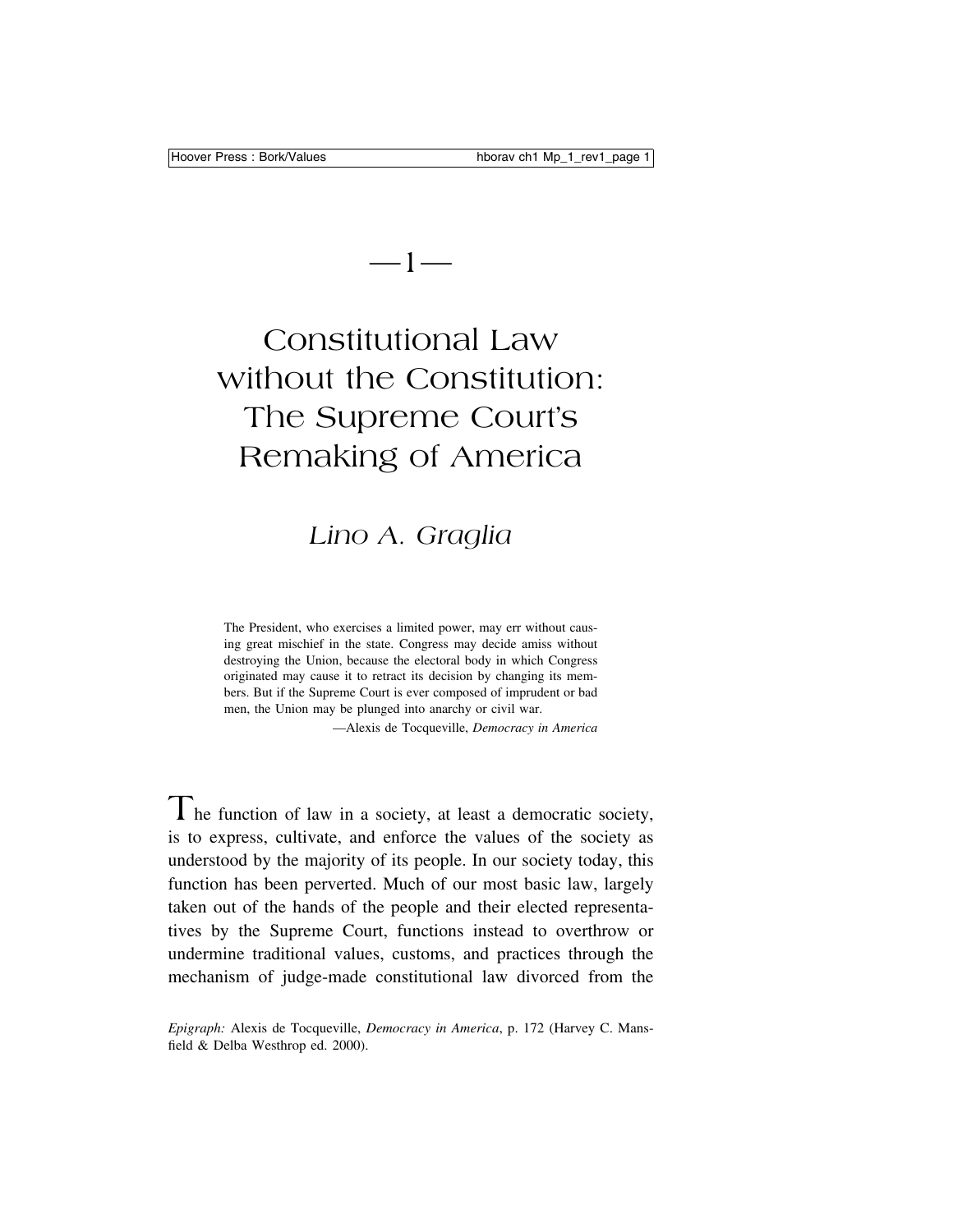—1—

# Constitutional Law without the Constitution: The Supreme Court's Remaking of America

## *Lino A. Graglia*

The President, who exercises a limited power, may err without causing great mischief in the state. Congress may decide amiss without destroying the Union, because the electoral body in which Congress originated may cause it to retract its decision by changing its members. But if the Supreme Court is ever composed of imprudent or bad men, the Union may be plunged into anarchy or civil war.

—Alexis de Tocqueville, *Democracy in America*

The function of law in a society, at least a democratic society, is to express, cultivate, and enforce the values of the society as understood by the majority of its people. In our society today, this function has been perverted. Much of our most basic law, largely taken out of the hands of the people and their elected representatives by the Supreme Court, functions instead to overthrow or undermine traditional values, customs, and practices through the mechanism of judge-made constitutional law divorced from the

*Epigraph:* Alexis de Tocqueville, *Democracy in America*, p. 172 (Harvey C. Mansfield & Delba Westhrop ed. 2000).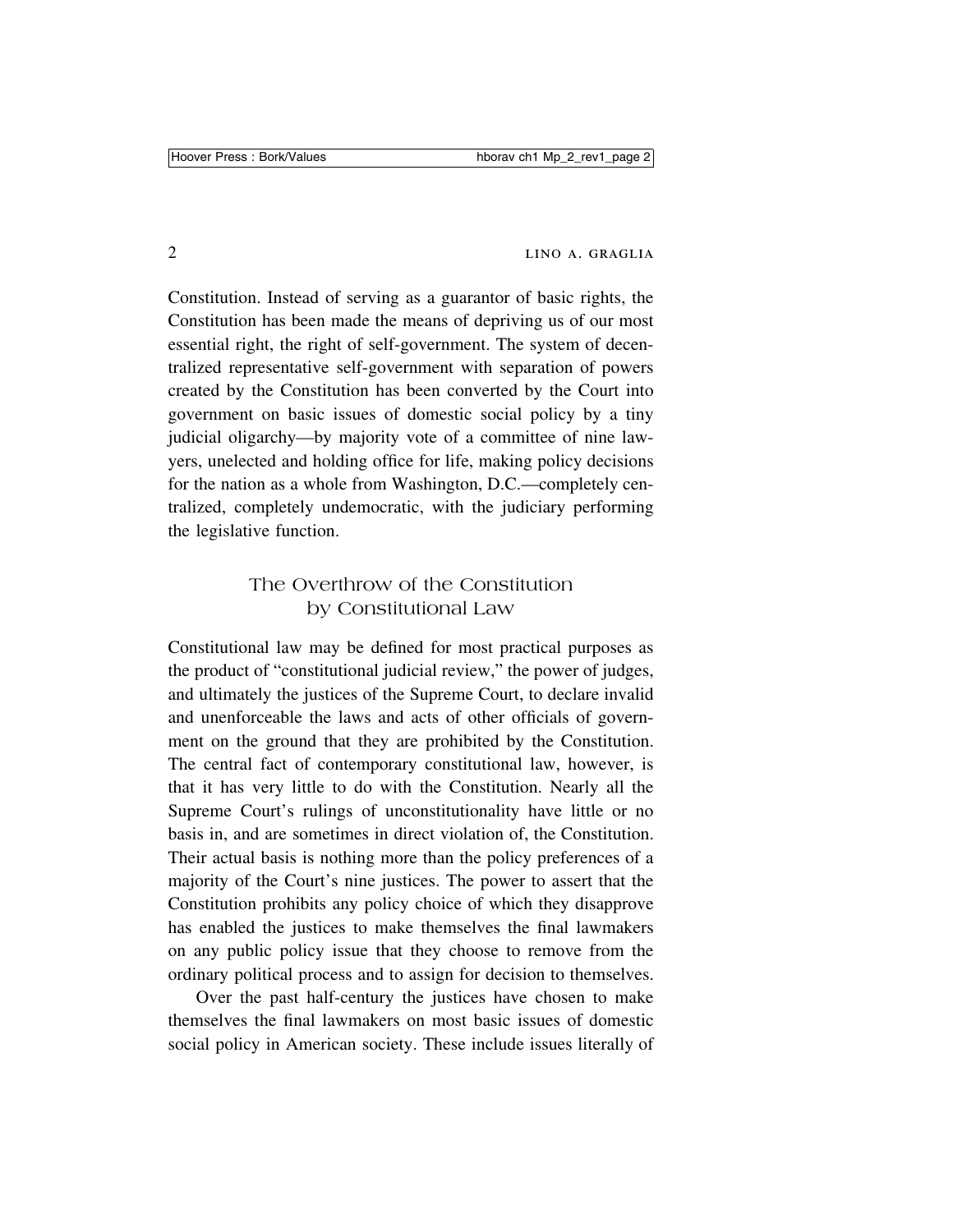Constitution. Instead of serving as a guarantor of basic rights, the Constitution has been made the means of depriving us of our most essential right, the right of self-government. The system of decentralized representative self-government with separation of powers created by the Constitution has been converted by the Court into government on basic issues of domestic social policy by a tiny judicial oligarchy—by majority vote of a committee of nine lawyers, unelected and holding office for life, making policy decisions for the nation as a whole from Washington, D.C.—completely centralized, completely undemocratic, with the judiciary performing the legislative function.

## The Overthrow of the Constitution by Constitutional Law

Constitutional law may be defined for most practical purposes as the product of "constitutional judicial review," the power of judges, and ultimately the justices of the Supreme Court, to declare invalid and unenforceable the laws and acts of other officials of government on the ground that they are prohibited by the Constitution. The central fact of contemporary constitutional law, however, is that it has very little to do with the Constitution. Nearly all the Supreme Court's rulings of unconstitutionality have little or no basis in, and are sometimes in direct violation of, the Constitution. Their actual basis is nothing more than the policy preferences of a majority of the Court's nine justices. The power to assert that the Constitution prohibits any policy choice of which they disapprove has enabled the justices to make themselves the final lawmakers on any public policy issue that they choose to remove from the ordinary political process and to assign for decision to themselves.

Over the past half-century the justices have chosen to make themselves the final lawmakers on most basic issues of domestic social policy in American society. These include issues literally of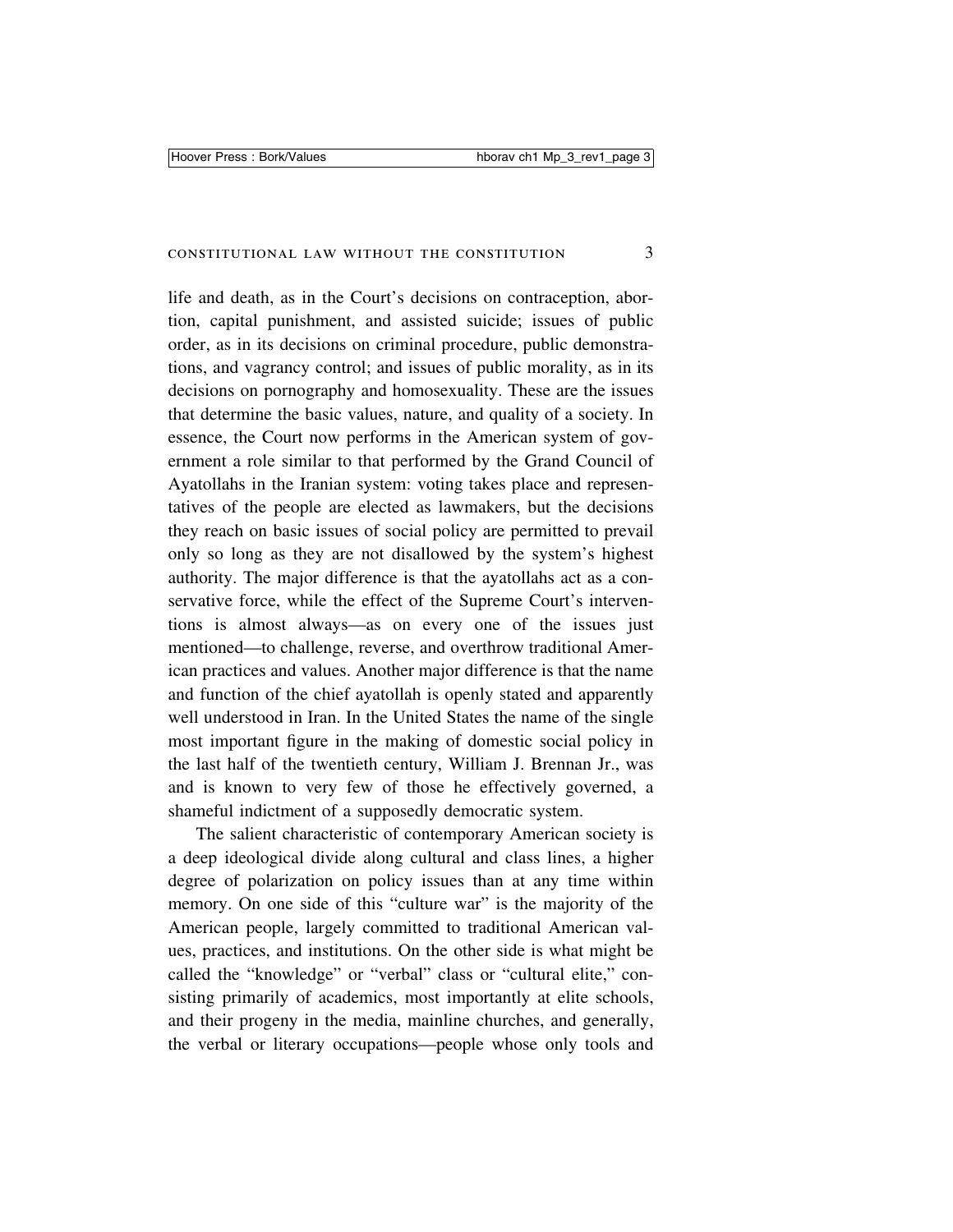life and death, as in the Court's decisions on contraception, abortion, capital punishment, and assisted suicide; issues of public order, as in its decisions on criminal procedure, public demonstrations, and vagrancy control; and issues of public morality, as in its decisions on pornography and homosexuality. These are the issues that determine the basic values, nature, and quality of a society. In essence, the Court now performs in the American system of government a role similar to that performed by the Grand Council of Ayatollahs in the Iranian system: voting takes place and representatives of the people are elected as lawmakers, but the decisions they reach on basic issues of social policy are permitted to prevail only so long as they are not disallowed by the system's highest authority. The major difference is that the ayatollahs act as a conservative force, while the effect of the Supreme Court's interventions is almost always—as on every one of the issues just mentioned—to challenge, reverse, and overthrow traditional American practices and values. Another major difference is that the name and function of the chief ayatollah is openly stated and apparently well understood in Iran. In the United States the name of the single most important figure in the making of domestic social policy in the last half of the twentieth century, William J. Brennan Jr., was and is known to very few of those he effectively governed, a shameful indictment of a supposedly democratic system.

The salient characteristic of contemporary American society is a deep ideological divide along cultural and class lines, a higher degree of polarization on policy issues than at any time within memory. On one side of this "culture war" is the majority of the American people, largely committed to traditional American values, practices, and institutions. On the other side is what might be called the "knowledge" or "verbal" class or "cultural elite," consisting primarily of academics, most importantly at elite schools, and their progeny in the media, mainline churches, and generally, the verbal or literary occupations—people whose only tools and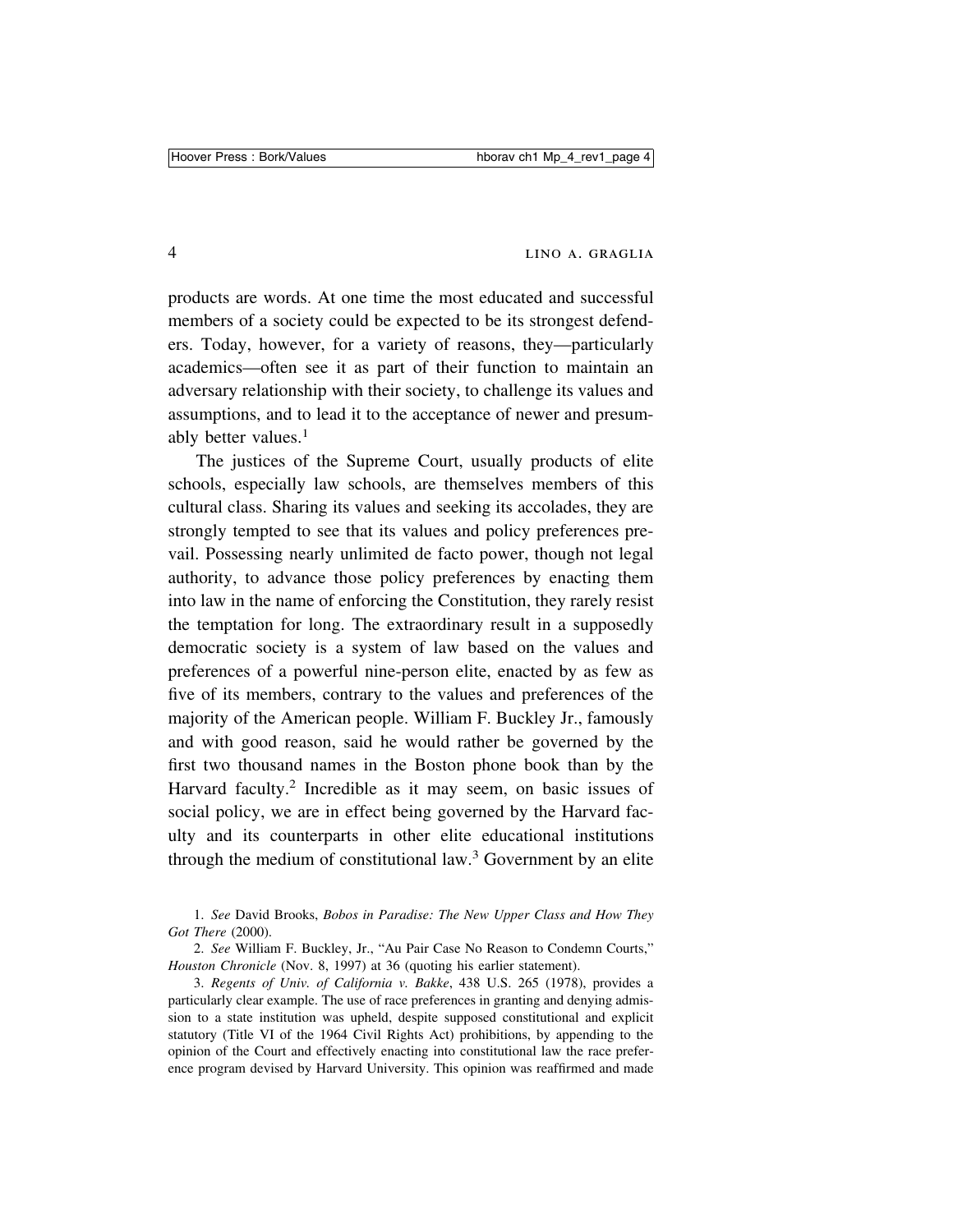products are words. At one time the most educated and successful members of a society could be expected to be its strongest defenders. Today, however, for a variety of reasons, they—particularly academics—often see it as part of their function to maintain an adversary relationship with their society, to challenge its values and assumptions, and to lead it to the acceptance of newer and presumably better values.<sup>1</sup>

The justices of the Supreme Court, usually products of elite schools, especially law schools, are themselves members of this cultural class. Sharing its values and seeking its accolades, they are strongly tempted to see that its values and policy preferences prevail. Possessing nearly unlimited de facto power, though not legal authority, to advance those policy preferences by enacting them into law in the name of enforcing the Constitution, they rarely resist the temptation for long. The extraordinary result in a supposedly democratic society is a system of law based on the values and preferences of a powerful nine-person elite, enacted by as few as five of its members, contrary to the values and preferences of the majority of the American people. William F. Buckley Jr., famously and with good reason, said he would rather be governed by the first two thousand names in the Boston phone book than by the Harvard faculty.<sup>2</sup> Incredible as it may seem, on basic issues of social policy, we are in effect being governed by the Harvard faculty and its counterparts in other elite educational institutions through the medium of constitutional law.<sup>3</sup> Government by an elite

1. *See* David Brooks, *Bobos in Paradise: The New Upper Class and How They Got There* (2000).

2. *See* William F. Buckley, Jr., "Au Pair Case No Reason to Condemn Courts," *Houston Chronicle* (Nov. 8, 1997) at 36 (quoting his earlier statement).

3. *Regents of Univ. of California v. Bakke*, 438 U.S. 265 (1978), provides a particularly clear example. The use of race preferences in granting and denying admission to a state institution was upheld, despite supposed constitutional and explicit statutory (Title VI of the 1964 Civil Rights Act) prohibitions, by appending to the opinion of the Court and effectively enacting into constitutional law the race preference program devised by Harvard University. This opinion was reaffirmed and made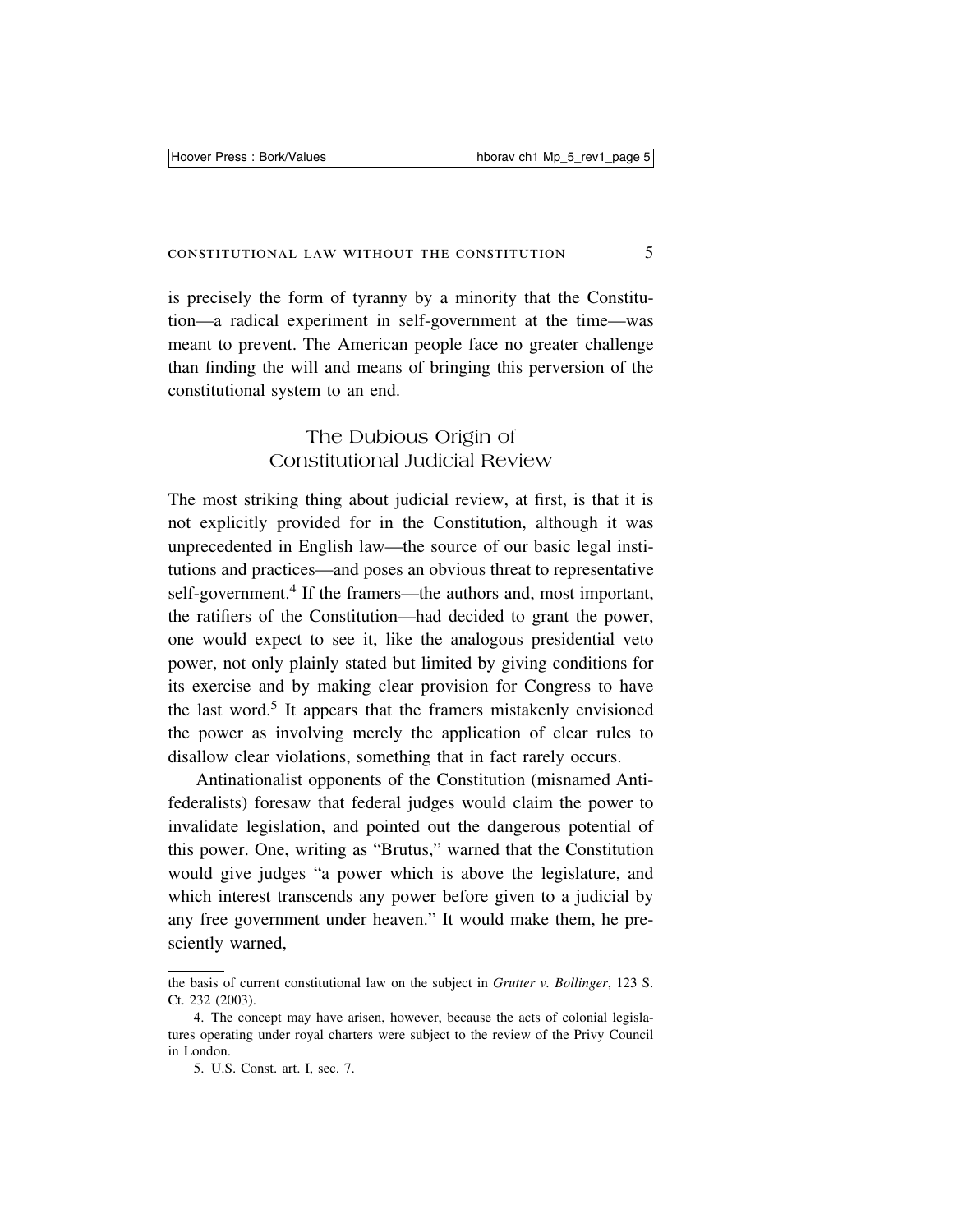is precisely the form of tyranny by a minority that the Constitution—a radical experiment in self-government at the time—was meant to prevent. The American people face no greater challenge than finding the will and means of bringing this perversion of the constitutional system to an end.

## The Dubious Origin of Constitutional Judicial Review

The most striking thing about judicial review, at first, is that it is not explicitly provided for in the Constitution, although it was unprecedented in English law—the source of our basic legal institutions and practices—and poses an obvious threat to representative self-government.<sup>4</sup> If the framers—the authors and, most important, the ratifiers of the Constitution—had decided to grant the power, one would expect to see it, like the analogous presidential veto power, not only plainly stated but limited by giving conditions for its exercise and by making clear provision for Congress to have the last word.5 It appears that the framers mistakenly envisioned the power as involving merely the application of clear rules to disallow clear violations, something that in fact rarely occurs.

Antinationalist opponents of the Constitution (misnamed Antifederalists) foresaw that federal judges would claim the power to invalidate legislation, and pointed out the dangerous potential of this power. One, writing as "Brutus," warned that the Constitution would give judges "a power which is above the legislature, and which interest transcends any power before given to a judicial by any free government under heaven." It would make them, he presciently warned,

the basis of current constitutional law on the subject in *Grutter v. Bollinger*, 123 S. Ct. 232 (2003).

<sup>4.</sup> The concept may have arisen, however, because the acts of colonial legislatures operating under royal charters were subject to the review of the Privy Council in London.

<sup>5.</sup> U.S. Const. art. I, sec. 7.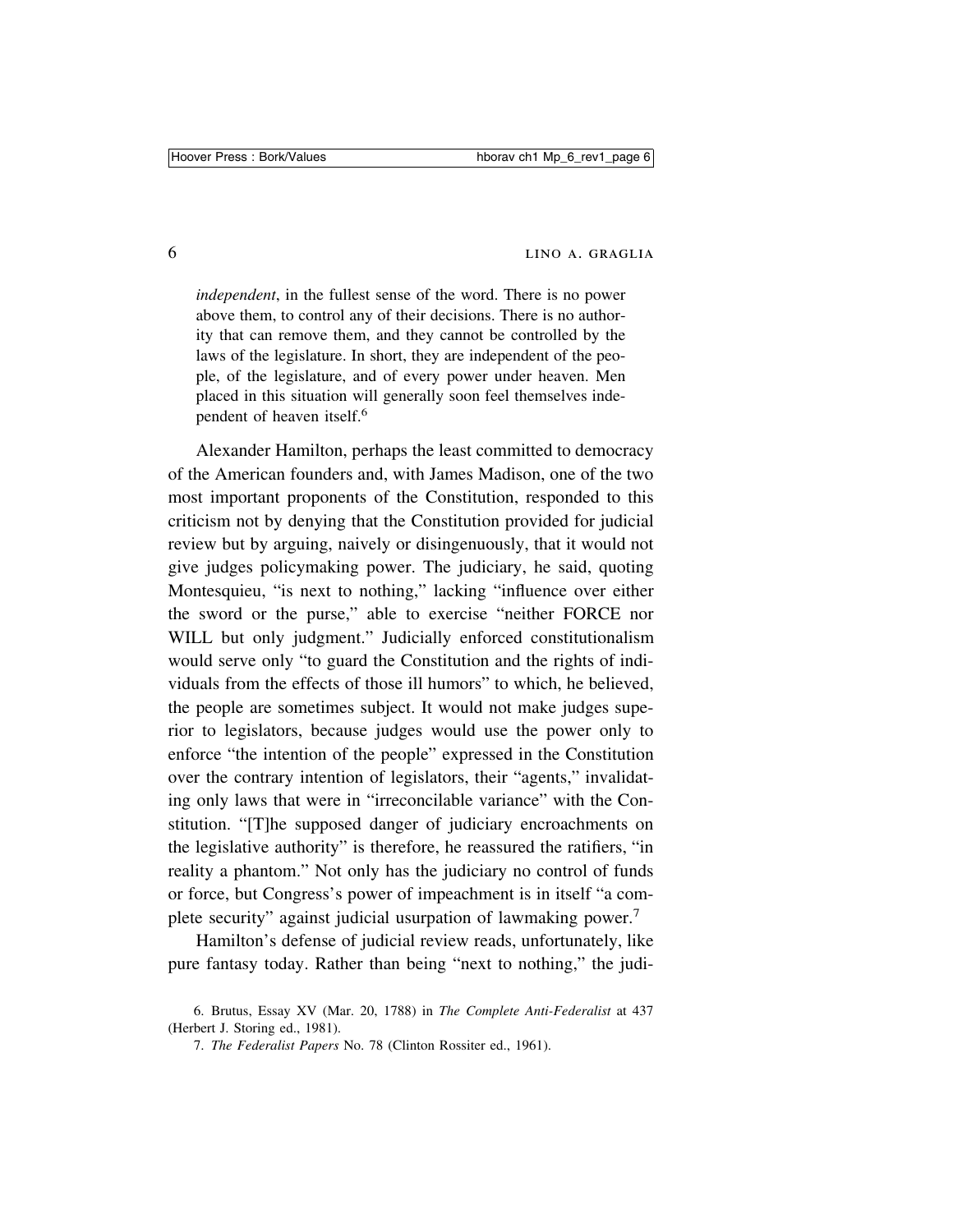6 lino a. GRAGLIA

*independent*, in the fullest sense of the word. There is no power above them, to control any of their decisions. There is no authority that can remove them, and they cannot be controlled by the laws of the legislature. In short, they are independent of the people, of the legislature, and of every power under heaven. Men placed in this situation will generally soon feel themselves independent of heaven itself.6

Alexander Hamilton, perhaps the least committed to democracy of the American founders and, with James Madison, one of the two most important proponents of the Constitution, responded to this criticism not by denying that the Constitution provided for judicial review but by arguing, naively or disingenuously, that it would not give judges policymaking power. The judiciary, he said, quoting Montesquieu, "is next to nothing," lacking "influence over either the sword or the purse," able to exercise "neither FORCE nor WILL but only judgment." Judicially enforced constitutionalism would serve only "to guard the Constitution and the rights of individuals from the effects of those ill humors" to which, he believed, the people are sometimes subject. It would not make judges superior to legislators, because judges would use the power only to enforce "the intention of the people" expressed in the Constitution over the contrary intention of legislators, their "agents," invalidating only laws that were in "irreconcilable variance" with the Constitution. "[T]he supposed danger of judiciary encroachments on the legislative authority" is therefore, he reassured the ratifiers, "in reality a phantom." Not only has the judiciary no control of funds or force, but Congress's power of impeachment is in itself "a complete security" against judicial usurpation of lawmaking power.7

Hamilton's defense of judicial review reads, unfortunately, like pure fantasy today. Rather than being "next to nothing," the judi-

<sup>6.</sup> Brutus, Essay XV (Mar. 20, 1788) in *The Complete Anti-Federalist* at 437 (Herbert J. Storing ed., 1981).

<sup>7.</sup> *The Federalist Papers* No. 78 (Clinton Rossiter ed., 1961).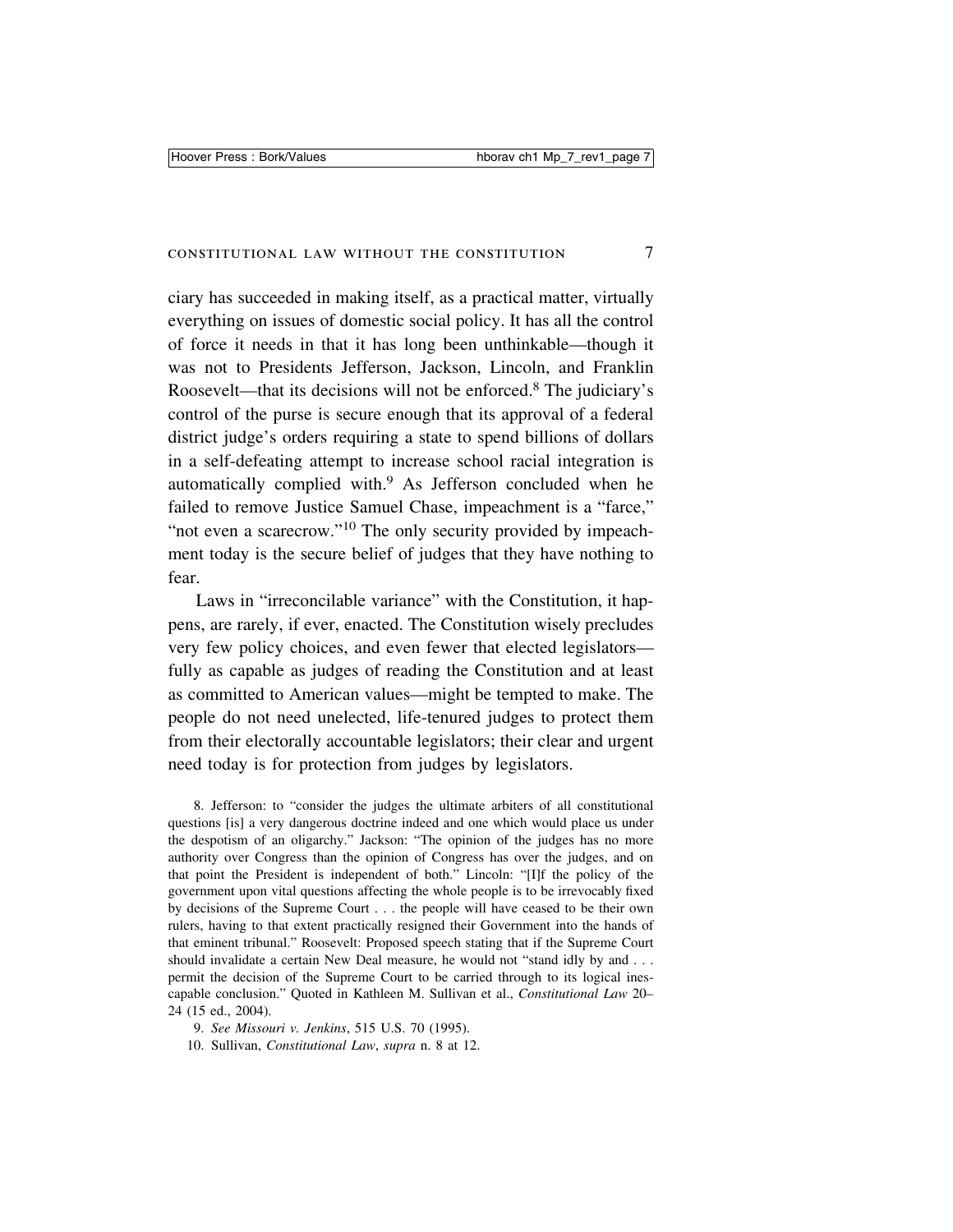ciary has succeeded in making itself, as a practical matter, virtually everything on issues of domestic social policy. It has all the control of force it needs in that it has long been unthinkable—though it was not to Presidents Jefferson, Jackson, Lincoln, and Franklin Roosevelt—that its decisions will not be enforced.8 The judiciary's control of the purse is secure enough that its approval of a federal district judge's orders requiring a state to spend billions of dollars in a self-defeating attempt to increase school racial integration is automatically complied with.<sup>9</sup> As Jefferson concluded when he failed to remove Justice Samuel Chase, impeachment is a "farce," "not even a scarecrow."<sup>10</sup> The only security provided by impeachment today is the secure belief of judges that they have nothing to fear.

Laws in "irreconcilable variance" with the Constitution, it happens, are rarely, if ever, enacted. The Constitution wisely precludes very few policy choices, and even fewer that elected legislators fully as capable as judges of reading the Constitution and at least as committed to American values—might be tempted to make. The people do not need unelected, life-tenured judges to protect them from their electorally accountable legislators; their clear and urgent need today is for protection from judges by legislators.

8. Jefferson: to "consider the judges the ultimate arbiters of all constitutional questions [is] a very dangerous doctrine indeed and one which would place us under the despotism of an oligarchy." Jackson: "The opinion of the judges has no more authority over Congress than the opinion of Congress has over the judges, and on that point the President is independent of both." Lincoln: "[I]f the policy of the government upon vital questions affecting the whole people is to be irrevocably fixed by decisions of the Supreme Court . . . the people will have ceased to be their own rulers, having to that extent practically resigned their Government into the hands of that eminent tribunal." Roosevelt: Proposed speech stating that if the Supreme Court should invalidate a certain New Deal measure, he would not "stand idly by and... permit the decision of the Supreme Court to be carried through to its logical inescapable conclusion." Quoted in Kathleen M. Sullivan et al., *Constitutional Law* 20– 24 (15 ed., 2004).

9. *See Missouri v. Jenkins*, 515 U.S. 70 (1995).

10. Sullivan, *Constitutional Law*, *supra* n. 8 at 12.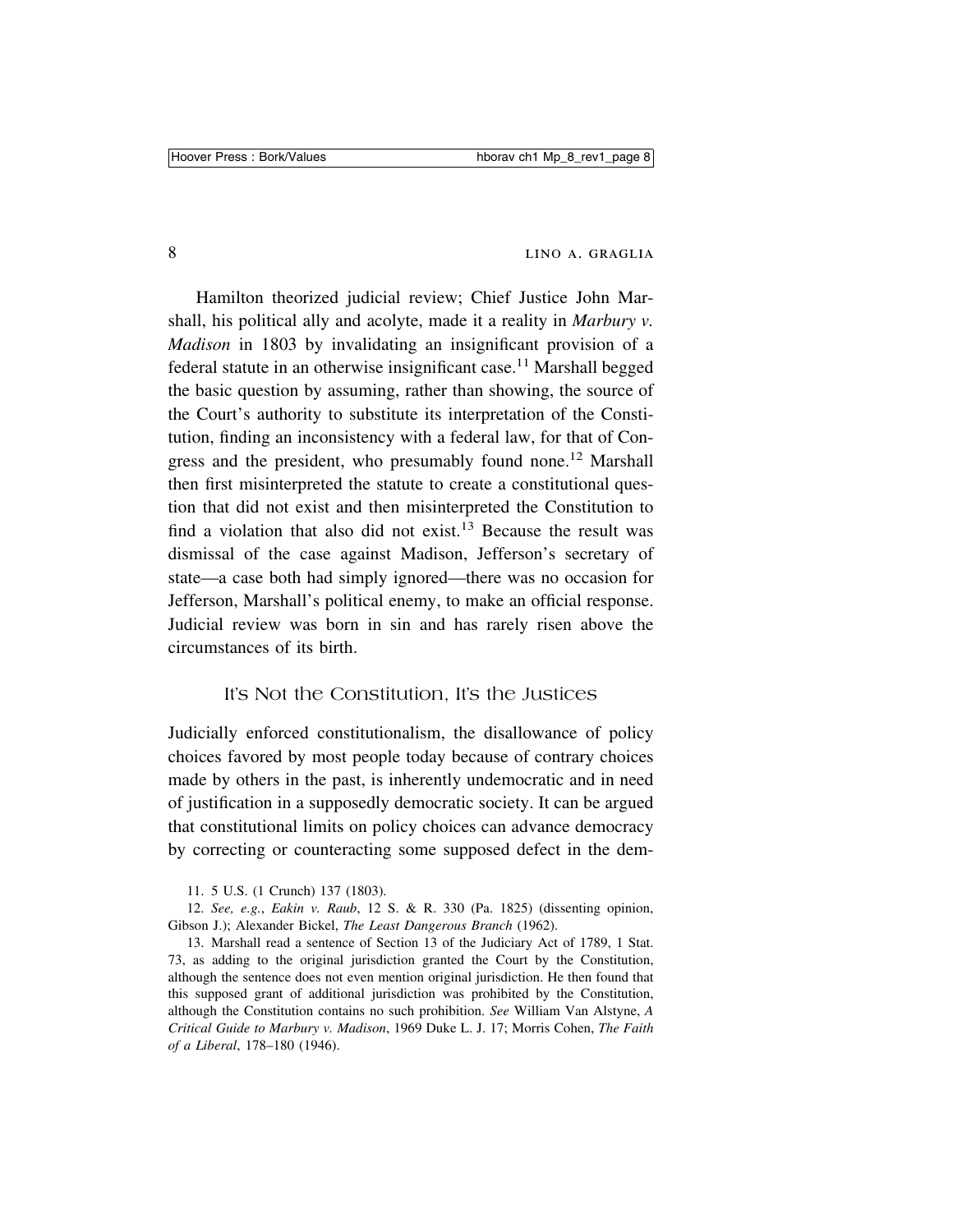#### 8 lino A. GRAGLIA

Hamilton theorized judicial review; Chief Justice John Marshall, his political ally and acolyte, made it a reality in *Marbury v. Madison* in 1803 by invalidating an insignificant provision of a federal statute in an otherwise insignificant case.<sup>11</sup> Marshall begged the basic question by assuming, rather than showing, the source of the Court's authority to substitute its interpretation of the Constitution, finding an inconsistency with a federal law, for that of Congress and the president, who presumably found none.<sup>12</sup> Marshall then first misinterpreted the statute to create a constitutional question that did not exist and then misinterpreted the Constitution to find a violation that also did not exist.<sup>13</sup> Because the result was dismissal of the case against Madison, Jefferson's secretary of state—a case both had simply ignored—there was no occasion for Jefferson, Marshall's political enemy, to make an official response. Judicial review was born in sin and has rarely risen above the circumstances of its birth.

#### It's Not the Constitution, It's the Justices

Judicially enforced constitutionalism, the disallowance of policy choices favored by most people today because of contrary choices made by others in the past, is inherently undemocratic and in need of justification in a supposedly democratic society. It can be argued that constitutional limits on policy choices can advance democracy by correcting or counteracting some supposed defect in the dem-

11. 5 U.S. (1 Crunch) 137 (1803).

12. *See, e.g.*, *Eakin v. Raub*, 12 S. & R. 330 (Pa. 1825) (dissenting opinion, Gibson J.); Alexander Bickel, *The Least Dangerous Branch* (1962).

13. Marshall read a sentence of Section 13 of the Judiciary Act of 1789, 1 Stat. 73, as adding to the original jurisdiction granted the Court by the Constitution, although the sentence does not even mention original jurisdiction. He then found that this supposed grant of additional jurisdiction was prohibited by the Constitution, although the Constitution contains no such prohibition. *See* William Van Alstyne, *A Critical Guide to Marbury v. Madison*, 1969 Duke L. J. 17; Morris Cohen, *The Faith of a Liberal*, 178–180 (1946).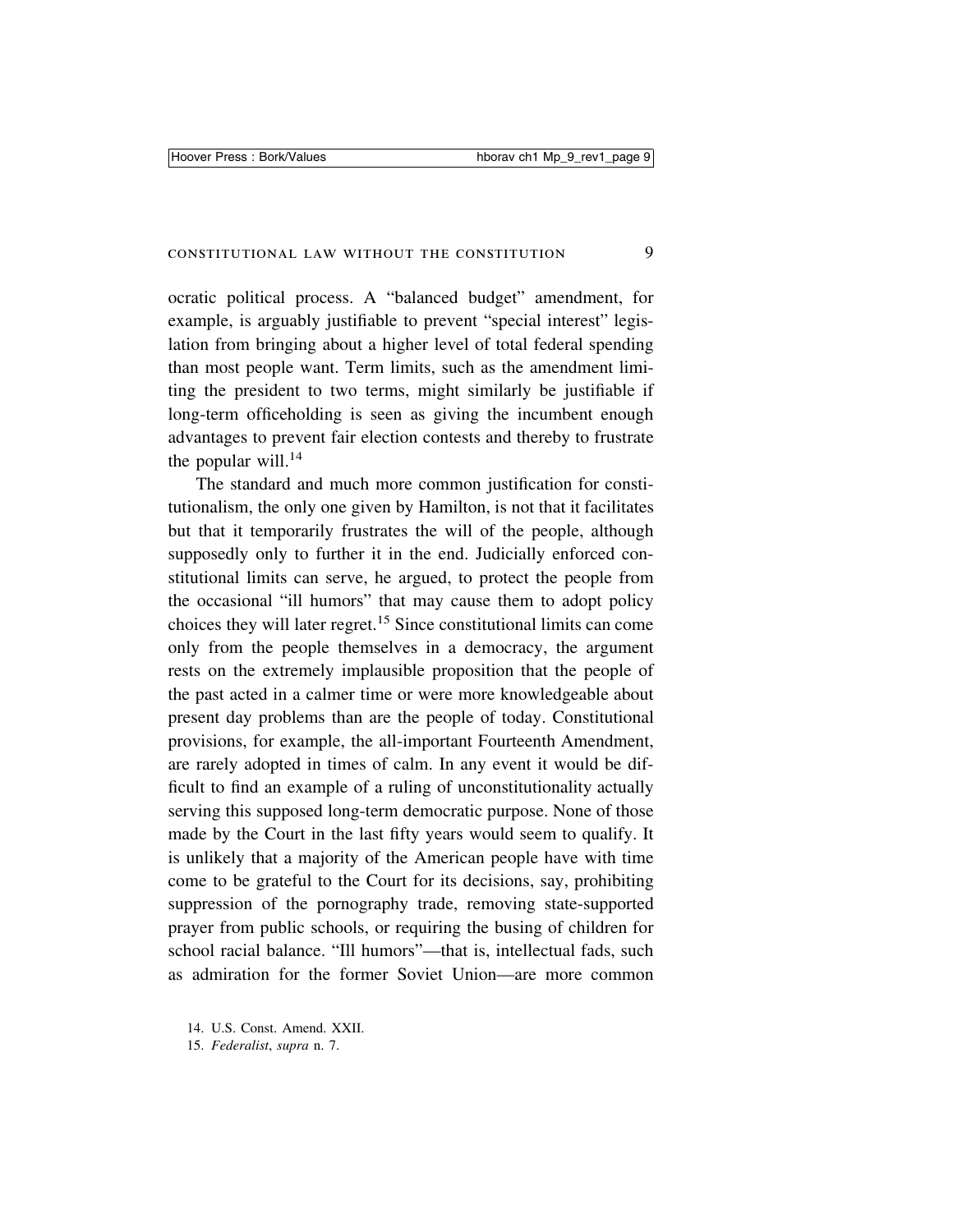ocratic political process. A "balanced budget" amendment, for example, is arguably justifiable to prevent "special interest" legislation from bringing about a higher level of total federal spending than most people want. Term limits, such as the amendment limiting the president to two terms, might similarly be justifiable if long-term officeholding is seen as giving the incumbent enough advantages to prevent fair election contests and thereby to frustrate the popular will. $^{14}$ 

The standard and much more common justification for constitutionalism, the only one given by Hamilton, is not that it facilitates but that it temporarily frustrates the will of the people, although supposedly only to further it in the end. Judicially enforced constitutional limits can serve, he argued, to protect the people from the occasional "ill humors" that may cause them to adopt policy choices they will later regret.15 Since constitutional limits can come only from the people themselves in a democracy, the argument rests on the extremely implausible proposition that the people of the past acted in a calmer time or were more knowledgeable about present day problems than are the people of today. Constitutional provisions, for example, the all-important Fourteenth Amendment, are rarely adopted in times of calm. In any event it would be difficult to find an example of a ruling of unconstitutionality actually serving this supposed long-term democratic purpose. None of those made by the Court in the last fifty years would seem to qualify. It is unlikely that a majority of the American people have with time come to be grateful to the Court for its decisions, say, prohibiting suppression of the pornography trade, removing state-supported prayer from public schools, or requiring the busing of children for school racial balance. "Ill humors"—that is, intellectual fads, such as admiration for the former Soviet Union—are more common

<sup>14.</sup> U.S. Const. Amend. XXII.

<sup>15.</sup> *Federalist*, *supra* n. 7.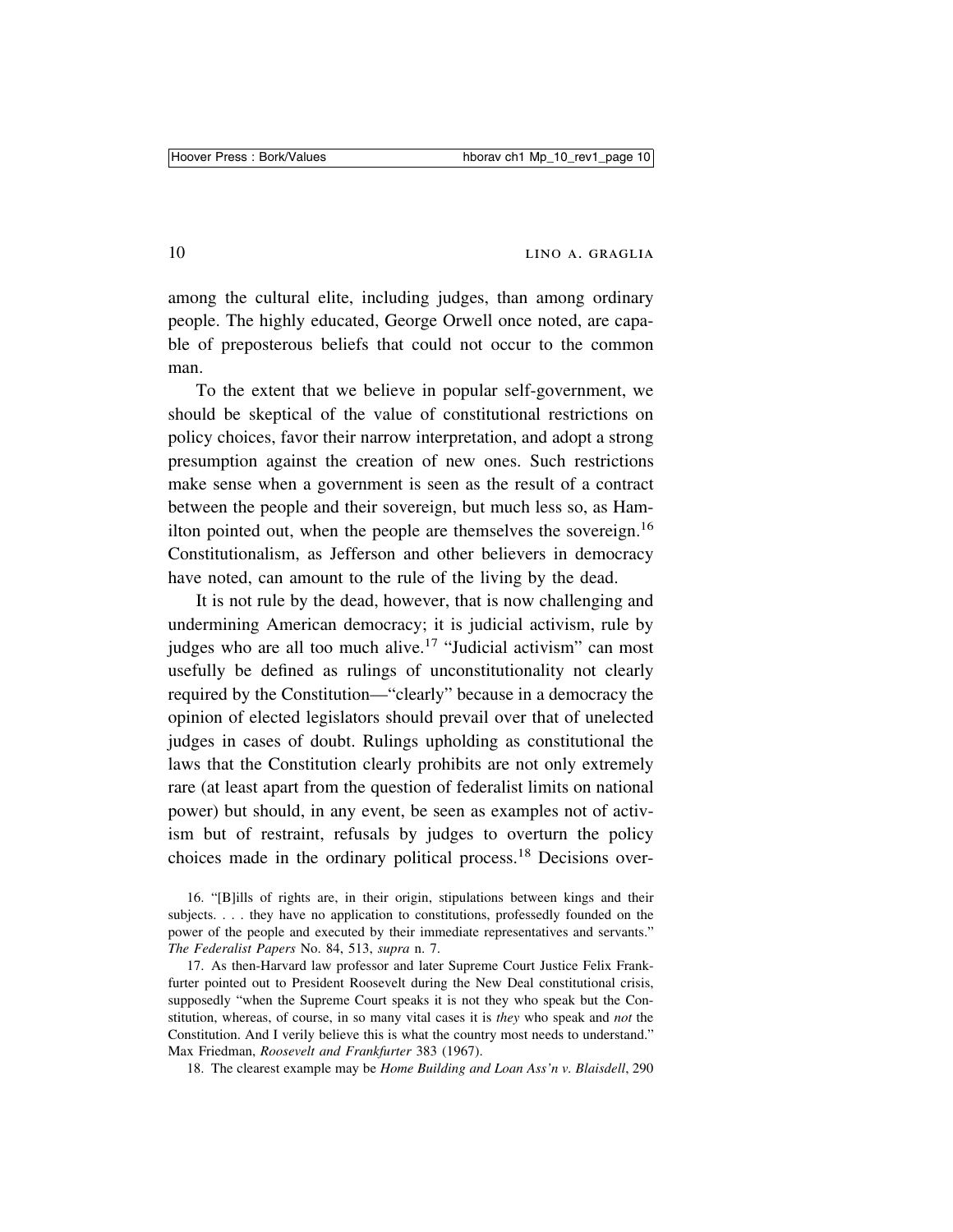among the cultural elite, including judges, than among ordinary people. The highly educated, George Orwell once noted, are capable of preposterous beliefs that could not occur to the common man.

To the extent that we believe in popular self-government, we should be skeptical of the value of constitutional restrictions on policy choices, favor their narrow interpretation, and adopt a strong presumption against the creation of new ones. Such restrictions make sense when a government is seen as the result of a contract between the people and their sovereign, but much less so, as Hamilton pointed out, when the people are themselves the sovereign.<sup>16</sup> Constitutionalism, as Jefferson and other believers in democracy have noted, can amount to the rule of the living by the dead.

It is not rule by the dead, however, that is now challenging and undermining American democracy; it is judicial activism, rule by judges who are all too much alive.<sup>17</sup> "Judicial activism" can most usefully be defined as rulings of unconstitutionality not clearly required by the Constitution—"clearly" because in a democracy the opinion of elected legislators should prevail over that of unelected judges in cases of doubt. Rulings upholding as constitutional the laws that the Constitution clearly prohibits are not only extremely rare (at least apart from the question of federalist limits on national power) but should, in any event, be seen as examples not of activism but of restraint, refusals by judges to overturn the policy choices made in the ordinary political process.18 Decisions over-

16. "[B]ills of rights are, in their origin, stipulations between kings and their subjects.... they have no application to constitutions, professedly founded on the power of the people and executed by their immediate representatives and servants." *The Federalist Papers* No. 84, 513, *supra* n. 7.

17. As then-Harvard law professor and later Supreme Court Justice Felix Frankfurter pointed out to President Roosevelt during the New Deal constitutional crisis, supposedly "when the Supreme Court speaks it is not they who speak but the Constitution, whereas, of course, in so many vital cases it is *they* who speak and *not* the Constitution. And I verily believe this is what the country most needs to understand." Max Friedman, *Roosevelt and Frankfurter* 383 (1967).

18. The clearest example may be *Home Building and Loan Ass'n v. Blaisdell*, 290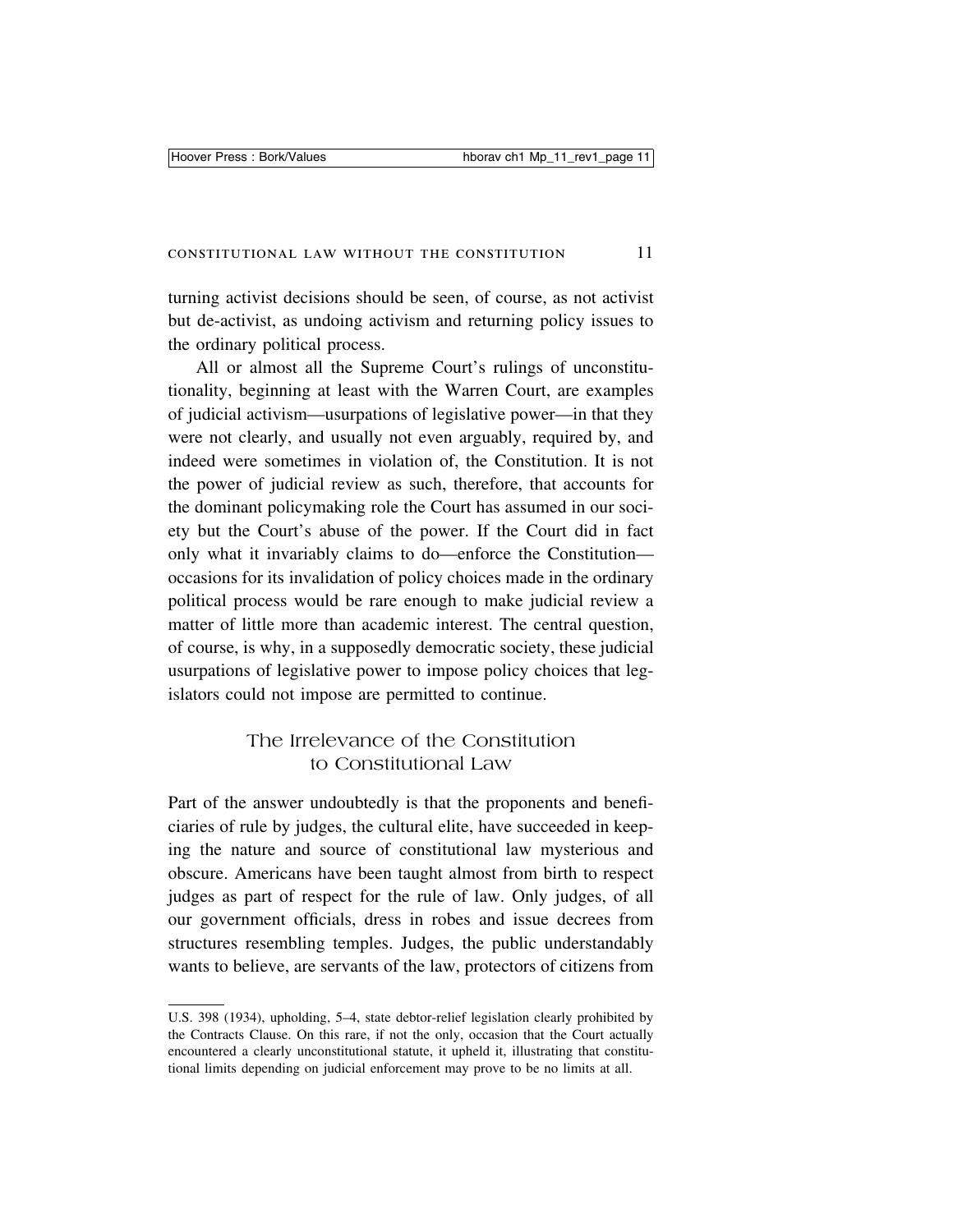turning activist decisions should be seen, of course, as not activist but de-activist, as undoing activism and returning policy issues to the ordinary political process.

All or almost all the Supreme Court's rulings of unconstitutionality, beginning at least with the Warren Court, are examples of judicial activism—usurpations of legislative power—in that they were not clearly, and usually not even arguably, required by, and indeed were sometimes in violation of, the Constitution. It is not the power of judicial review as such, therefore, that accounts for the dominant policymaking role the Court has assumed in our society but the Court's abuse of the power. If the Court did in fact only what it invariably claims to do—enforce the Constitution occasions for its invalidation of policy choices made in the ordinary political process would be rare enough to make judicial review a matter of little more than academic interest. The central question, of course, is why, in a supposedly democratic society, these judicial usurpations of legislative power to impose policy choices that legislators could not impose are permitted to continue.

## The Irrelevance of the Constitution to Constitutional Law

Part of the answer undoubtedly is that the proponents and beneficiaries of rule by judges, the cultural elite, have succeeded in keeping the nature and source of constitutional law mysterious and obscure. Americans have been taught almost from birth to respect judges as part of respect for the rule of law. Only judges, of all our government officials, dress in robes and issue decrees from structures resembling temples. Judges, the public understandably wants to believe, are servants of the law, protectors of citizens from

U.S. 398 (1934), upholding, 5–4, state debtor-relief legislation clearly prohibited by the Contracts Clause. On this rare, if not the only, occasion that the Court actually encountered a clearly unconstitutional statute, it upheld it, illustrating that constitutional limits depending on judicial enforcement may prove to be no limits at all.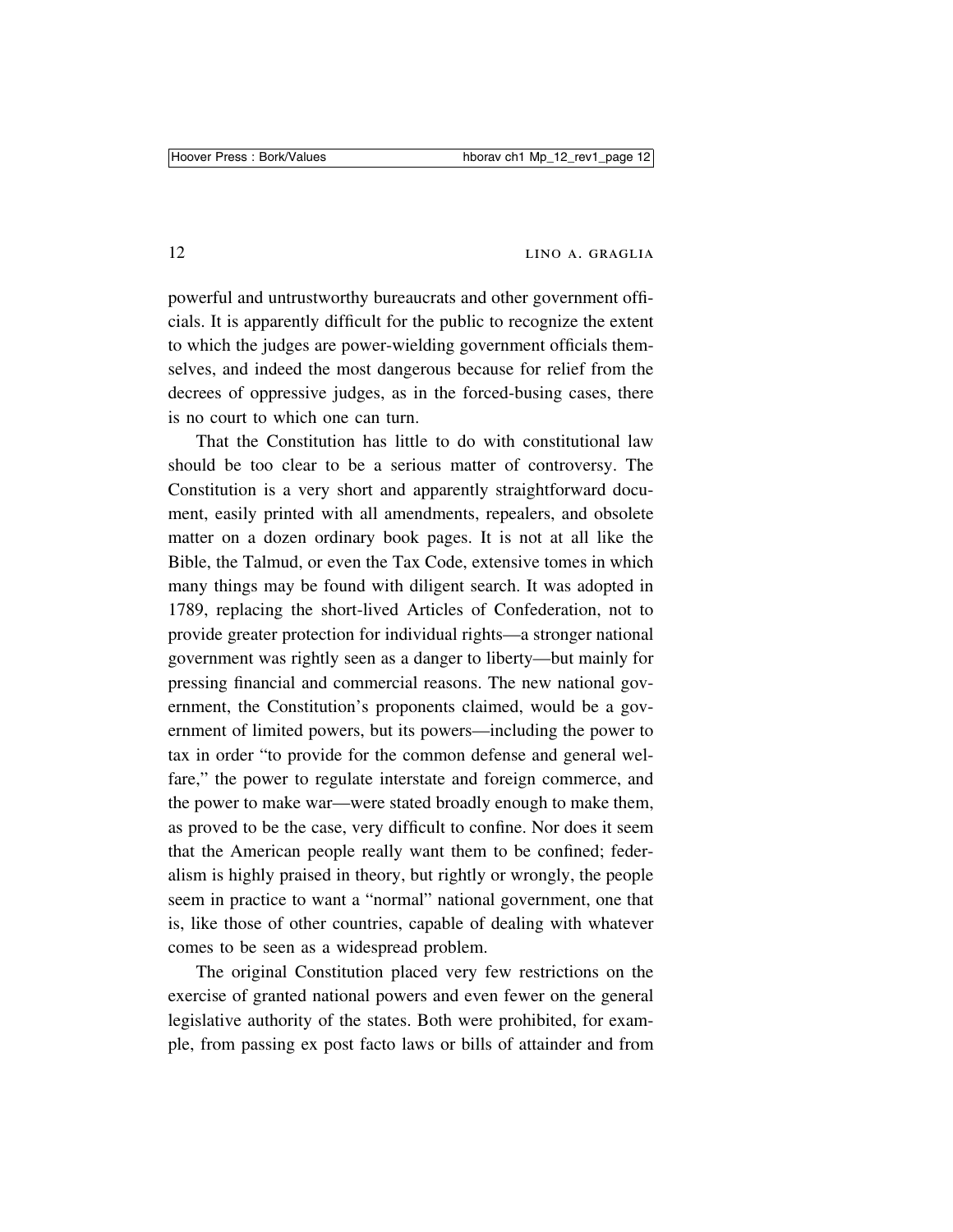12 lino a. graglia

powerful and untrustworthy bureaucrats and other government officials. It is apparently difficult for the public to recognize the extent to which the judges are power-wielding government officials themselves, and indeed the most dangerous because for relief from the decrees of oppressive judges, as in the forced-busing cases, there is no court to which one can turn.

That the Constitution has little to do with constitutional law should be too clear to be a serious matter of controversy. The Constitution is a very short and apparently straightforward document, easily printed with all amendments, repealers, and obsolete matter on a dozen ordinary book pages. It is not at all like the Bible, the Talmud, or even the Tax Code, extensive tomes in which many things may be found with diligent search. It was adopted in 1789, replacing the short-lived Articles of Confederation, not to provide greater protection for individual rights—a stronger national government was rightly seen as a danger to liberty—but mainly for pressing financial and commercial reasons. The new national government, the Constitution's proponents claimed, would be a government of limited powers, but its powers—including the power to tax in order "to provide for the common defense and general welfare," the power to regulate interstate and foreign commerce, and the power to make war—were stated broadly enough to make them, as proved to be the case, very difficult to confine. Nor does it seem that the American people really want them to be confined; federalism is highly praised in theory, but rightly or wrongly, the people seem in practice to want a "normal" national government, one that is, like those of other countries, capable of dealing with whatever comes to be seen as a widespread problem.

The original Constitution placed very few restrictions on the exercise of granted national powers and even fewer on the general legislative authority of the states. Both were prohibited, for example, from passing ex post facto laws or bills of attainder and from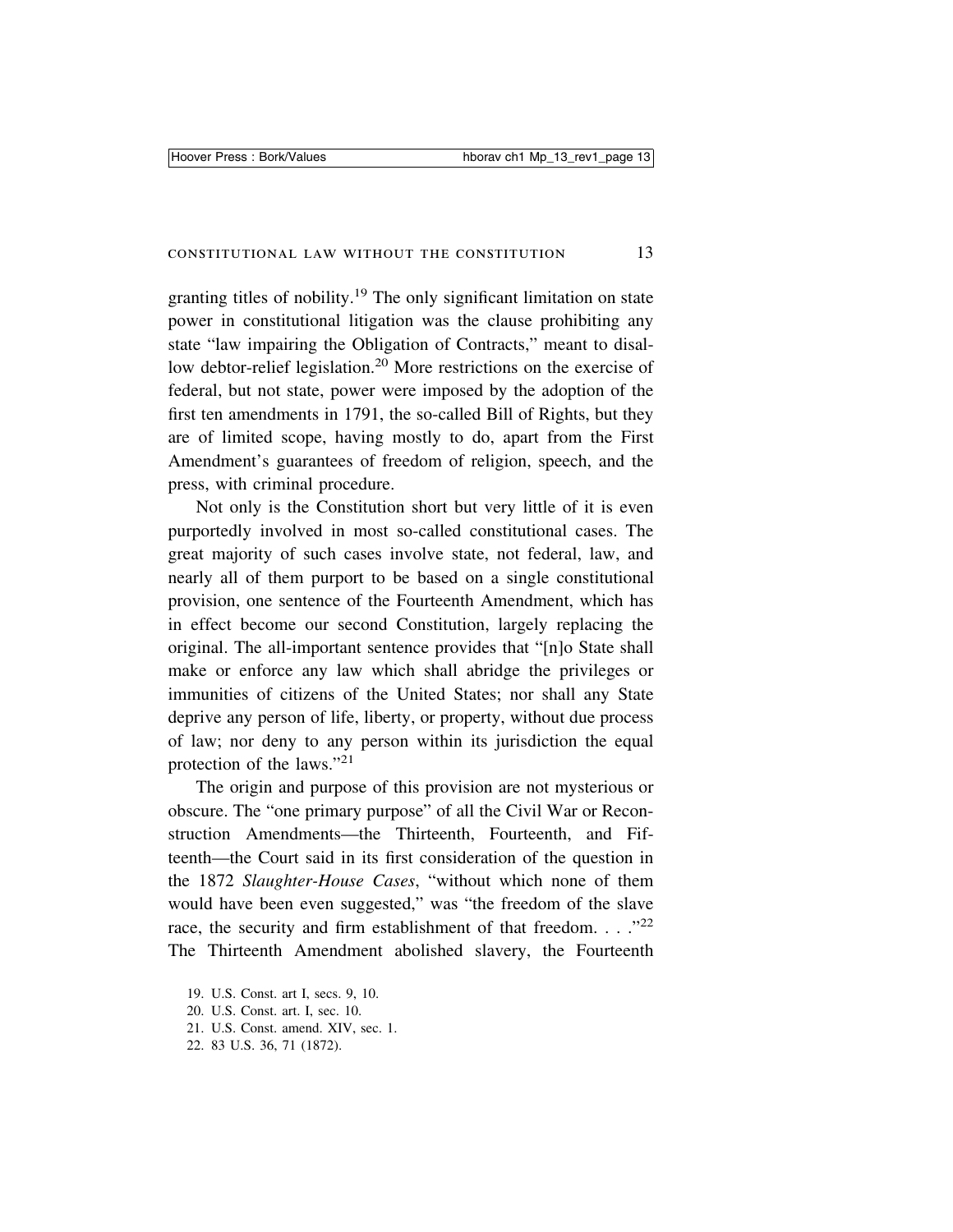granting titles of nobility.<sup>19</sup> The only significant limitation on state power in constitutional litigation was the clause prohibiting any state "law impairing the Obligation of Contracts," meant to disallow debtor-relief legislation.<sup>20</sup> More restrictions on the exercise of federal, but not state, power were imposed by the adoption of the first ten amendments in 1791, the so-called Bill of Rights, but they are of limited scope, having mostly to do, apart from the First Amendment's guarantees of freedom of religion, speech, and the press, with criminal procedure.

Not only is the Constitution short but very little of it is even purportedly involved in most so-called constitutional cases. The great majority of such cases involve state, not federal, law, and nearly all of them purport to be based on a single constitutional provision, one sentence of the Fourteenth Amendment, which has in effect become our second Constitution, largely replacing the original. The all-important sentence provides that "[n]o State shall make or enforce any law which shall abridge the privileges or immunities of citizens of the United States; nor shall any State deprive any person of life, liberty, or property, without due process of law; nor deny to any person within its jurisdiction the equal protection of the laws."21

The origin and purpose of this provision are not mysterious or obscure. The "one primary purpose" of all the Civil War or Reconstruction Amendments—the Thirteenth, Fourteenth, and Fifteenth—the Court said in its first consideration of the question in the 1872 *Slaughter-House Cases*, "without which none of them would have been even suggested," was "the freedom of the slave race, the security and firm establishment of that freedom.  $\ldots$  ."22 The Thirteenth Amendment abolished slavery, the Fourteenth

- 20. U.S. Const. art. I, sec. 10.
- 21. U.S. Const. amend. XIV, sec. 1.
- 22. 83 U.S. 36, 71 (1872).

<sup>19.</sup> U.S. Const. art I, secs. 9, 10.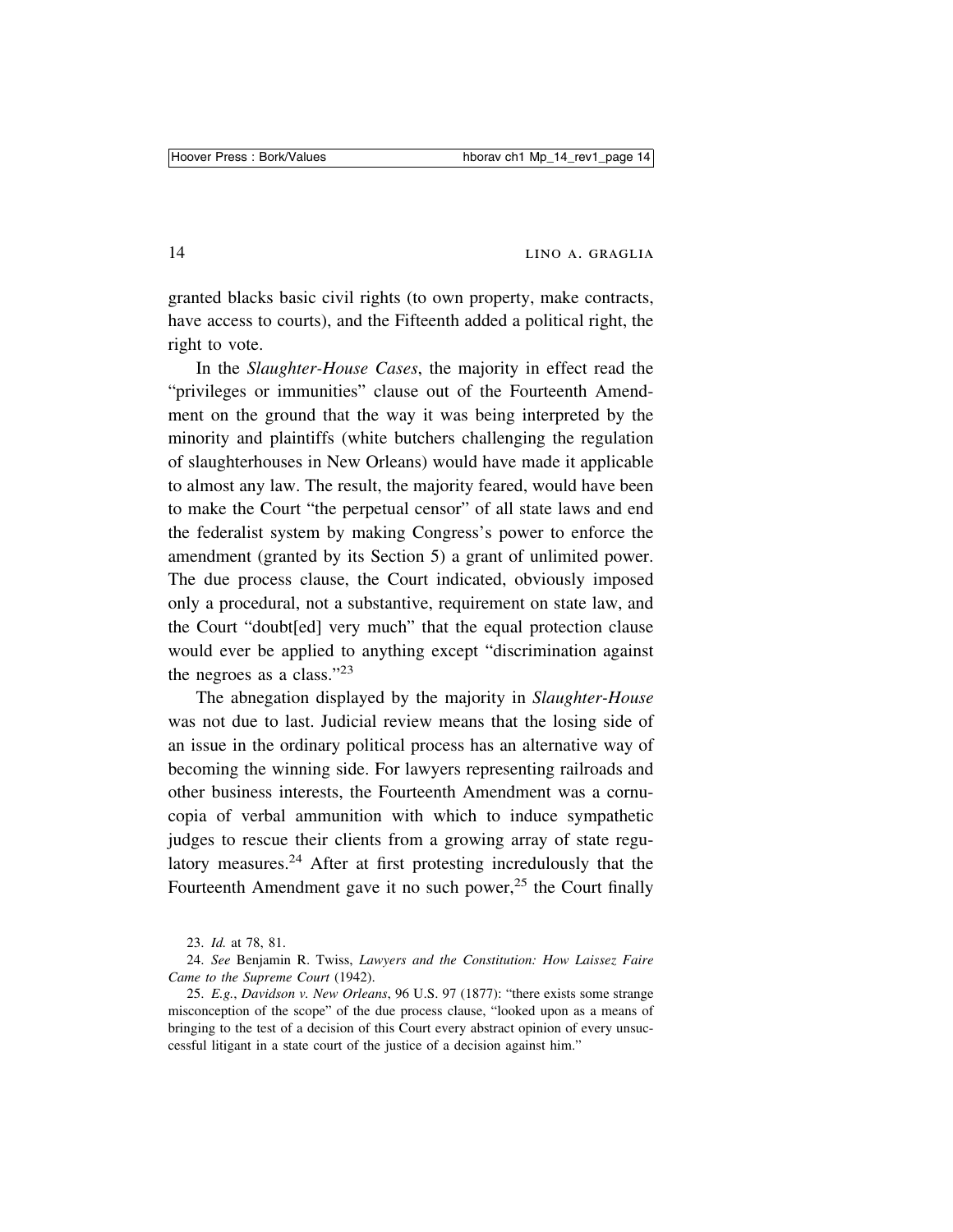granted blacks basic civil rights (to own property, make contracts, have access to courts), and the Fifteenth added a political right, the right to vote.

In the *Slaughter-House Cases*, the majority in effect read the "privileges or immunities" clause out of the Fourteenth Amendment on the ground that the way it was being interpreted by the minority and plaintiffs (white butchers challenging the regulation of slaughterhouses in New Orleans) would have made it applicable to almost any law. The result, the majority feared, would have been to make the Court "the perpetual censor" of all state laws and end the federalist system by making Congress's power to enforce the amendment (granted by its Section 5) a grant of unlimited power. The due process clause, the Court indicated, obviously imposed only a procedural, not a substantive, requirement on state law, and the Court "doubt[ed] very much" that the equal protection clause would ever be applied to anything except "discrimination against the negroes as a class."23

The abnegation displayed by the majority in *Slaughter-House* was not due to last. Judicial review means that the losing side of an issue in the ordinary political process has an alternative way of becoming the winning side. For lawyers representing railroads and other business interests, the Fourteenth Amendment was a cornucopia of verbal ammunition with which to induce sympathetic judges to rescue their clients from a growing array of state regulatory measures.<sup>24</sup> After at first protesting incredulously that the Fourteenth Amendment gave it no such power,<sup>25</sup> the Court finally

<sup>23.</sup> *Id.* at 78, 81.

<sup>24.</sup> *See* Benjamin R. Twiss, *Lawyers and the Constitution: How Laissez Faire Came to the Supreme Court* (1942).

<sup>25.</sup> *E.g.*, *Davidson v. New Orleans*, 96 U.S. 97 (1877): "there exists some strange misconception of the scope" of the due process clause, "looked upon as a means of bringing to the test of a decision of this Court every abstract opinion of every unsuccessful litigant in a state court of the justice of a decision against him."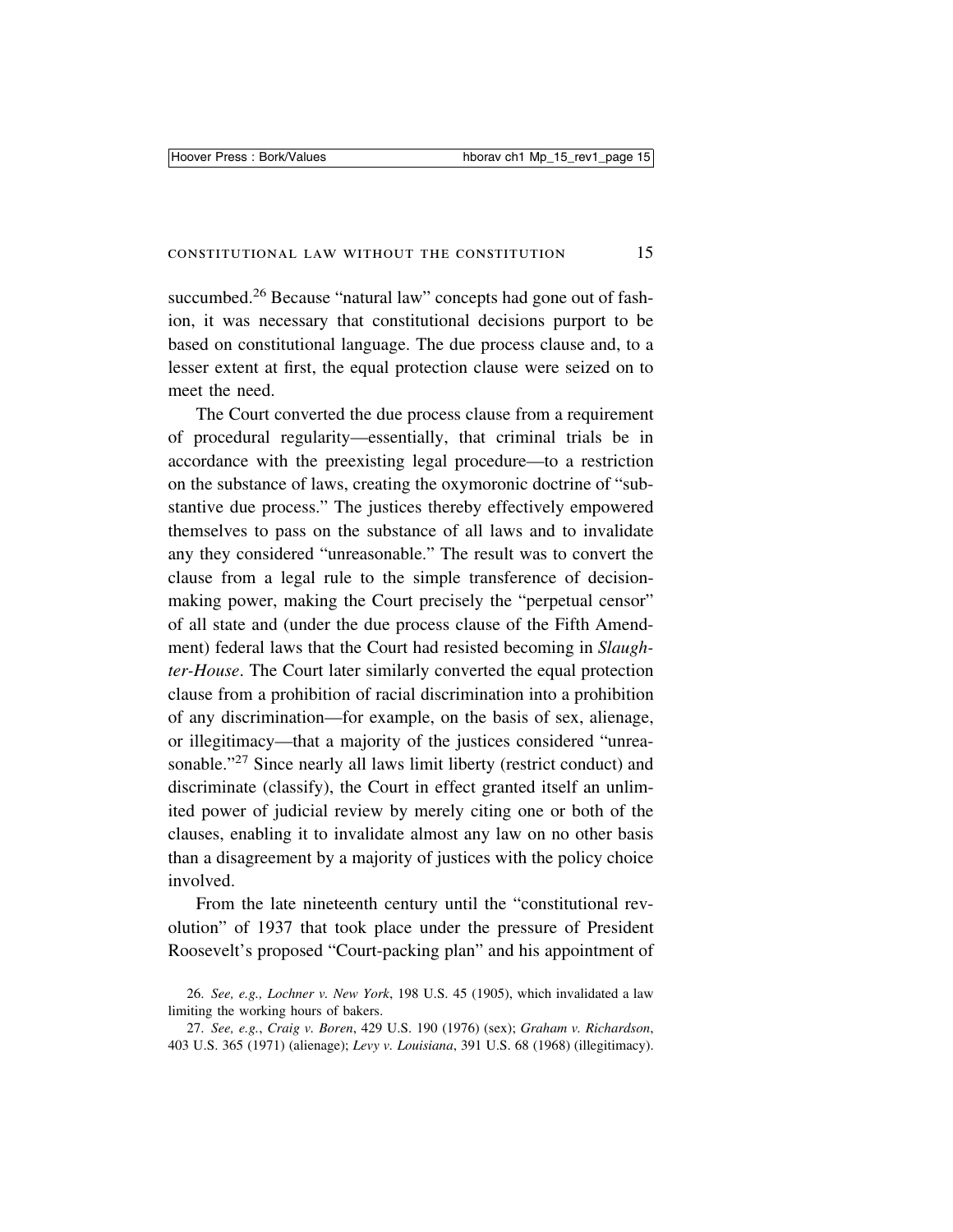succumbed.<sup>26</sup> Because "natural law" concepts had gone out of fashion, it was necessary that constitutional decisions purport to be based on constitutional language. The due process clause and, to a lesser extent at first, the equal protection clause were seized on to meet the need.

The Court converted the due process clause from a requirement of procedural regularity—essentially, that criminal trials be in accordance with the preexisting legal procedure—to a restriction on the substance of laws, creating the oxymoronic doctrine of "substantive due process." The justices thereby effectively empowered themselves to pass on the substance of all laws and to invalidate any they considered "unreasonable." The result was to convert the clause from a legal rule to the simple transference of decisionmaking power, making the Court precisely the "perpetual censor" of all state and (under the due process clause of the Fifth Amendment) federal laws that the Court had resisted becoming in *Slaughter-House*. The Court later similarly converted the equal protection clause from a prohibition of racial discrimination into a prohibition of any discrimination—for example, on the basis of sex, alienage, or illegitimacy—that a majority of the justices considered "unreasonable."<sup>27</sup> Since nearly all laws limit liberty (restrict conduct) and discriminate (classify), the Court in effect granted itself an unlimited power of judicial review by merely citing one or both of the clauses, enabling it to invalidate almost any law on no other basis than a disagreement by a majority of justices with the policy choice involved.

From the late nineteenth century until the "constitutional revolution" of 1937 that took place under the pressure of President Roosevelt's proposed "Court-packing plan" and his appointment of

<sup>26.</sup> *See, e.g., Lochner v. New York*, 198 U.S. 45 (1905), which invalidated a law limiting the working hours of bakers.

<sup>27.</sup> *See, e.g.*, *Craig v. Boren*, 429 U.S. 190 (1976) (sex); *Graham v. Richardson*, 403 U.S. 365 (1971) (alienage); *Levy v. Louisiana*, 391 U.S. 68 (1968) (illegitimacy).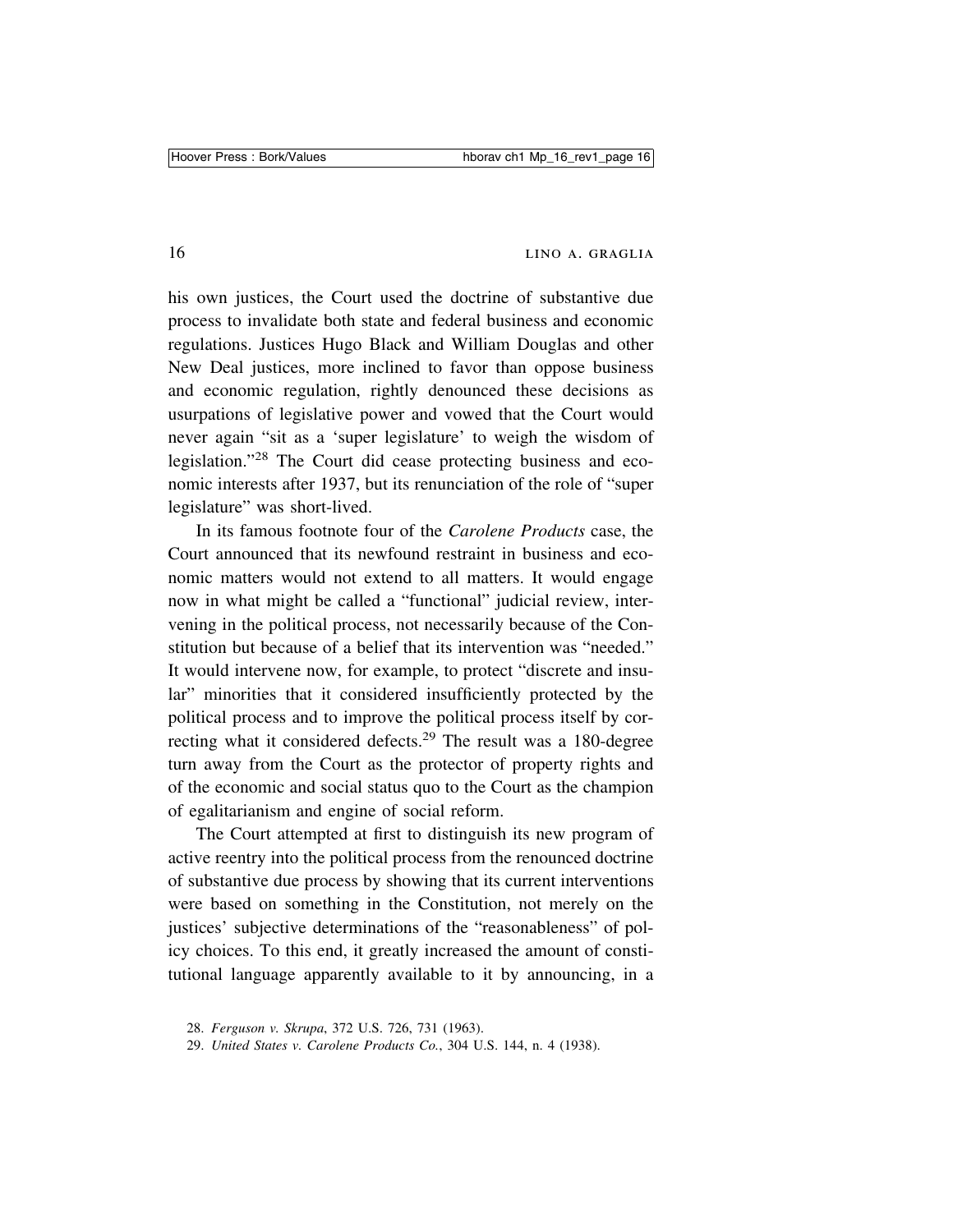his own justices, the Court used the doctrine of substantive due process to invalidate both state and federal business and economic regulations. Justices Hugo Black and William Douglas and other New Deal justices, more inclined to favor than oppose business and economic regulation, rightly denounced these decisions as usurpations of legislative power and vowed that the Court would never again "sit as a 'super legislature' to weigh the wisdom of legislation."28 The Court did cease protecting business and economic interests after 1937, but its renunciation of the role of "super legislature" was short-lived.

In its famous footnote four of the *Carolene Products* case, the Court announced that its newfound restraint in business and economic matters would not extend to all matters. It would engage now in what might be called a "functional" judicial review, intervening in the political process, not necessarily because of the Constitution but because of a belief that its intervention was "needed." It would intervene now, for example, to protect "discrete and insular" minorities that it considered insufficiently protected by the political process and to improve the political process itself by correcting what it considered defects.<sup>29</sup> The result was a 180-degree turn away from the Court as the protector of property rights and of the economic and social status quo to the Court as the champion of egalitarianism and engine of social reform.

The Court attempted at first to distinguish its new program of active reentry into the political process from the renounced doctrine of substantive due process by showing that its current interventions were based on something in the Constitution, not merely on the justices' subjective determinations of the "reasonableness" of policy choices. To this end, it greatly increased the amount of constitutional language apparently available to it by announcing, in a

<sup>28.</sup> *Ferguson v. Skrupa*, 372 U.S. 726, 731 (1963).

<sup>29.</sup> *United States v. Carolene Products Co.*, 304 U.S. 144, n. 4 (1938).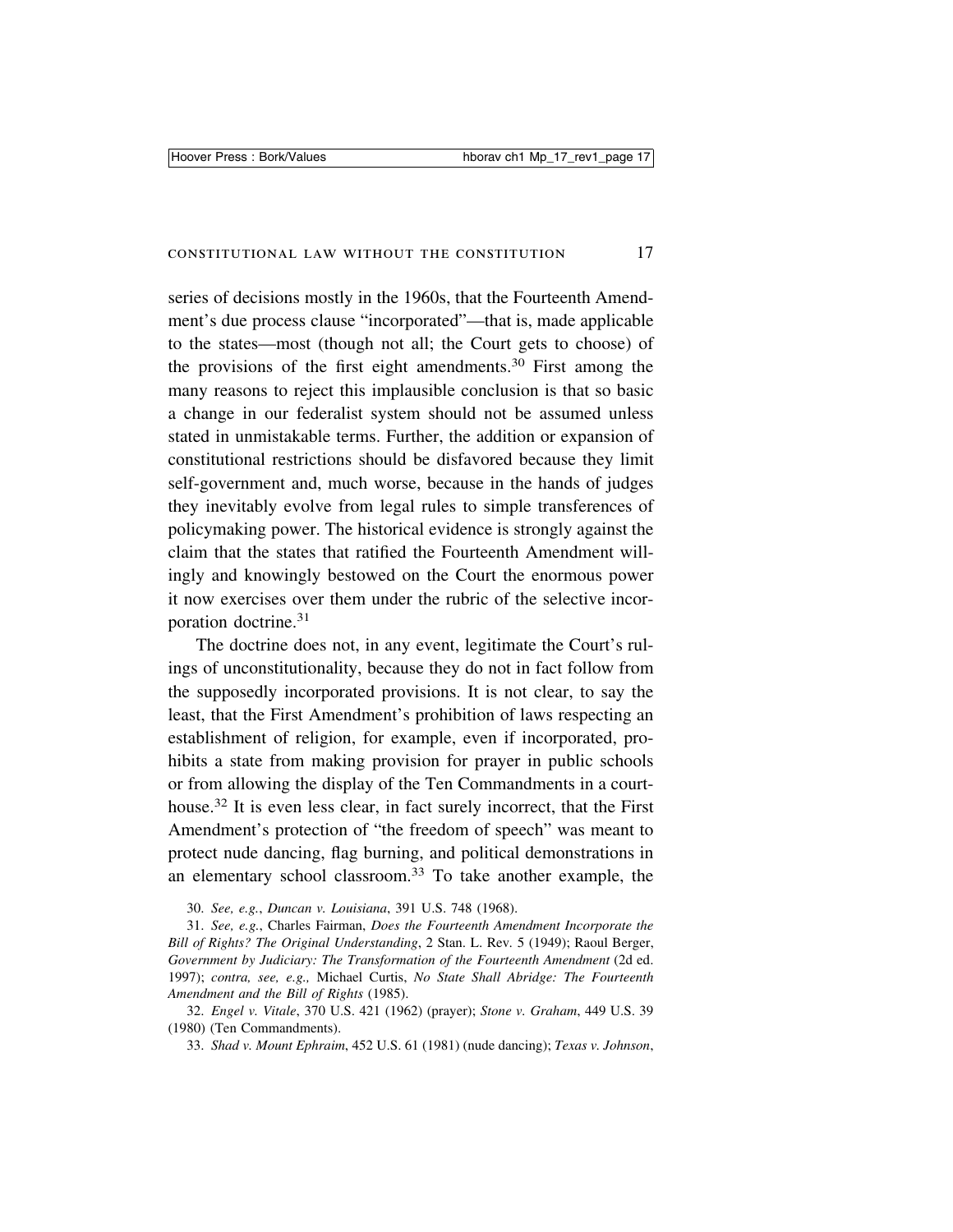series of decisions mostly in the 1960s, that the Fourteenth Amendment's due process clause "incorporated"—that is, made applicable to the states—most (though not all; the Court gets to choose) of the provisions of the first eight amendments.<sup>30</sup> First among the many reasons to reject this implausible conclusion is that so basic a change in our federalist system should not be assumed unless stated in unmistakable terms. Further, the addition or expansion of constitutional restrictions should be disfavored because they limit self-government and, much worse, because in the hands of judges they inevitably evolve from legal rules to simple transferences of policymaking power. The historical evidence is strongly against the claim that the states that ratified the Fourteenth Amendment willingly and knowingly bestowed on the Court the enormous power it now exercises over them under the rubric of the selective incorporation doctrine.31

The doctrine does not, in any event, legitimate the Court's rulings of unconstitutionality, because they do not in fact follow from the supposedly incorporated provisions. It is not clear, to say the least, that the First Amendment's prohibition of laws respecting an establishment of religion, for example, even if incorporated, prohibits a state from making provision for prayer in public schools or from allowing the display of the Ten Commandments in a courthouse.32 It is even less clear, in fact surely incorrect, that the First Amendment's protection of "the freedom of speech" was meant to protect nude dancing, flag burning, and political demonstrations in an elementary school classroom. $33$  To take another example, the

30. *See, e.g.*, *Duncan v. Louisiana*, 391 U.S. 748 (1968).

<sup>31.</sup> *See, e.g.*, Charles Fairman, *Does the Fourteenth Amendment Incorporate the Bill of Rights? The Original Understanding*, 2 Stan. L. Rev*.* 5 (1949); Raoul Berger, *Government by Judiciary: The Transformation of the Fourteenth Amendment* (2d ed. 1997); *contra, see, e.g.,* Michael Curtis, *No State Shall Abridge: The Fourteenth Amendment and the Bill of Rights* (1985).

<sup>32.</sup> *Engel v. Vitale*, 370 U.S. 421 (1962) (prayer); *Stone v. Graham*, 449 U.S. 39 (1980) (Ten Commandments).

<sup>33.</sup> *Shad v. Mount Ephraim*, 452 U.S. 61 (1981) (nude dancing); *Texas v. Johnson*,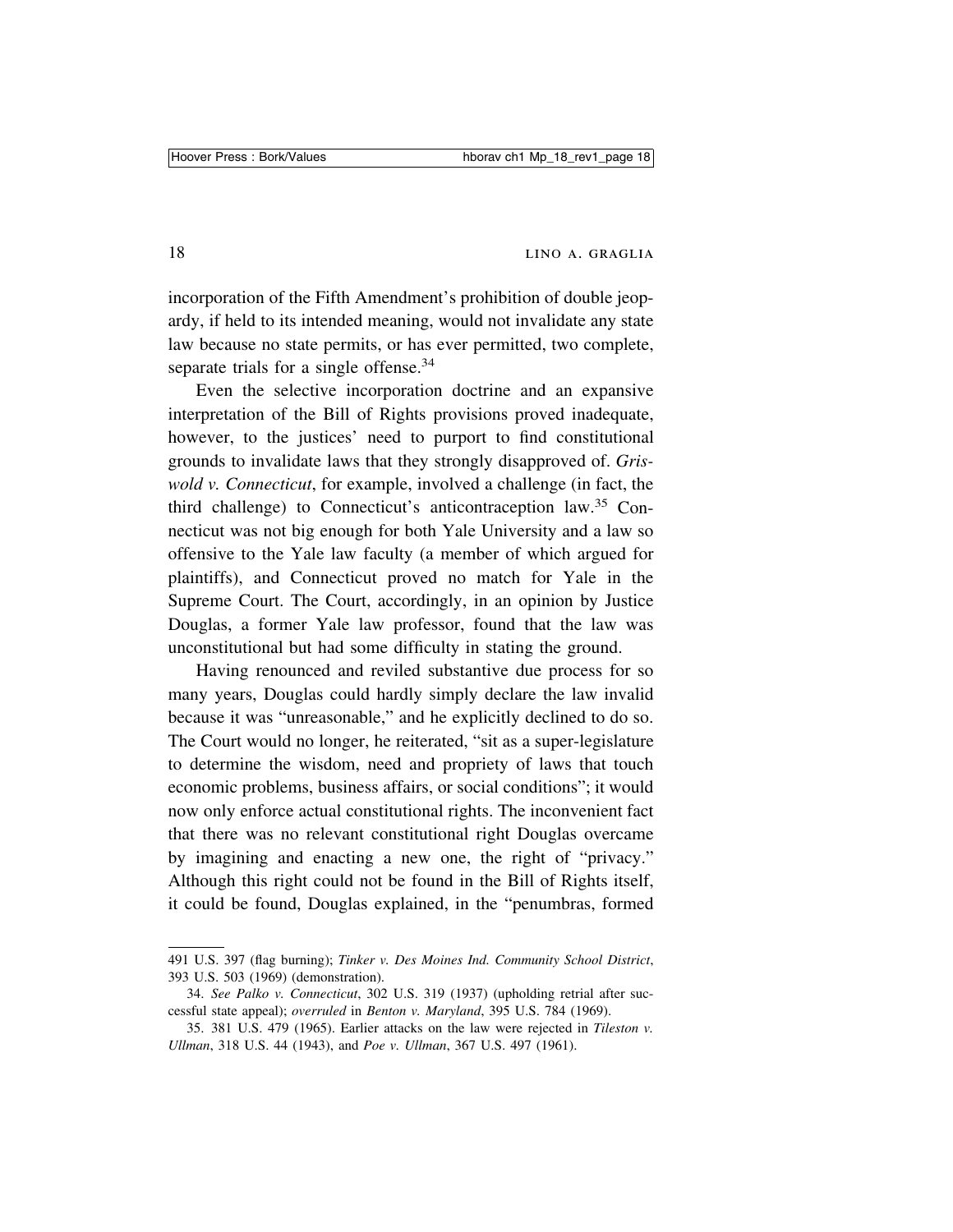18 lino a. GRAGLIA

incorporation of the Fifth Amendment's prohibition of double jeopardy, if held to its intended meaning, would not invalidate any state law because no state permits, or has ever permitted, two complete, separate trials for a single offense.<sup>34</sup>

Even the selective incorporation doctrine and an expansive interpretation of the Bill of Rights provisions proved inadequate, however, to the justices' need to purport to find constitutional grounds to invalidate laws that they strongly disapproved of. *Griswold v. Connecticut*, for example, involved a challenge (in fact, the third challenge) to Connecticut's anticontraception law.35 Connecticut was not big enough for both Yale University and a law so offensive to the Yale law faculty (a member of which argued for plaintiffs), and Connecticut proved no match for Yale in the Supreme Court. The Court, accordingly, in an opinion by Justice Douglas, a former Yale law professor, found that the law was unconstitutional but had some difficulty in stating the ground.

Having renounced and reviled substantive due process for so many years, Douglas could hardly simply declare the law invalid because it was "unreasonable," and he explicitly declined to do so. The Court would no longer, he reiterated, "sit as a super-legislature to determine the wisdom, need and propriety of laws that touch economic problems, business affairs, or social conditions"; it would now only enforce actual constitutional rights. The inconvenient fact that there was no relevant constitutional right Douglas overcame by imagining and enacting a new one, the right of "privacy." Although this right could not be found in the Bill of Rights itself, it could be found, Douglas explained, in the "penumbras, formed

<sup>491</sup> U.S. 397 (flag burning); *Tinker v. Des Moines Ind. Community School District*, 393 U.S. 503 (1969) (demonstration).

<sup>34.</sup> *See Palko v. Connecticut*, 302 U.S. 319 (1937) (upholding retrial after successful state appeal); *overruled* in *Benton v. Maryland*, 395 U.S. 784 (1969).

<sup>35. 381</sup> U.S. 479 (1965). Earlier attacks on the law were rejected in *Tileston v. Ullman*, 318 U.S. 44 (1943), and *Poe v. Ullman*, 367 U.S. 497 (1961).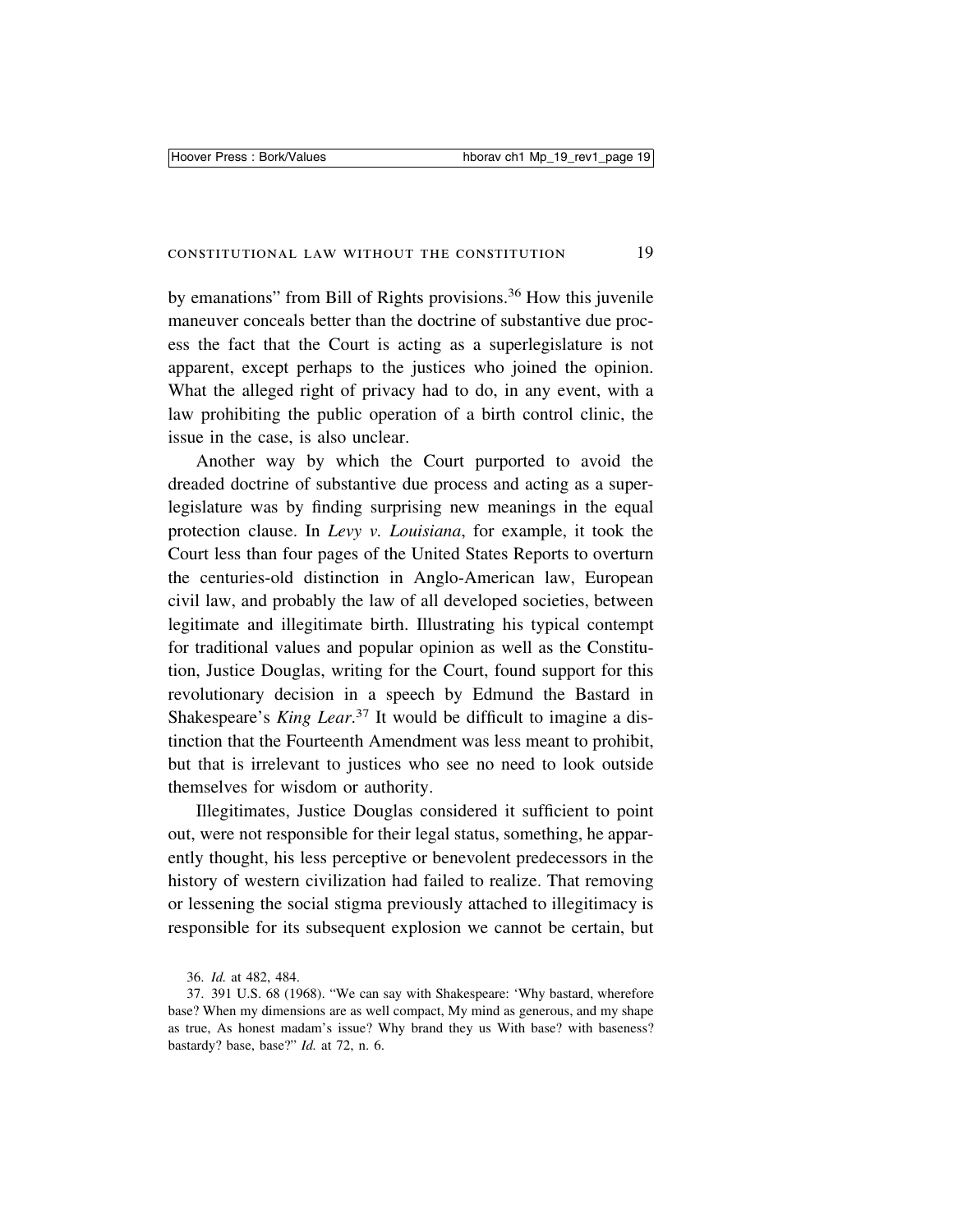by emanations" from Bill of Rights provisions.<sup>36</sup> How this juvenile maneuver conceals better than the doctrine of substantive due process the fact that the Court is acting as a superlegislature is not apparent, except perhaps to the justices who joined the opinion. What the alleged right of privacy had to do, in any event, with a law prohibiting the public operation of a birth control clinic, the issue in the case, is also unclear.

Another way by which the Court purported to avoid the dreaded doctrine of substantive due process and acting as a superlegislature was by finding surprising new meanings in the equal protection clause. In *Levy v. Louisiana*, for example, it took the Court less than four pages of the United States Reports to overturn the centuries-old distinction in Anglo-American law, European civil law, and probably the law of all developed societies, between legitimate and illegitimate birth. Illustrating his typical contempt for traditional values and popular opinion as well as the Constitution, Justice Douglas, writing for the Court, found support for this revolutionary decision in a speech by Edmund the Bastard in Shakespeare's *King Lear*. <sup>37</sup> It would be difficult to imagine a distinction that the Fourteenth Amendment was less meant to prohibit, but that is irrelevant to justices who see no need to look outside themselves for wisdom or authority.

Illegitimates, Justice Douglas considered it sufficient to point out, were not responsible for their legal status, something, he apparently thought, his less perceptive or benevolent predecessors in the history of western civilization had failed to realize. That removing or lessening the social stigma previously attached to illegitimacy is responsible for its subsequent explosion we cannot be certain, but

<sup>36.</sup> *Id.* at 482, 484.

<sup>37. 391</sup> U.S. 68 (1968). "We can say with Shakespeare: 'Why bastard, wherefore base? When my dimensions are as well compact, My mind as generous, and my shape as true, As honest madam's issue? Why brand they us With base? with baseness? bastardy? base, base?" *Id.* at 72, n. 6.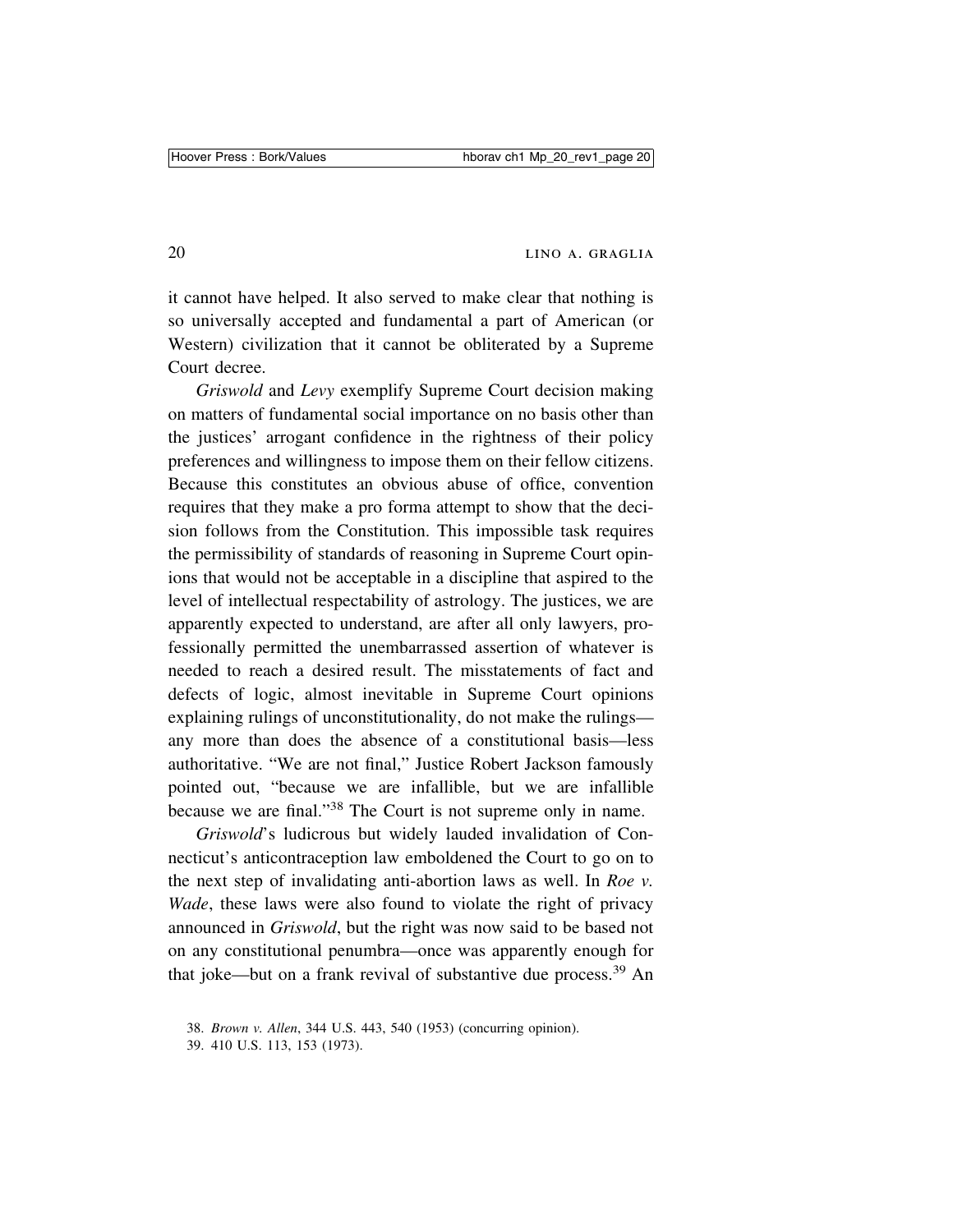it cannot have helped. It also served to make clear that nothing is so universally accepted and fundamental a part of American (or Western) civilization that it cannot be obliterated by a Supreme Court decree.

*Griswold* and *Levy* exemplify Supreme Court decision making on matters of fundamental social importance on no basis other than the justices' arrogant confidence in the rightness of their policy preferences and willingness to impose them on their fellow citizens. Because this constitutes an obvious abuse of office, convention requires that they make a pro forma attempt to show that the decision follows from the Constitution. This impossible task requires the permissibility of standards of reasoning in Supreme Court opinions that would not be acceptable in a discipline that aspired to the level of intellectual respectability of astrology. The justices, we are apparently expected to understand, are after all only lawyers, professionally permitted the unembarrassed assertion of whatever is needed to reach a desired result. The misstatements of fact and defects of logic, almost inevitable in Supreme Court opinions explaining rulings of unconstitutionality, do not make the rulings any more than does the absence of a constitutional basis—less authoritative. "We are not final," Justice Robert Jackson famously pointed out, "because we are infallible, but we are infallible because we are final."38 The Court is not supreme only in name.

*Griswold*'s ludicrous but widely lauded invalidation of Connecticut's anticontraception law emboldened the Court to go on to the next step of invalidating anti-abortion laws as well. In *Roe v. Wade*, these laws were also found to violate the right of privacy announced in *Griswold*, but the right was now said to be based not on any constitutional penumbra—once was apparently enough for that joke—but on a frank revival of substantive due process.<sup>39</sup> An

<sup>38.</sup> *Brown v. Allen*, 344 U.S. 443, 540 (1953) (concurring opinion).

<sup>39. 410</sup> U.S. 113, 153 (1973).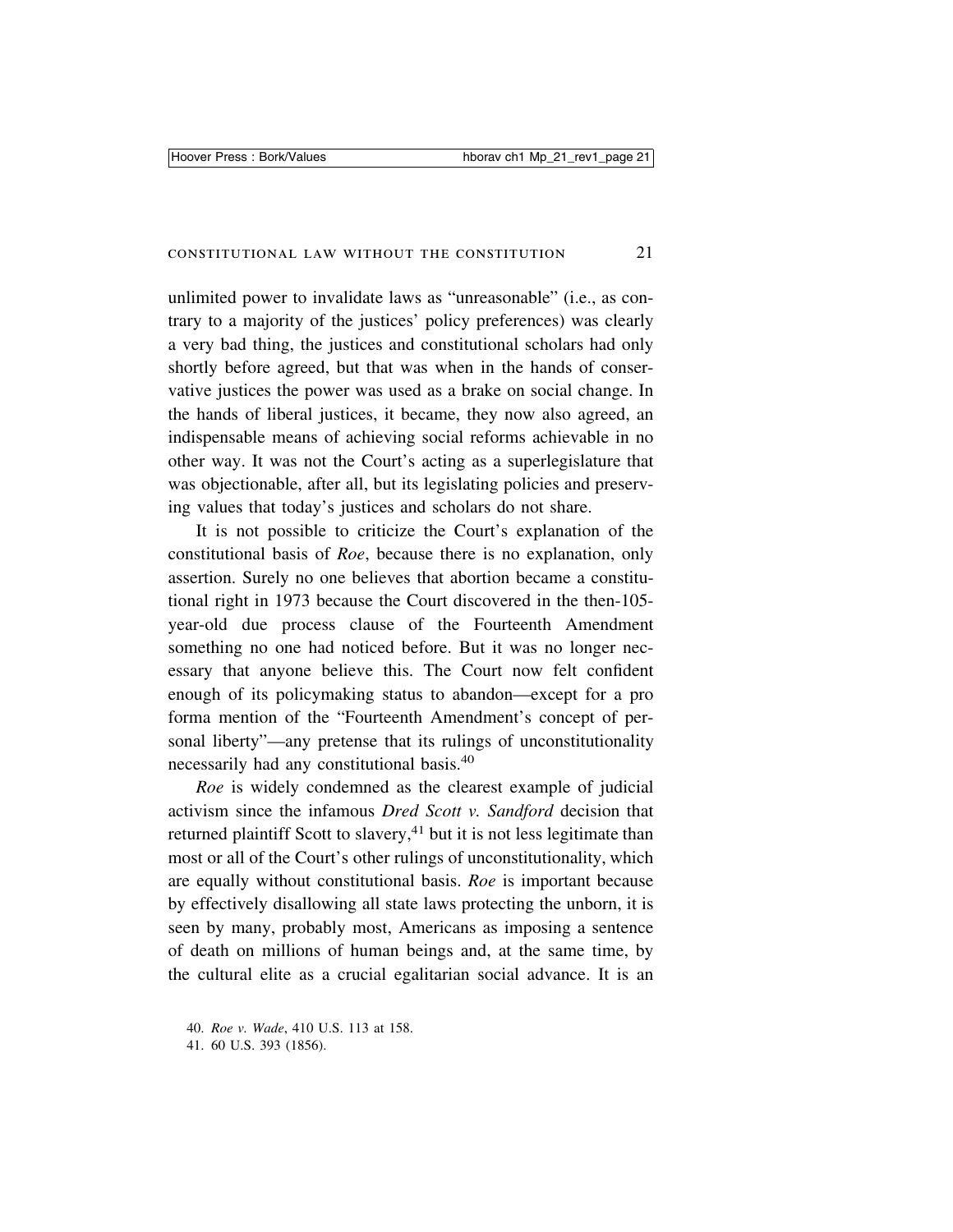unlimited power to invalidate laws as "unreasonable" (i.e., as contrary to a majority of the justices' policy preferences) was clearly a very bad thing, the justices and constitutional scholars had only shortly before agreed, but that was when in the hands of conservative justices the power was used as a brake on social change. In the hands of liberal justices, it became, they now also agreed, an indispensable means of achieving social reforms achievable in no other way. It was not the Court's acting as a superlegislature that was objectionable, after all, but its legislating policies and preserving values that today's justices and scholars do not share.

It is not possible to criticize the Court's explanation of the constitutional basis of *Roe*, because there is no explanation, only assertion. Surely no one believes that abortion became a constitutional right in 1973 because the Court discovered in the then-105 year-old due process clause of the Fourteenth Amendment something no one had noticed before. But it was no longer necessary that anyone believe this. The Court now felt confident enough of its policymaking status to abandon—except for a pro forma mention of the "Fourteenth Amendment's concept of personal liberty"—any pretense that its rulings of unconstitutionality necessarily had any constitutional basis.40

*Roe* is widely condemned as the clearest example of judicial activism since the infamous *Dred Scott v. Sandford* decision that returned plaintiff Scott to slavery,  $41$  but it is not less legitimate than most or all of the Court's other rulings of unconstitutionality, which are equally without constitutional basis. *Roe* is important because by effectively disallowing all state laws protecting the unborn, it is seen by many, probably most, Americans as imposing a sentence of death on millions of human beings and, at the same time, by the cultural elite as a crucial egalitarian social advance. It is an

<sup>40.</sup> *Roe v. Wade*, 410 U.S. 113 at 158.

<sup>41. 60</sup> U.S. 393 (1856).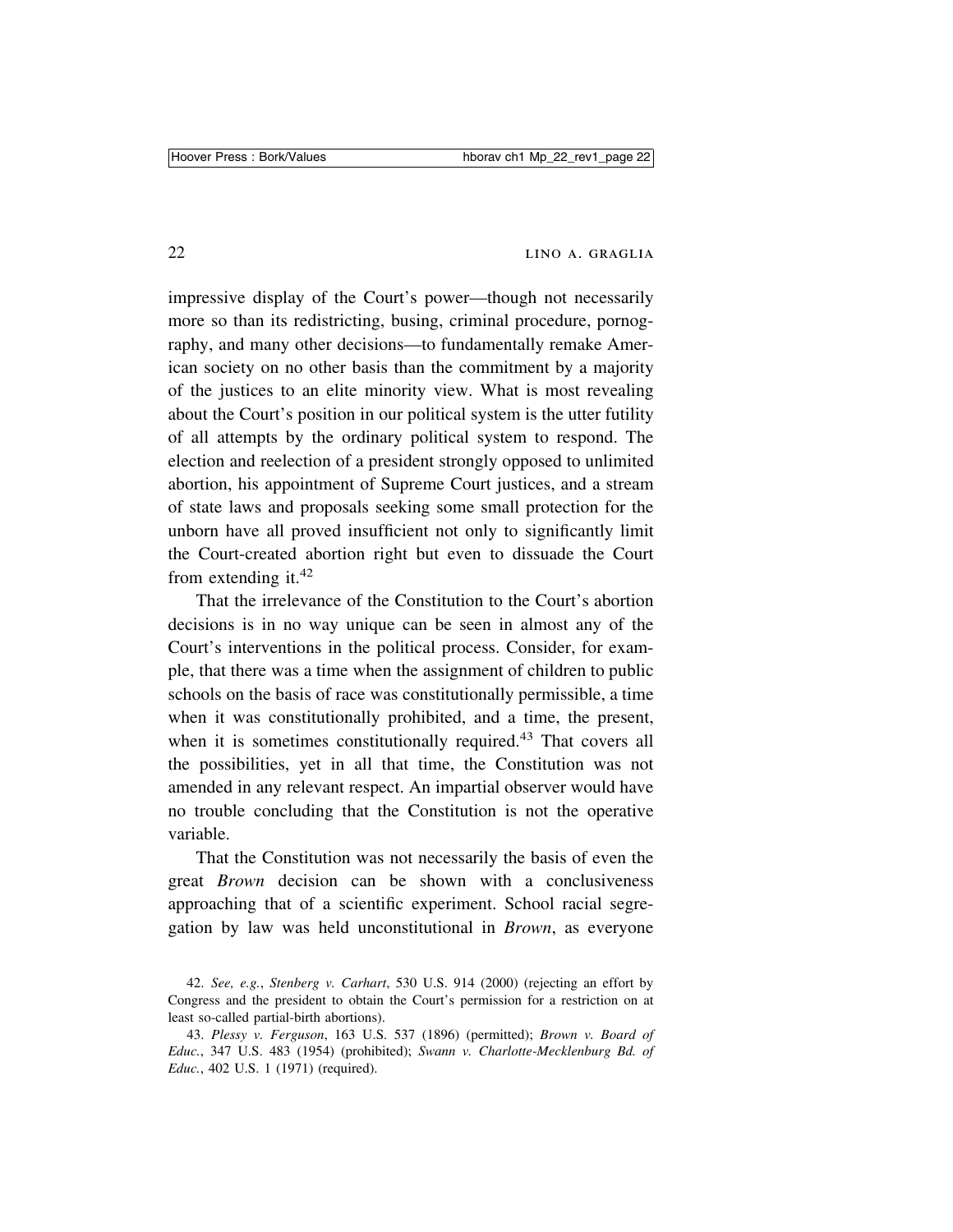impressive display of the Court's power—though not necessarily more so than its redistricting, busing, criminal procedure, pornography, and many other decisions—to fundamentally remake American society on no other basis than the commitment by a majority of the justices to an elite minority view. What is most revealing about the Court's position in our political system is the utter futility of all attempts by the ordinary political system to respond. The election and reelection of a president strongly opposed to unlimited abortion, his appointment of Supreme Court justices, and a stream of state laws and proposals seeking some small protection for the unborn have all proved insufficient not only to significantly limit the Court-created abortion right but even to dissuade the Court from extending it. $42$ 

That the irrelevance of the Constitution to the Court's abortion decisions is in no way unique can be seen in almost any of the Court's interventions in the political process. Consider, for example, that there was a time when the assignment of children to public schools on the basis of race was constitutionally permissible, a time when it was constitutionally prohibited, and a time, the present, when it is sometimes constitutionally required.<sup>43</sup> That covers all the possibilities, yet in all that time, the Constitution was not amended in any relevant respect. An impartial observer would have no trouble concluding that the Constitution is not the operative variable.

That the Constitution was not necessarily the basis of even the great *Brown* decision can be shown with a conclusiveness approaching that of a scientific experiment. School racial segregation by law was held unconstitutional in *Brown*, as everyone

<sup>42.</sup> *See, e.g.*, *Stenberg v. Carhart*, 530 U.S. 914 (2000) (rejecting an effort by Congress and the president to obtain the Court's permission for a restriction on at least so-called partial-birth abortions).

<sup>43.</sup> *Plessy v. Ferguson*, 163 U.S. 537 (1896) (permitted); *Brown v. Board of Educ.*, 347 U.S. 483 (1954) (prohibited); *Swann v. Charlotte-Mecklenburg Bd. of Educ.*, 402 U.S. 1 (1971) (required).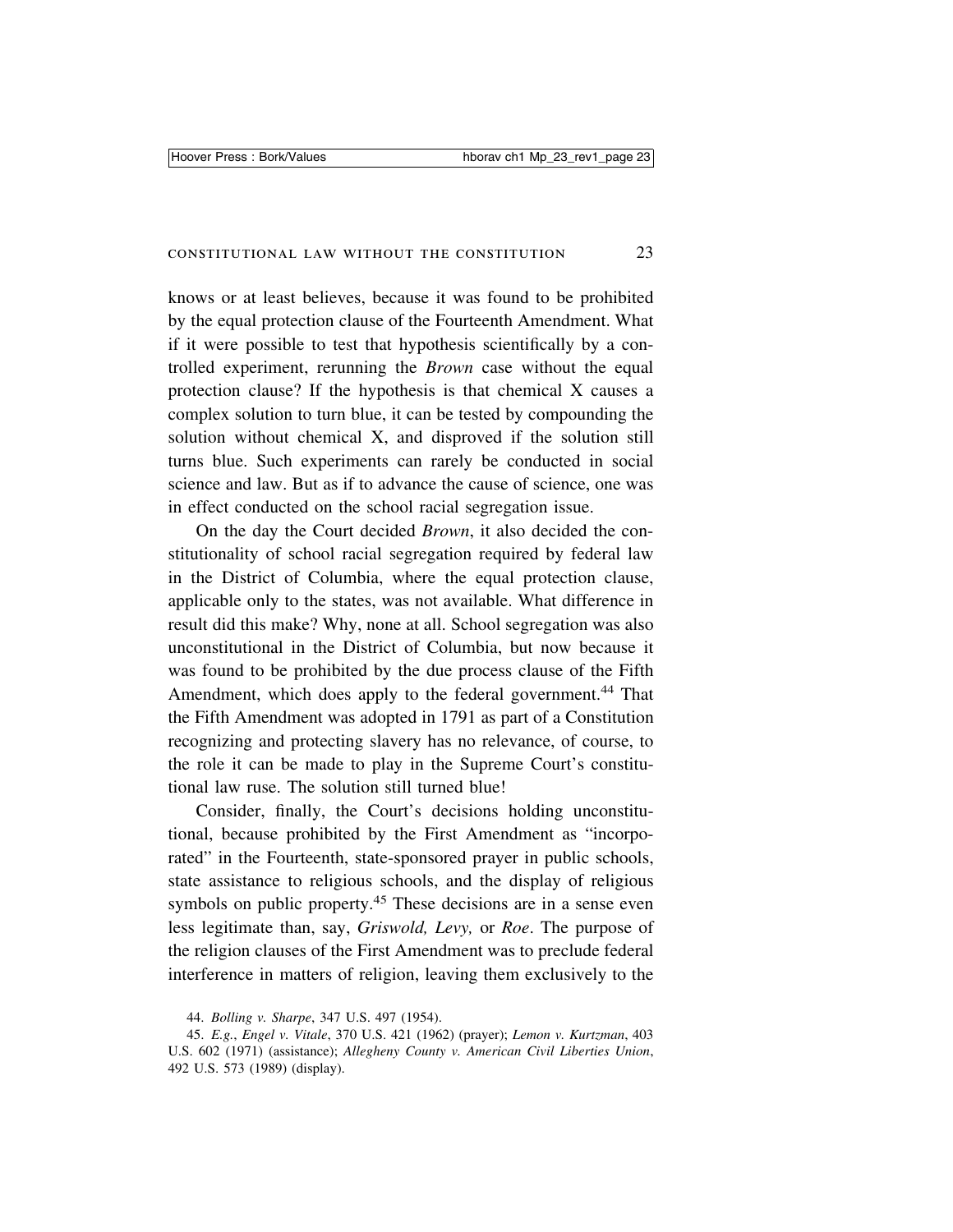knows or at least believes, because it was found to be prohibited by the equal protection clause of the Fourteenth Amendment. What if it were possible to test that hypothesis scientifically by a controlled experiment, rerunning the *Brown* case without the equal protection clause? If the hypothesis is that chemical X causes a complex solution to turn blue, it can be tested by compounding the solution without chemical X, and disproved if the solution still turns blue. Such experiments can rarely be conducted in social science and law. But as if to advance the cause of science, one was in effect conducted on the school racial segregation issue.

On the day the Court decided *Brown*, it also decided the constitutionality of school racial segregation required by federal law in the District of Columbia, where the equal protection clause, applicable only to the states, was not available. What difference in result did this make? Why, none at all. School segregation was also unconstitutional in the District of Columbia, but now because it was found to be prohibited by the due process clause of the Fifth Amendment, which does apply to the federal government.<sup>44</sup> That the Fifth Amendment was adopted in 1791 as part of a Constitution recognizing and protecting slavery has no relevance, of course, to the role it can be made to play in the Supreme Court's constitutional law ruse. The solution still turned blue!

Consider, finally, the Court's decisions holding unconstitutional, because prohibited by the First Amendment as "incorporated" in the Fourteenth, state-sponsored prayer in public schools, state assistance to religious schools, and the display of religious symbols on public property.<sup>45</sup> These decisions are in a sense even less legitimate than, say, *Griswold, Levy,* or *Roe*. The purpose of the religion clauses of the First Amendment was to preclude federal interference in matters of religion, leaving them exclusively to the

45. *E.g.*, *Engel v. Vitale*, 370 U.S. 421 (1962) (prayer); *Lemon v. Kurtzman*, 403 U.S. 602 (1971) (assistance); *Allegheny County v. American Civil Liberties Union*, 492 U.S. 573 (1989) (display).

<sup>44.</sup> *Bolling v. Sharpe*, 347 U.S. 497 (1954).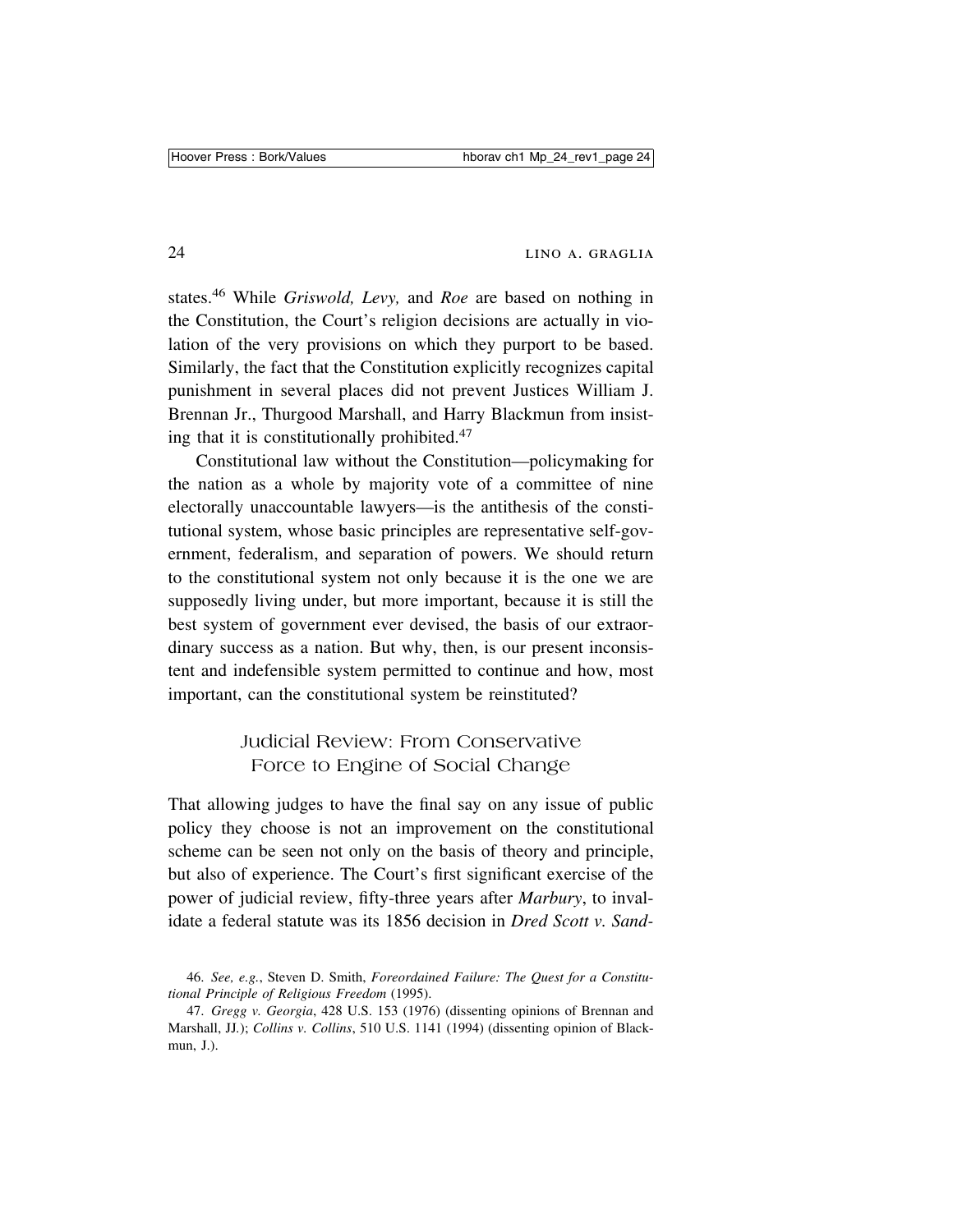states.46 While *Griswold, Levy,* and *Roe* are based on nothing in the Constitution, the Court's religion decisions are actually in violation of the very provisions on which they purport to be based. Similarly, the fact that the Constitution explicitly recognizes capital punishment in several places did not prevent Justices William J. Brennan Jr., Thurgood Marshall, and Harry Blackmun from insisting that it is constitutionally prohibited. $47$ 

Constitutional law without the Constitution—policymaking for the nation as a whole by majority vote of a committee of nine electorally unaccountable lawyers—is the antithesis of the constitutional system, whose basic principles are representative self-government, federalism, and separation of powers. We should return to the constitutional system not only because it is the one we are supposedly living under, but more important, because it is still the best system of government ever devised, the basis of our extraordinary success as a nation. But why, then, is our present inconsistent and indefensible system permitted to continue and how, most important, can the constitutional system be reinstituted?

## Judicial Review: From Conservative Force to Engine of Social Change

That allowing judges to have the final say on any issue of public policy they choose is not an improvement on the constitutional scheme can be seen not only on the basis of theory and principle, but also of experience. The Court's first significant exercise of the power of judicial review, fifty-three years after *Marbury*, to invalidate a federal statute was its 1856 decision in *Dred Scott v. Sand-*

<sup>46.</sup> *See, e.g.*, Steven D. Smith, *Foreordained Failure: The Quest for a Constitutional Principle of Religious Freedom* (1995).

<sup>47.</sup> *Gregg v. Georgia*, 428 U.S. 153 (1976) (dissenting opinions of Brennan and Marshall, JJ*.*); *Collins v. Collins*, 510 U.S. 1141 (1994) (dissenting opinion of Blackmun, J.).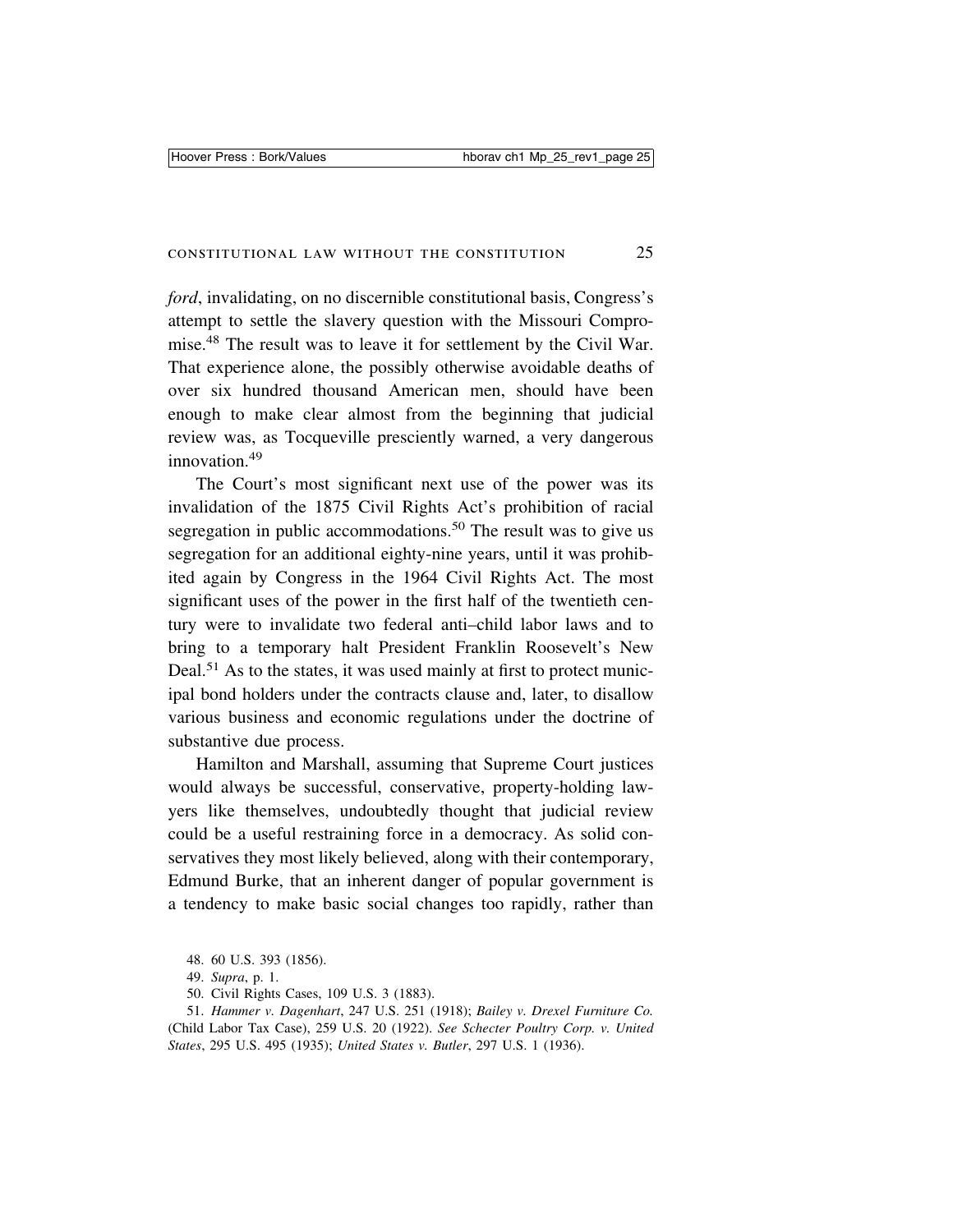*ford*, invalidating, on no discernible constitutional basis, Congress's attempt to settle the slavery question with the Missouri Compromise.48 The result was to leave it for settlement by the Civil War. That experience alone, the possibly otherwise avoidable deaths of over six hundred thousand American men, should have been enough to make clear almost from the beginning that judicial review was, as Tocqueville presciently warned, a very dangerous innovation.<sup>49</sup>

The Court's most significant next use of the power was its invalidation of the 1875 Civil Rights Act's prohibition of racial segregation in public accommodations.<sup>50</sup> The result was to give us segregation for an additional eighty-nine years, until it was prohibited again by Congress in the 1964 Civil Rights Act. The most significant uses of the power in the first half of the twentieth century were to invalidate two federal anti–child labor laws and to bring to a temporary halt President Franklin Roosevelt's New Deal.<sup>51</sup> As to the states, it was used mainly at first to protect municipal bond holders under the contracts clause and, later, to disallow various business and economic regulations under the doctrine of substantive due process.

Hamilton and Marshall, assuming that Supreme Court justices would always be successful, conservative, property-holding lawyers like themselves, undoubtedly thought that judicial review could be a useful restraining force in a democracy. As solid conservatives they most likely believed, along with their contemporary, Edmund Burke, that an inherent danger of popular government is a tendency to make basic social changes too rapidly, rather than

<sup>48. 60</sup> U.S. 393 (1856).

<sup>49.</sup> *Supra*, p. 1.

<sup>50.</sup> Civil Rights Cases, 109 U.S. 3 (1883).

<sup>51.</sup> *Hammer v. Dagenhart*, 247 U.S. 251 (1918); *Bailey v. Drexel Furniture Co.* (Child Labor Tax Case), 259 U.S. 20 (1922). *See Schecter Poultry Corp. v. United States*, 295 U.S. 495 (1935); *United States v. Butler*, 297 U.S. 1 (1936).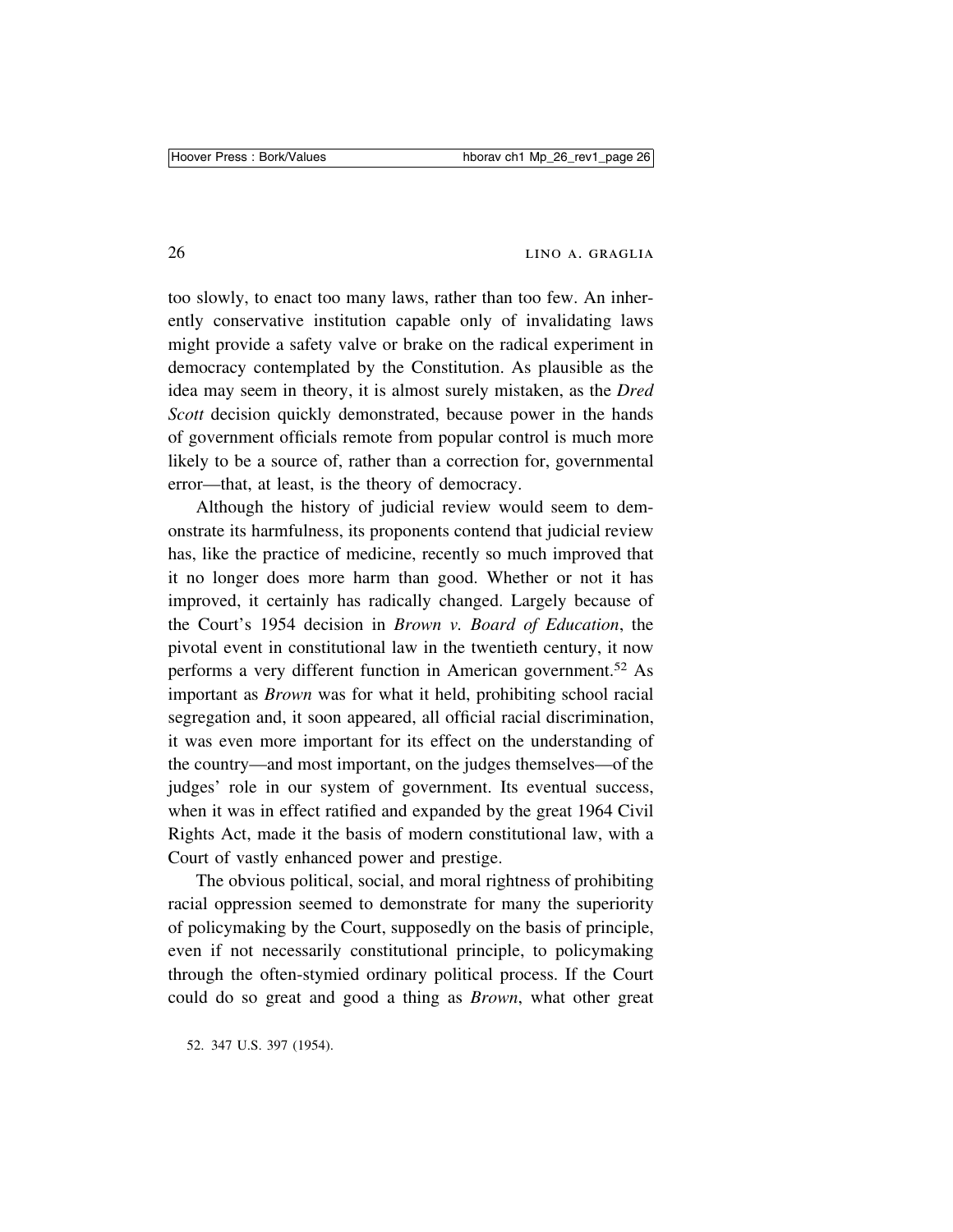too slowly, to enact too many laws, rather than too few. An inherently conservative institution capable only of invalidating laws might provide a safety valve or brake on the radical experiment in democracy contemplated by the Constitution. As plausible as the idea may seem in theory, it is almost surely mistaken, as the *Dred Scott* decision quickly demonstrated, because power in the hands of government officials remote from popular control is much more likely to be a source of, rather than a correction for, governmental error—that, at least, is the theory of democracy.

Although the history of judicial review would seem to demonstrate its harmfulness, its proponents contend that judicial review has, like the practice of medicine, recently so much improved that it no longer does more harm than good. Whether or not it has improved, it certainly has radically changed. Largely because of the Court's 1954 decision in *Brown v. Board of Education*, the pivotal event in constitutional law in the twentieth century, it now performs a very different function in American government.<sup>52</sup> As important as *Brown* was for what it held, prohibiting school racial segregation and, it soon appeared, all official racial discrimination, it was even more important for its effect on the understanding of the country—and most important, on the judges themselves—of the judges' role in our system of government. Its eventual success, when it was in effect ratified and expanded by the great 1964 Civil Rights Act, made it the basis of modern constitutional law, with a Court of vastly enhanced power and prestige.

The obvious political, social, and moral rightness of prohibiting racial oppression seemed to demonstrate for many the superiority of policymaking by the Court, supposedly on the basis of principle, even if not necessarily constitutional principle, to policymaking through the often-stymied ordinary political process. If the Court could do so great and good a thing as *Brown*, what other great

52. 347 U.S. 397 (1954).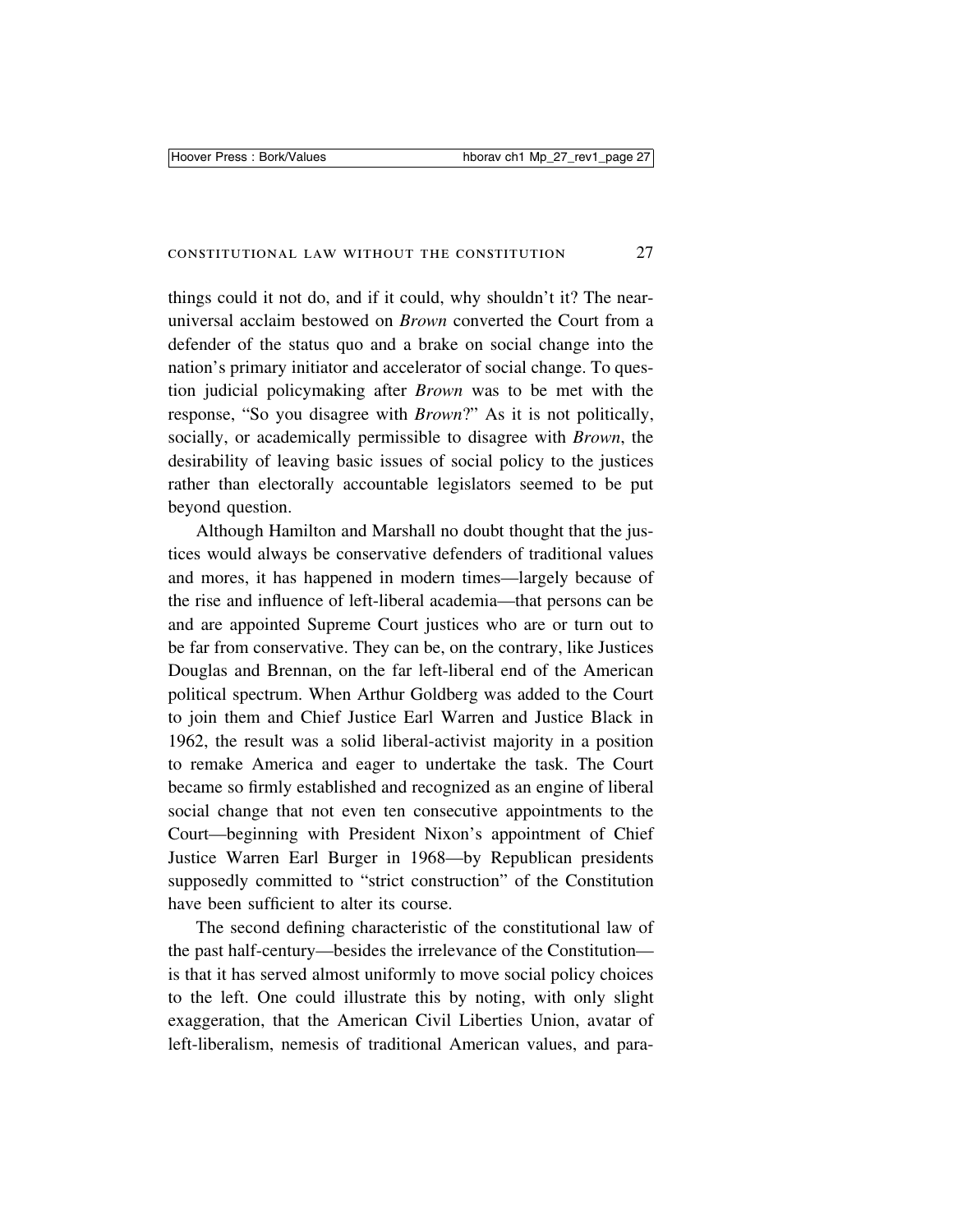things could it not do, and if it could, why shouldn't it? The nearuniversal acclaim bestowed on *Brown* converted the Court from a defender of the status quo and a brake on social change into the nation's primary initiator and accelerator of social change. To question judicial policymaking after *Brown* was to be met with the response, "So you disagree with *Brown*?" As it is not politically, socially, or academically permissible to disagree with *Brown*, the desirability of leaving basic issues of social policy to the justices rather than electorally accountable legislators seemed to be put beyond question.

Although Hamilton and Marshall no doubt thought that the justices would always be conservative defenders of traditional values and mores, it has happened in modern times—largely because of the rise and influence of left-liberal academia—that persons can be and are appointed Supreme Court justices who are or turn out to be far from conservative. They can be, on the contrary, like Justices Douglas and Brennan, on the far left-liberal end of the American political spectrum. When Arthur Goldberg was added to the Court to join them and Chief Justice Earl Warren and Justice Black in 1962, the result was a solid liberal-activist majority in a position to remake America and eager to undertake the task. The Court became so firmly established and recognized as an engine of liberal social change that not even ten consecutive appointments to the Court—beginning with President Nixon's appointment of Chief Justice Warren Earl Burger in 1968—by Republican presidents supposedly committed to "strict construction" of the Constitution have been sufficient to alter its course.

The second defining characteristic of the constitutional law of the past half-century—besides the irrelevance of the Constitution is that it has served almost uniformly to move social policy choices to the left. One could illustrate this by noting, with only slight exaggeration, that the American Civil Liberties Union, avatar of left-liberalism, nemesis of traditional American values, and para-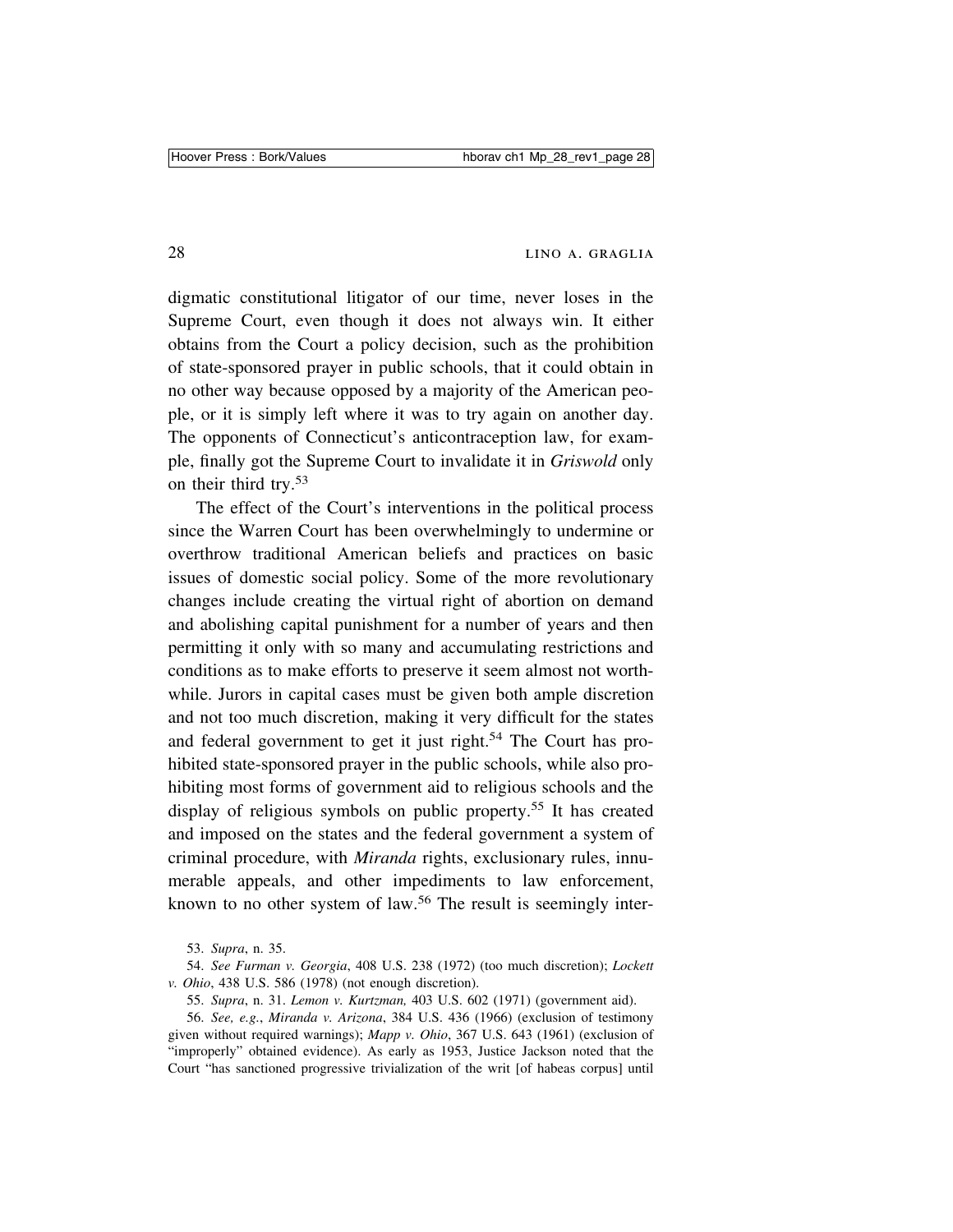#### 28 lino a. GRAGLIA

digmatic constitutional litigator of our time, never loses in the Supreme Court, even though it does not always win. It either obtains from the Court a policy decision, such as the prohibition of state-sponsored prayer in public schools, that it could obtain in no other way because opposed by a majority of the American people, or it is simply left where it was to try again on another day. The opponents of Connecticut's anticontraception law, for example, finally got the Supreme Court to invalidate it in *Griswold* only on their third try.53

The effect of the Court's interventions in the political process since the Warren Court has been overwhelmingly to undermine or overthrow traditional American beliefs and practices on basic issues of domestic social policy. Some of the more revolutionary changes include creating the virtual right of abortion on demand and abolishing capital punishment for a number of years and then permitting it only with so many and accumulating restrictions and conditions as to make efforts to preserve it seem almost not worthwhile. Jurors in capital cases must be given both ample discretion and not too much discretion, making it very difficult for the states and federal government to get it just right.<sup>54</sup> The Court has prohibited state-sponsored prayer in the public schools, while also prohibiting most forms of government aid to religious schools and the display of religious symbols on public property.55 It has created and imposed on the states and the federal government a system of criminal procedure, with *Miranda* rights, exclusionary rules, innumerable appeals, and other impediments to law enforcement, known to no other system of law.<sup>56</sup> The result is seemingly inter-

<sup>53.</sup> *Supra*, n. 35.

<sup>54.</sup> *See Furman v. Georgia*, 408 U.S. 238 (1972) (too much discretion); *Lockett v. Ohio*, 438 U.S. 586 (1978) (not enough discretion).

<sup>55.</sup> *Supra*, n. 31. *Lemon v. Kurtzman,* 403 U.S. 602 (1971) (government aid).

<sup>56.</sup> *See, e.g.*, *Miranda v. Arizona*, 384 U.S. 436 (1966) (exclusion of testimony given without required warnings); *Mapp v. Ohio*, 367 U.S. 643 (1961) (exclusion of "improperly" obtained evidence). As early as 1953, Justice Jackson noted that the Court "has sanctioned progressive trivialization of the writ [of habeas corpus] until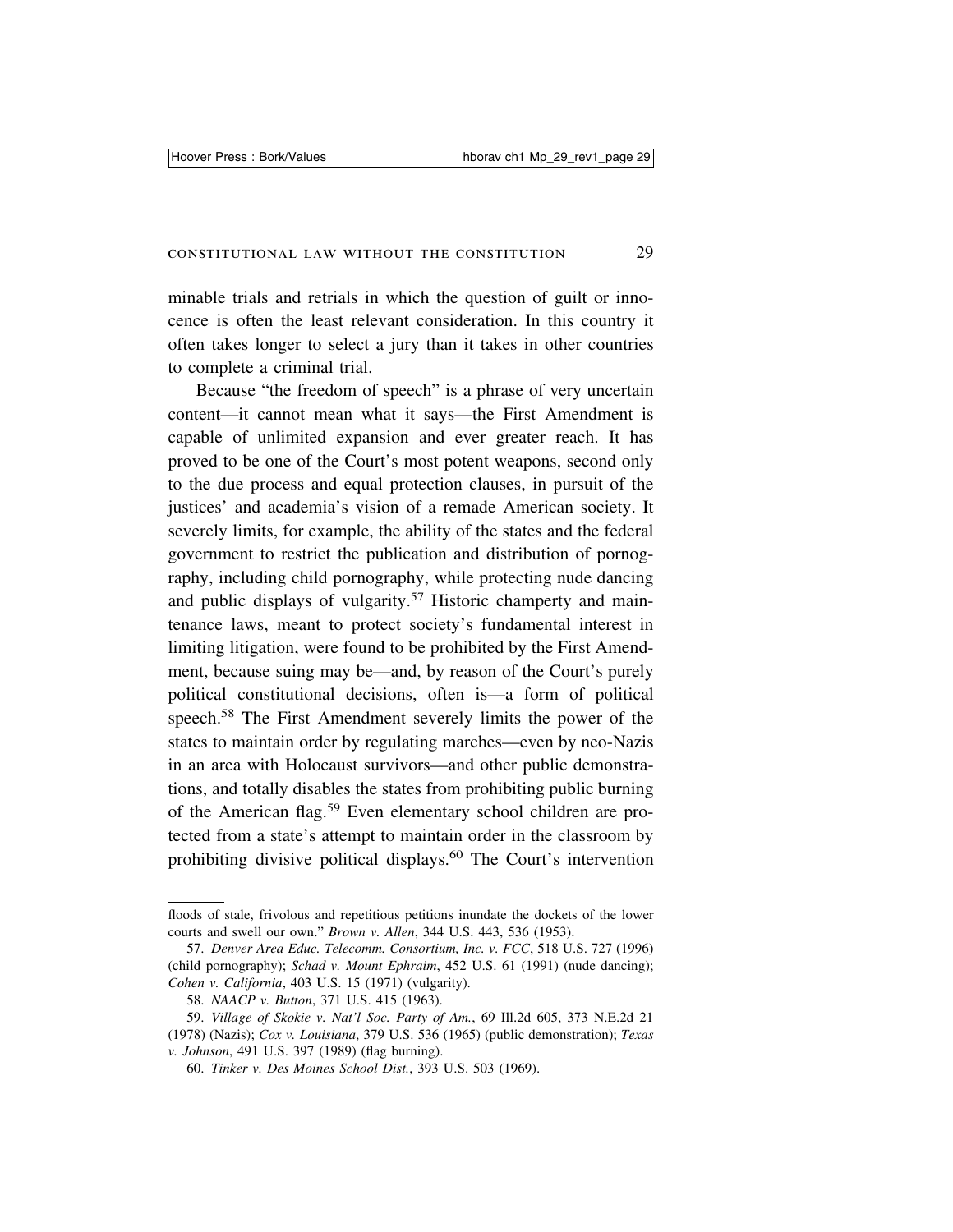minable trials and retrials in which the question of guilt or innocence is often the least relevant consideration. In this country it often takes longer to select a jury than it takes in other countries to complete a criminal trial.

Because "the freedom of speech" is a phrase of very uncertain content—it cannot mean what it says—the First Amendment is capable of unlimited expansion and ever greater reach. It has proved to be one of the Court's most potent weapons, second only to the due process and equal protection clauses, in pursuit of the justices' and academia's vision of a remade American society. It severely limits, for example, the ability of the states and the federal government to restrict the publication and distribution of pornography, including child pornography, while protecting nude dancing and public displays of vulgarity.<sup>57</sup> Historic champerty and maintenance laws, meant to protect society's fundamental interest in limiting litigation, were found to be prohibited by the First Amendment, because suing may be—and, by reason of the Court's purely political constitutional decisions, often is—a form of political speech.58 The First Amendment severely limits the power of the states to maintain order by regulating marches—even by neo-Nazis in an area with Holocaust survivors—and other public demonstrations, and totally disables the states from prohibiting public burning of the American flag.59 Even elementary school children are protected from a state's attempt to maintain order in the classroom by prohibiting divisive political displays.<sup>60</sup> The Court's intervention

floods of stale, frivolous and repetitious petitions inundate the dockets of the lower courts and swell our own." *Brown v. Allen*, 344 U.S. 443, 536 (1953).

<sup>57.</sup> *Denver Area Educ. Telecomm. Consortium, Inc. v. FCC*, 518 U.S. 727 (1996) (child pornography); *Schad v. Mount Ephraim*, 452 U.S. 61 (1991) (nude dancing); *Cohen v. California*, 403 U.S. 15 (1971) (vulgarity).

<sup>58.</sup> *NAACP v. Button*, 371 U.S. 415 (1963).

<sup>59.</sup> *Village of Skokie v. Nat'l Soc. Party of Am.*, 69 Ill.2d 605, 373 N.E.2d 21 (1978) (Nazis); *Cox v. Louisiana*, 379 U.S. 536 (1965) (public demonstration); *Texas v. Johnson*, 491 U.S. 397 (1989) (flag burning).

<sup>60.</sup> *Tinker v. Des Moines School Dist.*, 393 U.S. 503 (1969).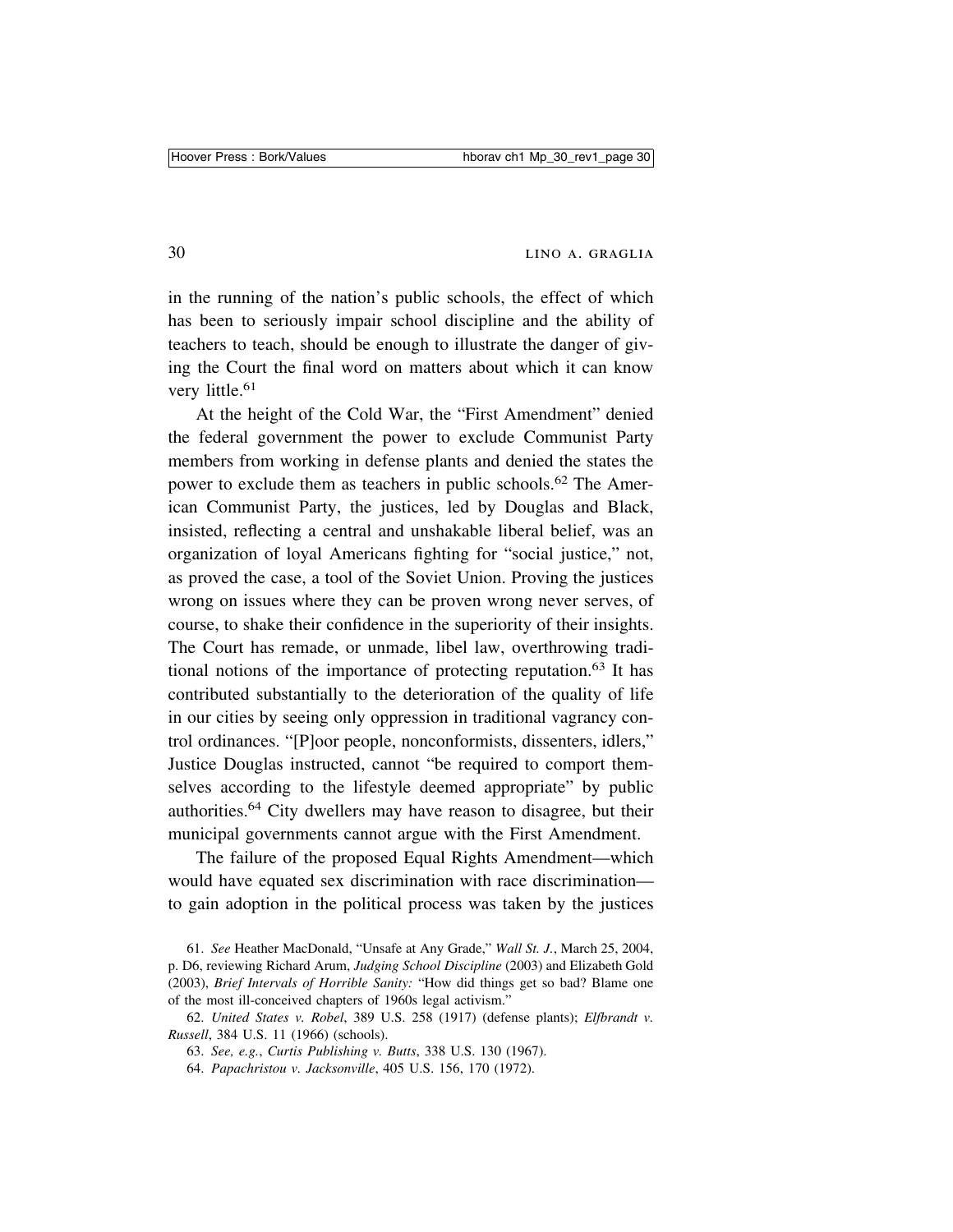in the running of the nation's public schools, the effect of which has been to seriously impair school discipline and the ability of teachers to teach, should be enough to illustrate the danger of giving the Court the final word on matters about which it can know very little.<sup>61</sup>

At the height of the Cold War, the "First Amendment" denied the federal government the power to exclude Communist Party members from working in defense plants and denied the states the power to exclude them as teachers in public schools.<sup>62</sup> The American Communist Party, the justices, led by Douglas and Black, insisted, reflecting a central and unshakable liberal belief, was an organization of loyal Americans fighting for "social justice," not, as proved the case, a tool of the Soviet Union. Proving the justices wrong on issues where they can be proven wrong never serves, of course, to shake their confidence in the superiority of their insights. The Court has remade, or unmade, libel law, overthrowing traditional notions of the importance of protecting reputation.63 It has contributed substantially to the deterioration of the quality of life in our cities by seeing only oppression in traditional vagrancy control ordinances. "[P]oor people, nonconformists, dissenters, idlers," Justice Douglas instructed, cannot "be required to comport themselves according to the lifestyle deemed appropriate" by public authorities.<sup>64</sup> City dwellers may have reason to disagree, but their municipal governments cannot argue with the First Amendment.

The failure of the proposed Equal Rights Amendment—which would have equated sex discrimination with race discrimination to gain adoption in the political process was taken by the justices

<sup>61.</sup> *See* Heather MacDonald, "Unsafe at Any Grade," *Wall St. J.*, March 25, 2004, p. D6, reviewing Richard Arum, *Judging School Discipline* (2003) and Elizabeth Gold (2003), *Brief Intervals of Horrible Sanity:* "How did things get so bad? Blame one of the most ill-conceived chapters of 1960s legal activism."

<sup>62.</sup> *United States v. Robel*, 389 U.S. 258 (1917) (defense plants); *Elfbrandt v. Russell*, 384 U.S. 11 (1966) (schools).

<sup>63.</sup> *See, e.g.*, *Curtis Publishing v. Butts*, 338 U.S. 130 (1967).

<sup>64.</sup> *Papachristou v. Jacksonville*, 405 U.S. 156, 170 (1972).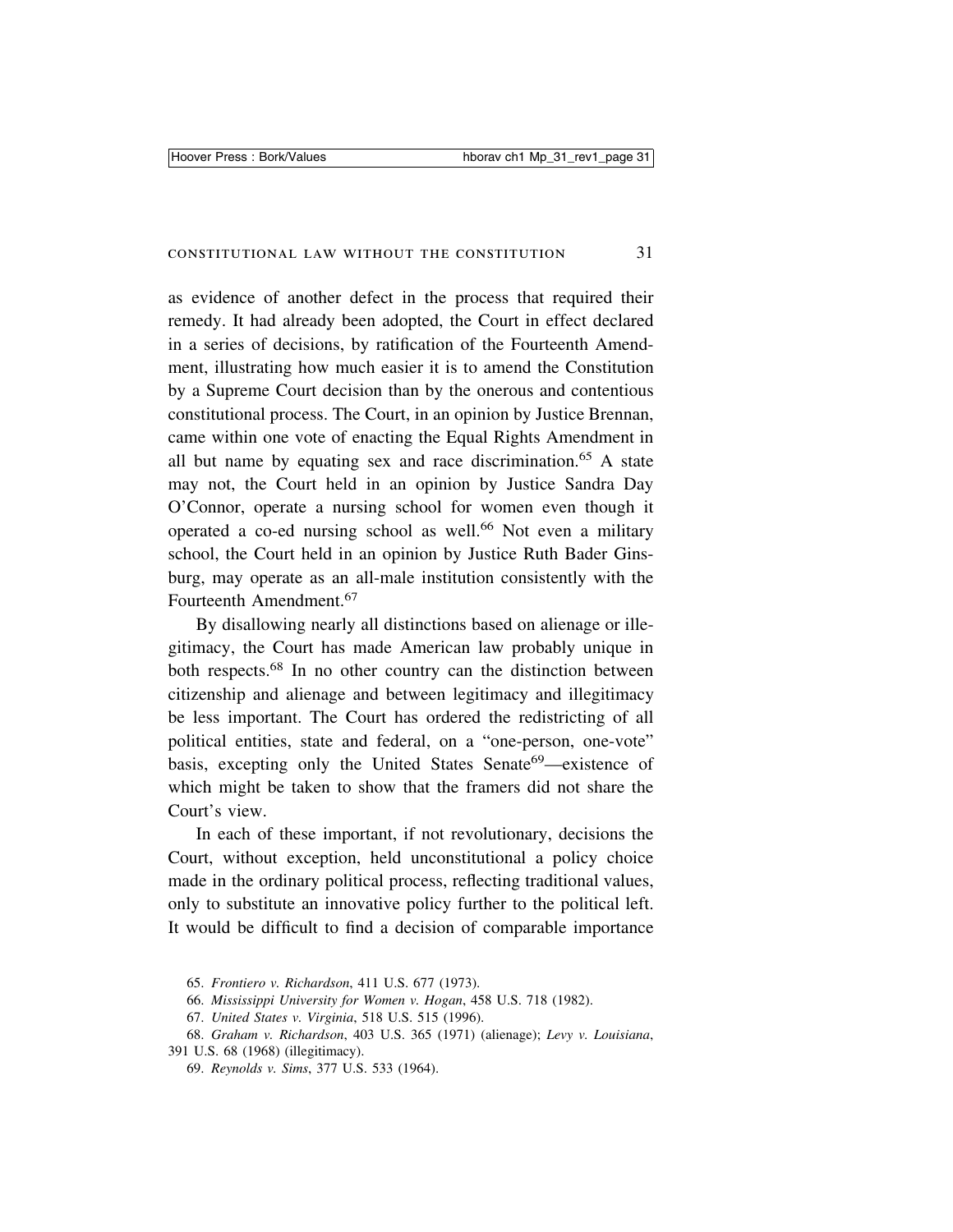as evidence of another defect in the process that required their remedy. It had already been adopted, the Court in effect declared in a series of decisions, by ratification of the Fourteenth Amendment, illustrating how much easier it is to amend the Constitution by a Supreme Court decision than by the onerous and contentious constitutional process. The Court, in an opinion by Justice Brennan, came within one vote of enacting the Equal Rights Amendment in all but name by equating sex and race discrimination.<sup>65</sup> A state may not, the Court held in an opinion by Justice Sandra Day O'Connor, operate a nursing school for women even though it operated a co-ed nursing school as well.<sup>66</sup> Not even a military school, the Court held in an opinion by Justice Ruth Bader Ginsburg, may operate as an all-male institution consistently with the Fourteenth Amendment.67

By disallowing nearly all distinctions based on alienage or illegitimacy, the Court has made American law probably unique in both respects.<sup>68</sup> In no other country can the distinction between citizenship and alienage and between legitimacy and illegitimacy be less important. The Court has ordered the redistricting of all political entities, state and federal, on a "one-person, one-vote" basis, excepting only the United States Senate<sup>69</sup>—existence of which might be taken to show that the framers did not share the Court's view.

In each of these important, if not revolutionary, decisions the Court, without exception, held unconstitutional a policy choice made in the ordinary political process, reflecting traditional values, only to substitute an innovative policy further to the political left. It would be difficult to find a decision of comparable importance

<sup>65.</sup> *Frontiero v. Richardson*, 411 U.S. 677 (1973).

<sup>66.</sup> *Mississippi University for Women v. Hogan*, 458 U.S. 718 (1982).

<sup>67.</sup> *United States v. Virginia*, 518 U.S. 515 (1996).

<sup>68.</sup> *Graham v. Richardson*, 403 U.S. 365 (1971) (alienage); *Levy v. Louisiana*, 391 U.S. 68 (1968) (illegitimacy).

<sup>69.</sup> *Reynolds v. Sims*, 377 U.S. 533 (1964).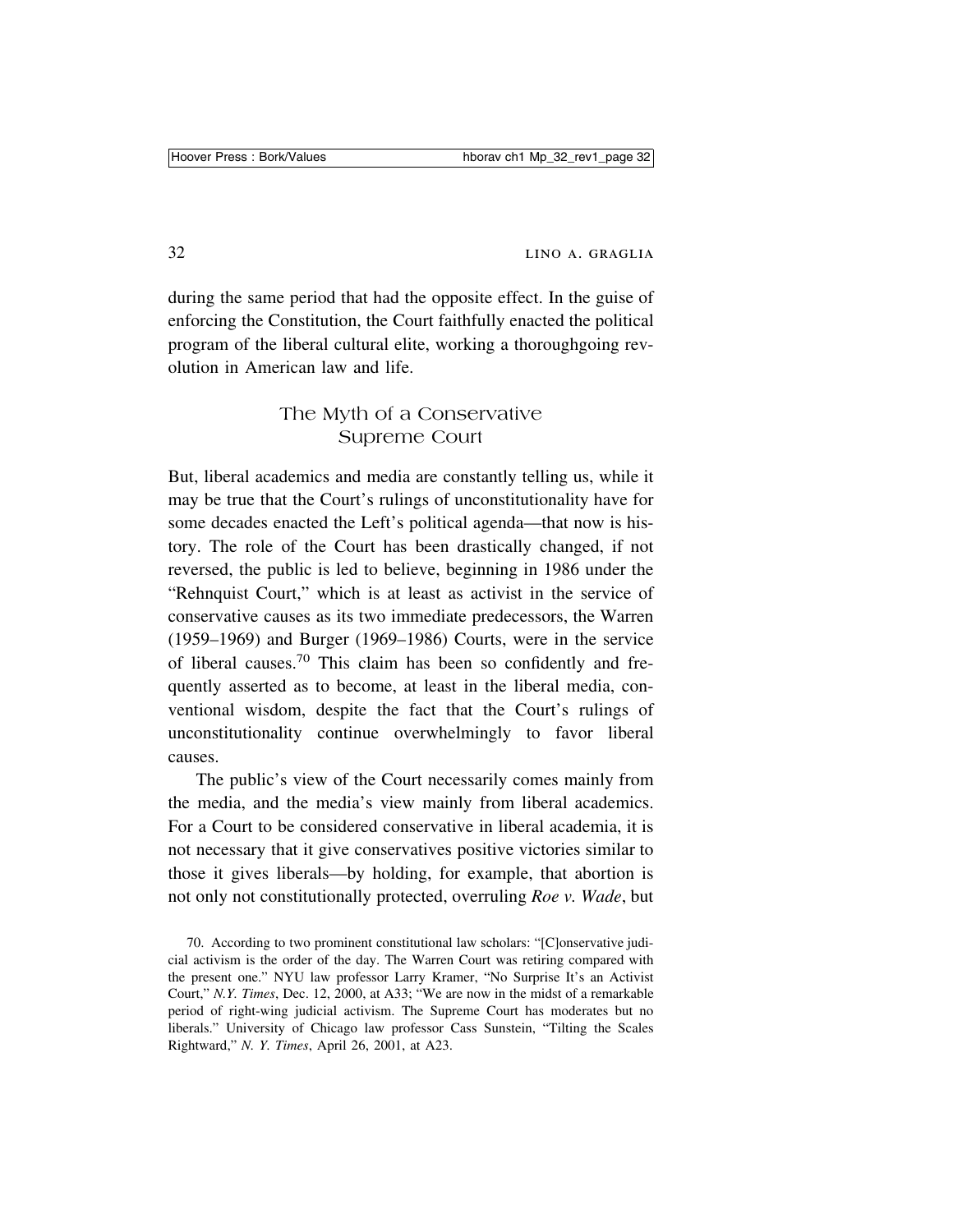during the same period that had the opposite effect. In the guise of enforcing the Constitution, the Court faithfully enacted the political program of the liberal cultural elite, working a thoroughgoing revolution in American law and life.

### The Myth of a Conservative Supreme Court

But, liberal academics and media are constantly telling us, while it may be true that the Court's rulings of unconstitutionality have for some decades enacted the Left's political agenda—that now is history. The role of the Court has been drastically changed, if not reversed, the public is led to believe, beginning in 1986 under the "Rehnquist Court," which is at least as activist in the service of conservative causes as its two immediate predecessors, the Warren (1959–1969) and Burger (1969–1986) Courts, were in the service of liberal causes.70 This claim has been so confidently and frequently asserted as to become, at least in the liberal media, conventional wisdom, despite the fact that the Court's rulings of unconstitutionality continue overwhelmingly to favor liberal causes.

The public's view of the Court necessarily comes mainly from the media, and the media's view mainly from liberal academics. For a Court to be considered conservative in liberal academia, it is not necessary that it give conservatives positive victories similar to those it gives liberals—by holding, for example, that abortion is not only not constitutionally protected, overruling *Roe v. Wade*, but

<sup>70.</sup> According to two prominent constitutional law scholars: "[C]onservative judicial activism is the order of the day. The Warren Court was retiring compared with the present one." NYU law professor Larry Kramer, "No Surprise It's an Activist Court," *N.Y. Times*, Dec. 12, 2000, at A33; "We are now in the midst of a remarkable period of right-wing judicial activism. The Supreme Court has moderates but no liberals." University of Chicago law professor Cass Sunstein, "Tilting the Scales Rightward," *N. Y. Times*, April 26, 2001, at A23.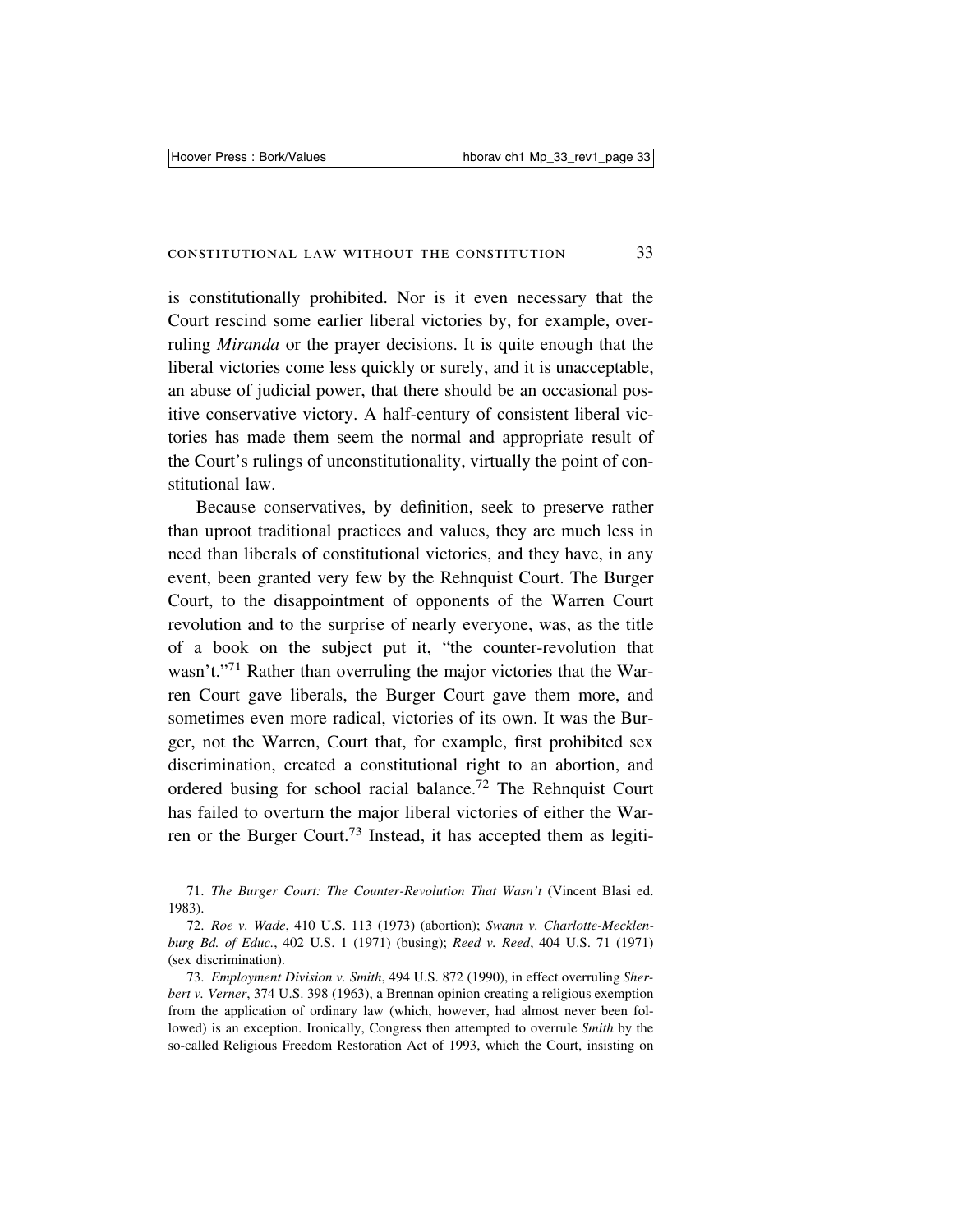is constitutionally prohibited. Nor is it even necessary that the Court rescind some earlier liberal victories by, for example, overruling *Miranda* or the prayer decisions. It is quite enough that the liberal victories come less quickly or surely, and it is unacceptable, an abuse of judicial power, that there should be an occasional positive conservative victory. A half-century of consistent liberal victories has made them seem the normal and appropriate result of the Court's rulings of unconstitutionality, virtually the point of constitutional law.

Because conservatives, by definition, seek to preserve rather than uproot traditional practices and values, they are much less in need than liberals of constitutional victories, and they have, in any event, been granted very few by the Rehnquist Court. The Burger Court, to the disappointment of opponents of the Warren Court revolution and to the surprise of nearly everyone, was, as the title of a book on the subject put it, "the counter-revolution that wasn't."<sup>71</sup> Rather than overruling the major victories that the Warren Court gave liberals, the Burger Court gave them more, and sometimes even more radical, victories of its own. It was the Burger, not the Warren, Court that, for example, first prohibited sex discrimination, created a constitutional right to an abortion, and ordered busing for school racial balance.72 The Rehnquist Court has failed to overturn the major liberal victories of either the Warren or the Burger Court.<sup>73</sup> Instead, it has accepted them as legiti-

72. *Roe v. Wade*, 410 U.S. 113 (1973) (abortion); *Swann v. Charlotte-Mecklenburg Bd. of Educ.*, 402 U.S. 1 (1971) (busing); *Reed v. Reed*, 404 U.S. 71 (1971) (sex discrimination).

73. *Employment Division v. Smith*, 494 U.S. 872 (1990), in effect overruling *Sherbert v. Verner*, 374 U.S. 398 (1963), a Brennan opinion creating a religious exemption from the application of ordinary law (which, however, had almost never been followed) is an exception. Ironically, Congress then attempted to overrule *Smith* by the so-called Religious Freedom Restoration Act of 1993, which the Court, insisting on

<sup>71.</sup> *The Burger Court: The Counter-Revolution That Wasn't* (Vincent Blasi ed. 1983).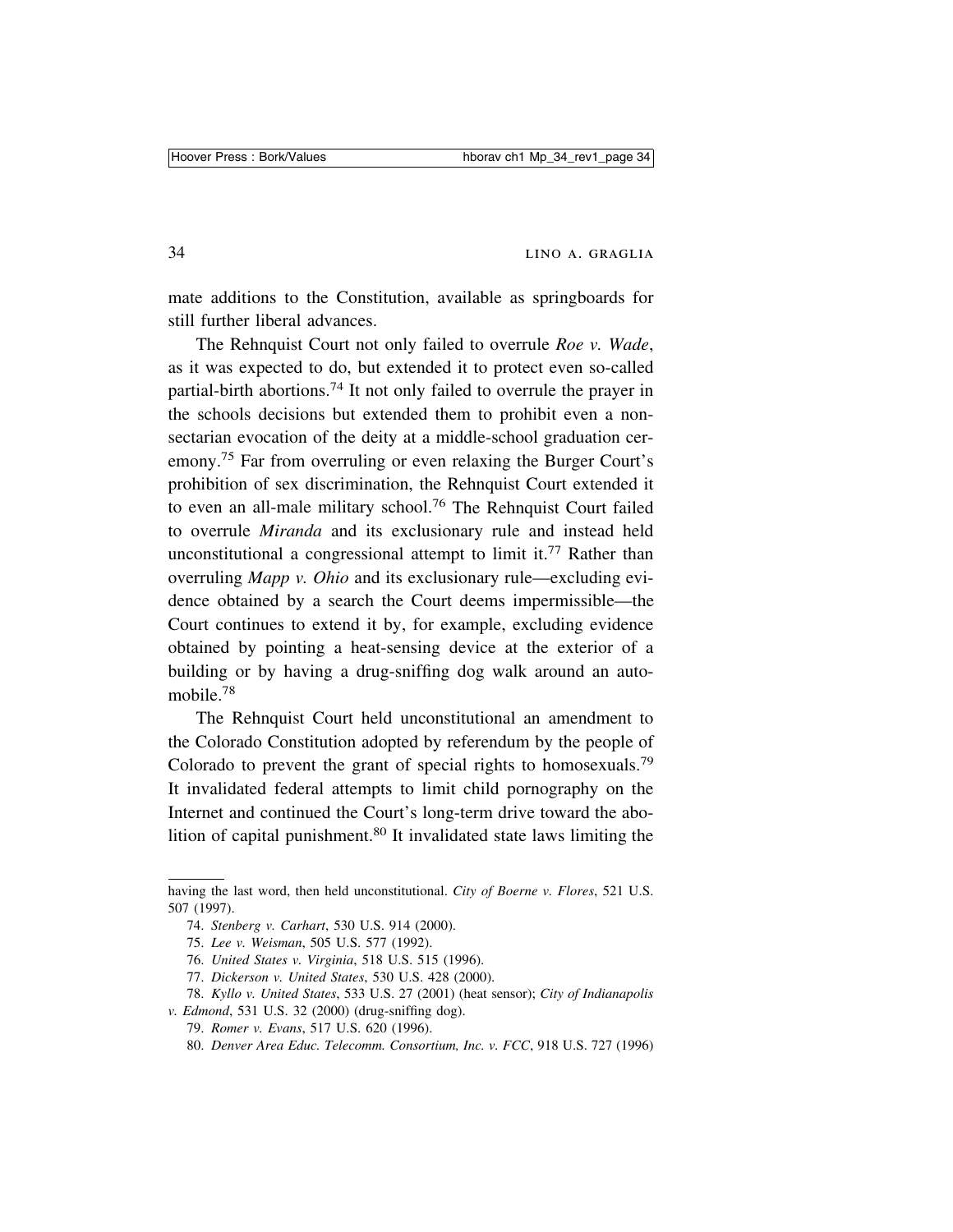mate additions to the Constitution, available as springboards for still further liberal advances.

The Rehnquist Court not only failed to overrule *Roe v. Wade*, as it was expected to do, but extended it to protect even so-called partial-birth abortions.74 It not only failed to overrule the prayer in the schools decisions but extended them to prohibit even a nonsectarian evocation of the deity at a middle-school graduation ceremony.75 Far from overruling or even relaxing the Burger Court's prohibition of sex discrimination, the Rehnquist Court extended it to even an all-male military school.76 The Rehnquist Court failed to overrule *Miranda* and its exclusionary rule and instead held unconstitutional a congressional attempt to limit it.<sup>77</sup> Rather than overruling *Mapp v. Ohio* and its exclusionary rule—excluding evidence obtained by a search the Court deems impermissible—the Court continues to extend it by, for example, excluding evidence obtained by pointing a heat-sensing device at the exterior of a building or by having a drug-sniffing dog walk around an automobile.78

The Rehnquist Court held unconstitutional an amendment to the Colorado Constitution adopted by referendum by the people of Colorado to prevent the grant of special rights to homosexuals.<sup>79</sup> It invalidated federal attempts to limit child pornography on the Internet and continued the Court's long-term drive toward the abolition of capital punishment. $80$  It invalidated state laws limiting the

having the last word, then held unconstitutional. *City of Boerne v. Flores*, 521 U.S. 507 (1997).

<sup>74.</sup> *Stenberg v. Carhart*, 530 U.S. 914 (2000).

<sup>75.</sup> *Lee v. Weisman*, 505 U.S. 577 (1992).

<sup>76.</sup> *United States v. Virginia*, 518 U.S. 515 (1996).

<sup>77.</sup> *Dickerson v. United States*, 530 U.S. 428 (2000).

<sup>78.</sup> *Kyllo v. United States*, 533 U.S. 27 (2001) (heat sensor); *City of Indianapolis*

*v. Edmond*, 531 U.S. 32 (2000) (drug-sniffing dog).

<sup>79.</sup> *Romer v. Evans*, 517 U.S. 620 (1996).

<sup>80.</sup> *Denver Area Educ. Telecomm. Consortium, Inc. v. FCC*, 918 U.S. 727 (1996)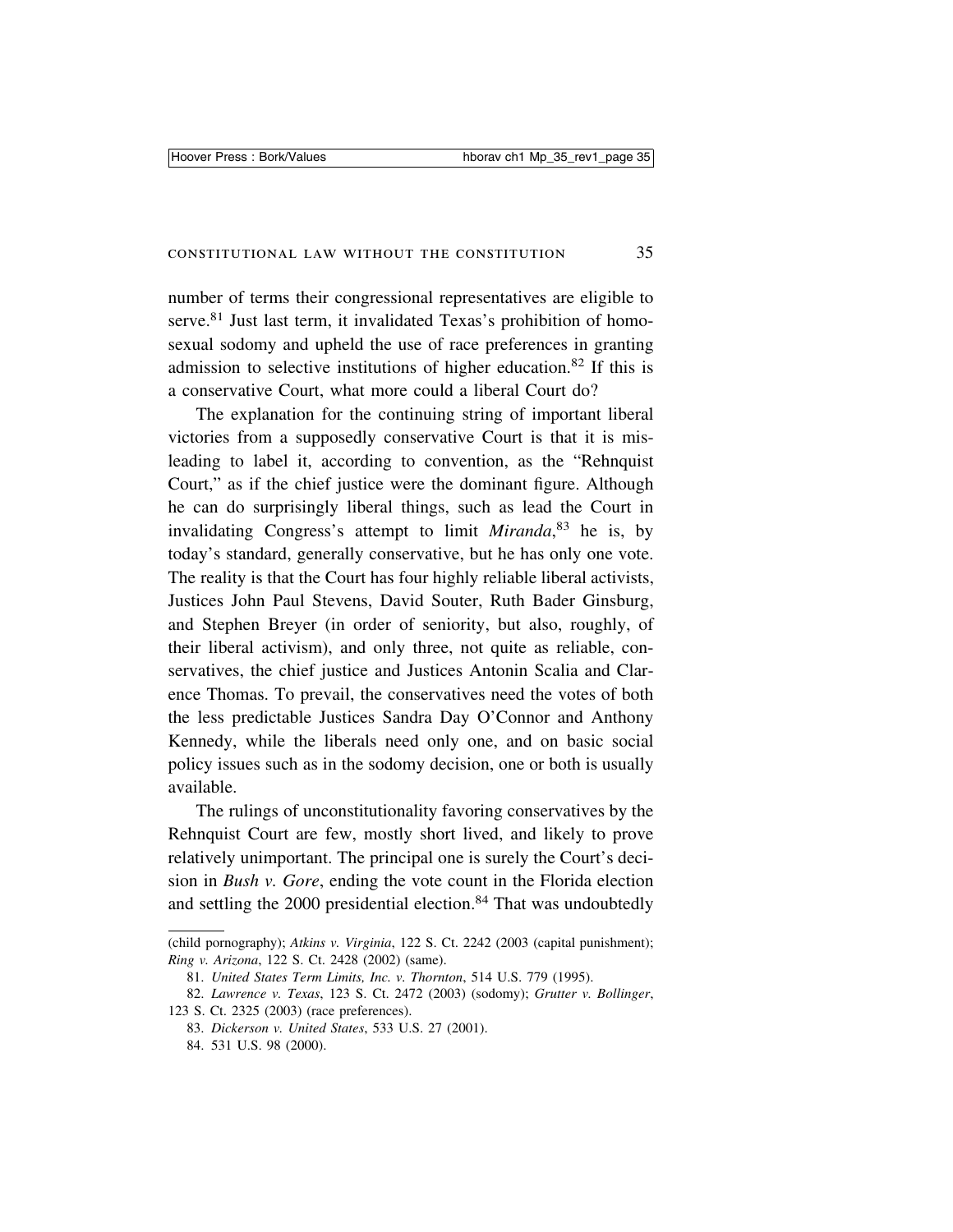number of terms their congressional representatives are eligible to serve.<sup>81</sup> Just last term, it invalidated Texas's prohibition of homosexual sodomy and upheld the use of race preferences in granting admission to selective institutions of higher education.82 If this is a conservative Court, what more could a liberal Court do?

The explanation for the continuing string of important liberal victories from a supposedly conservative Court is that it is misleading to label it, according to convention, as the "Rehnquist Court," as if the chief justice were the dominant figure. Although he can do surprisingly liberal things, such as lead the Court in invalidating Congress's attempt to limit *Miranda*, <sup>83</sup> he is, by today's standard, generally conservative, but he has only one vote. The reality is that the Court has four highly reliable liberal activists, Justices John Paul Stevens, David Souter, Ruth Bader Ginsburg, and Stephen Breyer (in order of seniority, but also, roughly, of their liberal activism), and only three, not quite as reliable, conservatives, the chief justice and Justices Antonin Scalia and Clarence Thomas. To prevail, the conservatives need the votes of both the less predictable Justices Sandra Day O'Connor and Anthony Kennedy, while the liberals need only one, and on basic social policy issues such as in the sodomy decision, one or both is usually available.

The rulings of unconstitutionality favoring conservatives by the Rehnquist Court are few, mostly short lived, and likely to prove relatively unimportant. The principal one is surely the Court's decision in *Bush v. Gore*, ending the vote count in the Florida election and settling the 2000 presidential election.<sup>84</sup> That was undoubtedly

82. *Lawrence v. Texas*, 123 S. Ct. 2472 (2003) (sodomy); *Grutter v. Bollinger*, 123 S. Ct. 2325 (2003) (race preferences).

<sup>(</sup>child pornography); *Atkins v. Virginia*, 122 S. Ct. 2242 (2003 (capital punishment); *Ring v. Arizona*, 122 S. Ct. 2428 (2002) (same).

<sup>81.</sup> *United States Term Limits, Inc. v. Thornton*, 514 U.S. 779 (1995).

<sup>83.</sup> *Dickerson v. United States*, 533 U.S. 27 (2001).

<sup>84. 531</sup> U.S. 98 (2000).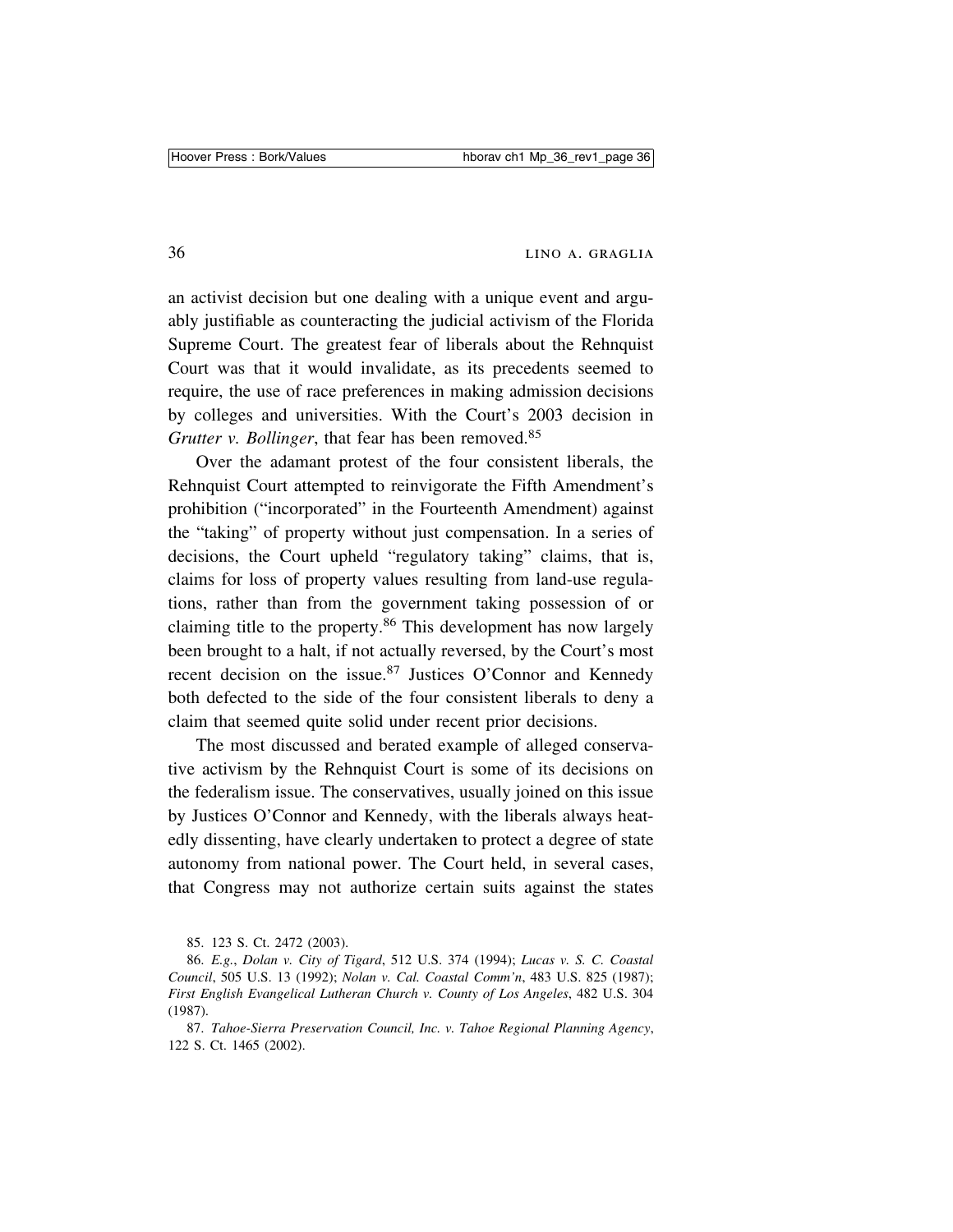an activist decision but one dealing with a unique event and arguably justifiable as counteracting the judicial activism of the Florida Supreme Court. The greatest fear of liberals about the Rehnquist Court was that it would invalidate, as its precedents seemed to require, the use of race preferences in making admission decisions by colleges and universities. With the Court's 2003 decision in *Grutter v. Bollinger*, that fear has been removed.<sup>85</sup>

Over the adamant protest of the four consistent liberals, the Rehnquist Court attempted to reinvigorate the Fifth Amendment's prohibition ("incorporated" in the Fourteenth Amendment) against the "taking" of property without just compensation. In a series of decisions, the Court upheld "regulatory taking" claims, that is, claims for loss of property values resulting from land-use regulations, rather than from the government taking possession of or claiming title to the property.<sup>86</sup> This development has now largely been brought to a halt, if not actually reversed, by the Court's most recent decision on the issue.<sup>87</sup> Justices O'Connor and Kennedy both defected to the side of the four consistent liberals to deny a claim that seemed quite solid under recent prior decisions.

The most discussed and berated example of alleged conservative activism by the Rehnquist Court is some of its decisions on the federalism issue. The conservatives, usually joined on this issue by Justices O'Connor and Kennedy, with the liberals always heatedly dissenting, have clearly undertaken to protect a degree of state autonomy from national power. The Court held, in several cases, that Congress may not authorize certain suits against the states

<sup>85. 123</sup> S. Ct. 2472 (2003).

<sup>86.</sup> *E.g.*, *Dolan v. City of Tigard*, 512 U.S. 374 (1994); *Lucas v. S. C. Coastal Council*, 505 U.S. 13 (1992); *Nolan v. Cal. Coastal Comm'n*, 483 U.S. 825 (1987); *First English Evangelical Lutheran Church v. County of Los Angeles*, 482 U.S. 304 (1987).

<sup>87.</sup> *Tahoe-Sierra Preservation Council, Inc. v. Tahoe Regional Planning Agency*, 122 S. Ct. 1465 (2002).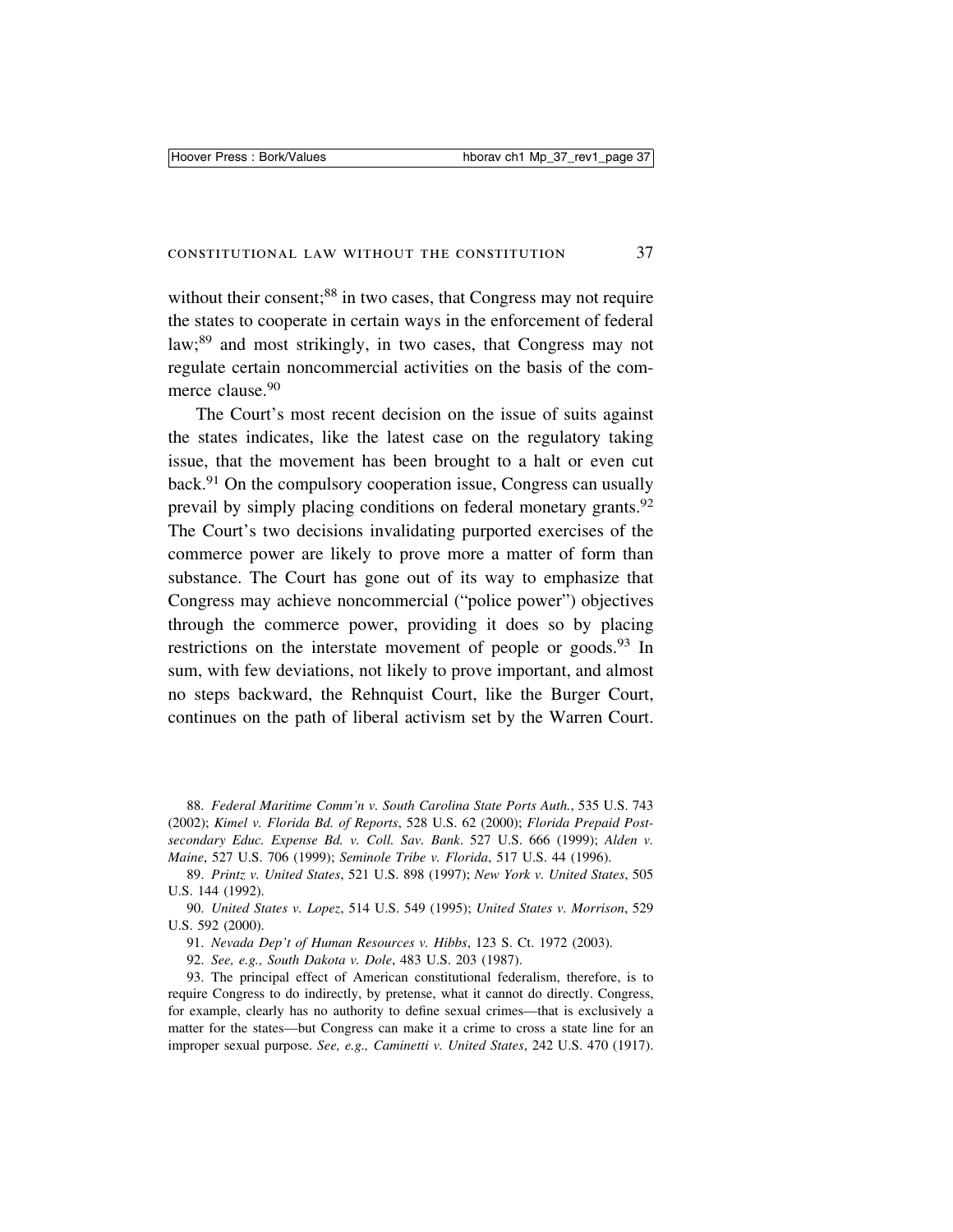without their consent;<sup>88</sup> in two cases, that Congress may not require the states to cooperate in certain ways in the enforcement of federal law;<sup>89</sup> and most strikingly, in two cases, that Congress may not regulate certain noncommercial activities on the basis of the commerce clause.<sup>90</sup>

The Court's most recent decision on the issue of suits against the states indicates, like the latest case on the regulatory taking issue, that the movement has been brought to a halt or even cut back.<sup>91</sup> On the compulsory cooperation issue, Congress can usually prevail by simply placing conditions on federal monetary grants.<sup>92</sup> The Court's two decisions invalidating purported exercises of the commerce power are likely to prove more a matter of form than substance. The Court has gone out of its way to emphasize that Congress may achieve noncommercial ("police power") objectives through the commerce power, providing it does so by placing restrictions on the interstate movement of people or goods.<sup>93</sup> In sum, with few deviations, not likely to prove important, and almost no steps backward, the Rehnquist Court, like the Burger Court, continues on the path of liberal activism set by the Warren Court.

<sup>88.</sup> *Federal Maritime Comm'n v. South Carolina State Ports Auth.*, 535 U.S. 743 (2002); *Kimel v. Florida Bd. of Reports*, 528 U.S. 62 (2000); *Florida Prepaid Postsecondary Educ. Expense Bd. v. Coll. Sav. Bank*. 527 U.S. 666 (1999); *Alden v. Maine*, 527 U.S. 706 (1999); *Seminole Tribe v. Florida*, 517 U.S. 44 (1996).

<sup>89.</sup> *Printz v. United States*, 521 U.S. 898 (1997); *New York v. United States*, 505 U.S. 144 (1992).

<sup>90.</sup> *United States v. Lopez*, 514 U.S. 549 (1995); *United States v. Morrison*, 529 U.S. 592 (2000).

<sup>91.</sup> *Nevada Dep't of Human Resources v. Hibbs*, 123 S. Ct. 1972 (2003).

<sup>92.</sup> *See, e.g., South Dakota v. Dole*, 483 U.S. 203 (1987).

<sup>93.</sup> The principal effect of American constitutional federalism, therefore, is to require Congress to do indirectly, by pretense, what it cannot do directly. Congress, for example, clearly has no authority to define sexual crimes—that is exclusively a matter for the states—but Congress can make it a crime to cross a state line for an improper sexual purpose. *See, e.g., Caminetti v. United States*, 242 U.S. 470 (1917).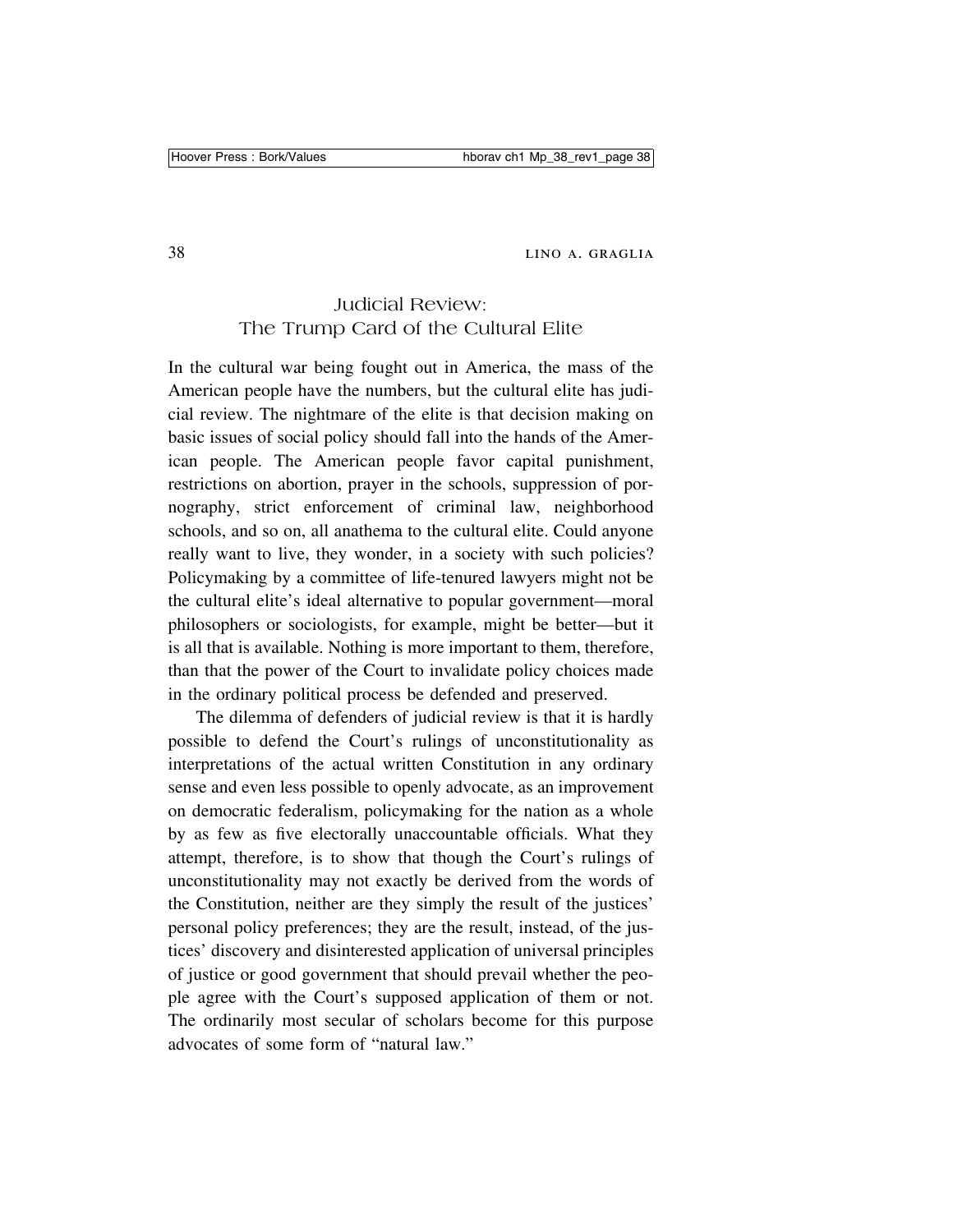## Judicial Review: The Trump Card of the Cultural Elite

In the cultural war being fought out in America, the mass of the American people have the numbers, but the cultural elite has judicial review. The nightmare of the elite is that decision making on basic issues of social policy should fall into the hands of the American people. The American people favor capital punishment, restrictions on abortion, prayer in the schools, suppression of pornography, strict enforcement of criminal law, neighborhood schools, and so on, all anathema to the cultural elite. Could anyone really want to live, they wonder, in a society with such policies? Policymaking by a committee of life-tenured lawyers might not be the cultural elite's ideal alternative to popular government—moral philosophers or sociologists, for example, might be better—but it is all that is available. Nothing is more important to them, therefore, than that the power of the Court to invalidate policy choices made in the ordinary political process be defended and preserved.

The dilemma of defenders of judicial review is that it is hardly possible to defend the Court's rulings of unconstitutionality as interpretations of the actual written Constitution in any ordinary sense and even less possible to openly advocate, as an improvement on democratic federalism, policymaking for the nation as a whole by as few as five electorally unaccountable officials. What they attempt, therefore, is to show that though the Court's rulings of unconstitutionality may not exactly be derived from the words of the Constitution, neither are they simply the result of the justices' personal policy preferences; they are the result, instead, of the justices' discovery and disinterested application of universal principles of justice or good government that should prevail whether the people agree with the Court's supposed application of them or not. The ordinarily most secular of scholars become for this purpose advocates of some form of "natural law."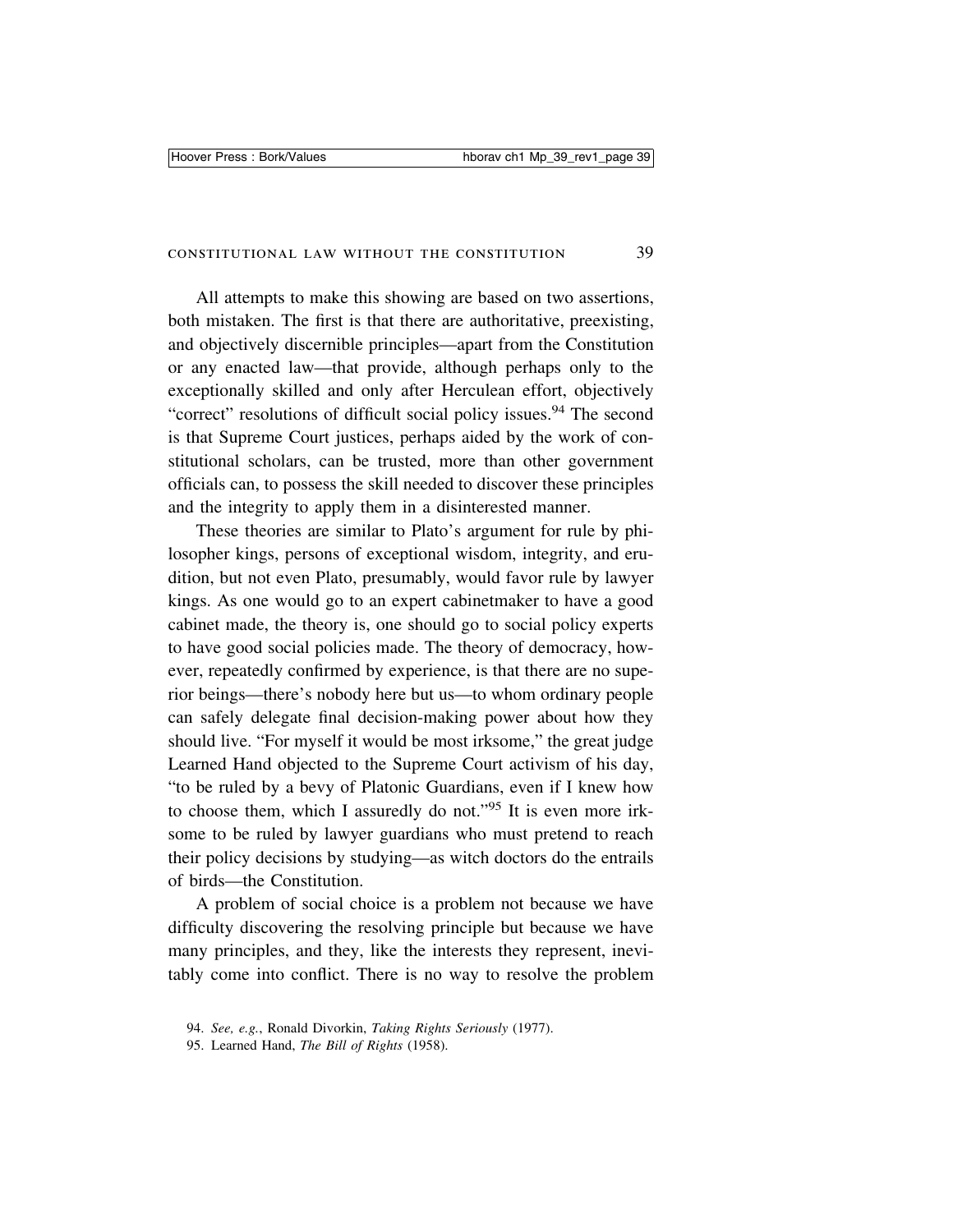All attempts to make this showing are based on two assertions, both mistaken. The first is that there are authoritative, preexisting, and objectively discernible principles—apart from the Constitution or any enacted law—that provide, although perhaps only to the exceptionally skilled and only after Herculean effort, objectively "correct" resolutions of difficult social policy issues.<sup>94</sup> The second is that Supreme Court justices, perhaps aided by the work of constitutional scholars, can be trusted, more than other government officials can, to possess the skill needed to discover these principles and the integrity to apply them in a disinterested manner.

These theories are similar to Plato's argument for rule by philosopher kings, persons of exceptional wisdom, integrity, and erudition, but not even Plato, presumably, would favor rule by lawyer kings. As one would go to an expert cabinetmaker to have a good cabinet made, the theory is, one should go to social policy experts to have good social policies made. The theory of democracy, however, repeatedly confirmed by experience, is that there are no superior beings—there's nobody here but us—to whom ordinary people can safely delegate final decision-making power about how they should live. "For myself it would be most irksome," the great judge Learned Hand objected to the Supreme Court activism of his day, "to be ruled by a bevy of Platonic Guardians, even if I knew how to choose them, which I assuredly do not."95 It is even more irksome to be ruled by lawyer guardians who must pretend to reach their policy decisions by studying—as witch doctors do the entrails of birds—the Constitution.

A problem of social choice is a problem not because we have difficulty discovering the resolving principle but because we have many principles, and they, like the interests they represent, inevitably come into conflict. There is no way to resolve the problem

<sup>94.</sup> *See, e.g.*, Ronald Divorkin, *Taking Rights Seriously* (1977).

<sup>95.</sup> Learned Hand, *The Bill of Rights* (1958).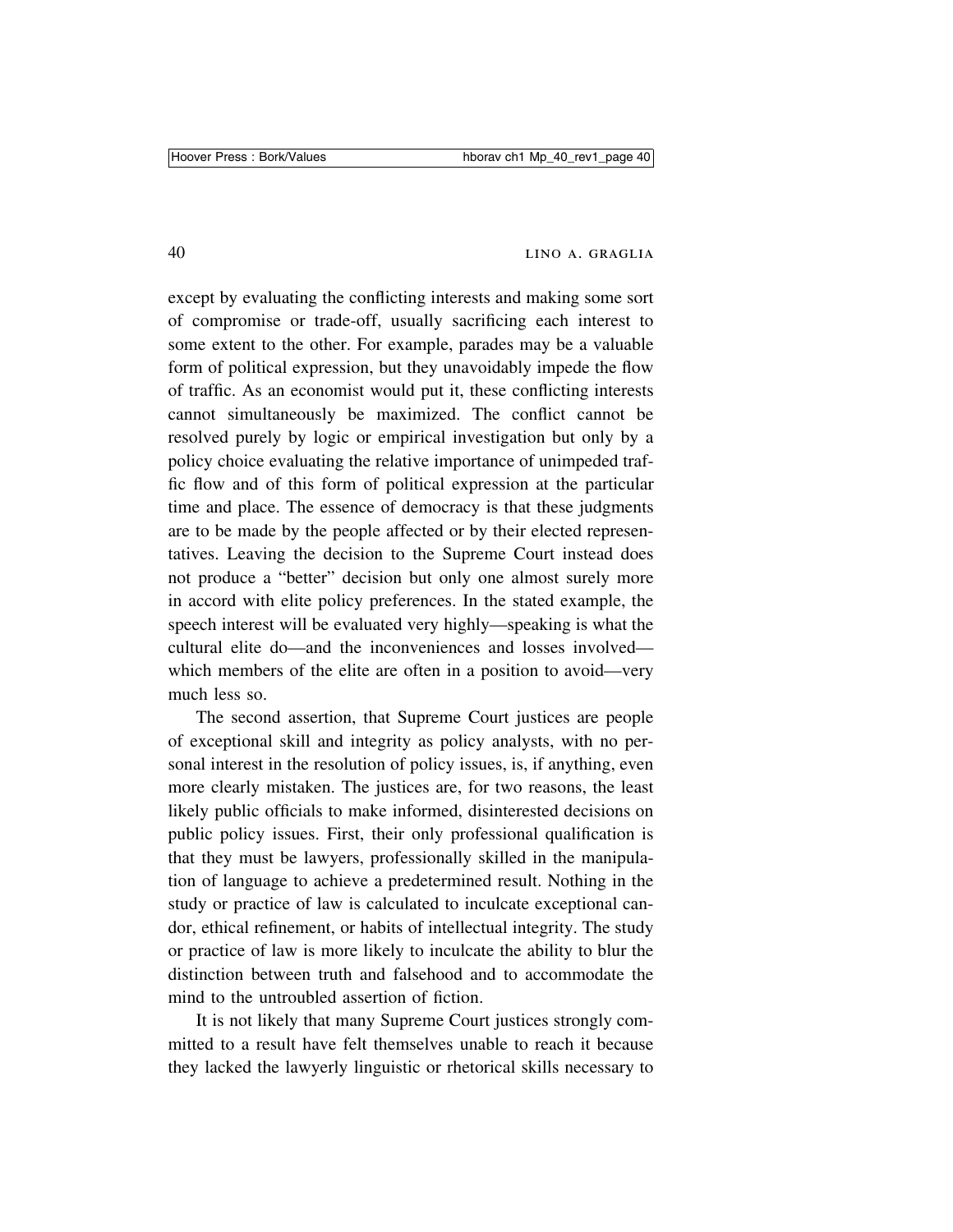except by evaluating the conflicting interests and making some sort of compromise or trade-off, usually sacrificing each interest to some extent to the other. For example, parades may be a valuable form of political expression, but they unavoidably impede the flow of traffic. As an economist would put it, these conflicting interests cannot simultaneously be maximized. The conflict cannot be resolved purely by logic or empirical investigation but only by a policy choice evaluating the relative importance of unimpeded traffic flow and of this form of political expression at the particular time and place. The essence of democracy is that these judgments are to be made by the people affected or by their elected representatives. Leaving the decision to the Supreme Court instead does not produce a "better" decision but only one almost surely more in accord with elite policy preferences. In the stated example, the speech interest will be evaluated very highly—speaking is what the cultural elite do—and the inconveniences and losses involved which members of the elite are often in a position to avoid—very much less so.

The second assertion, that Supreme Court justices are people of exceptional skill and integrity as policy analysts, with no personal interest in the resolution of policy issues, is, if anything, even more clearly mistaken. The justices are, for two reasons, the least likely public officials to make informed, disinterested decisions on public policy issues. First, their only professional qualification is that they must be lawyers, professionally skilled in the manipulation of language to achieve a predetermined result. Nothing in the study or practice of law is calculated to inculcate exceptional candor, ethical refinement, or habits of intellectual integrity. The study or practice of law is more likely to inculcate the ability to blur the distinction between truth and falsehood and to accommodate the mind to the untroubled assertion of fiction.

It is not likely that many Supreme Court justices strongly committed to a result have felt themselves unable to reach it because they lacked the lawyerly linguistic or rhetorical skills necessary to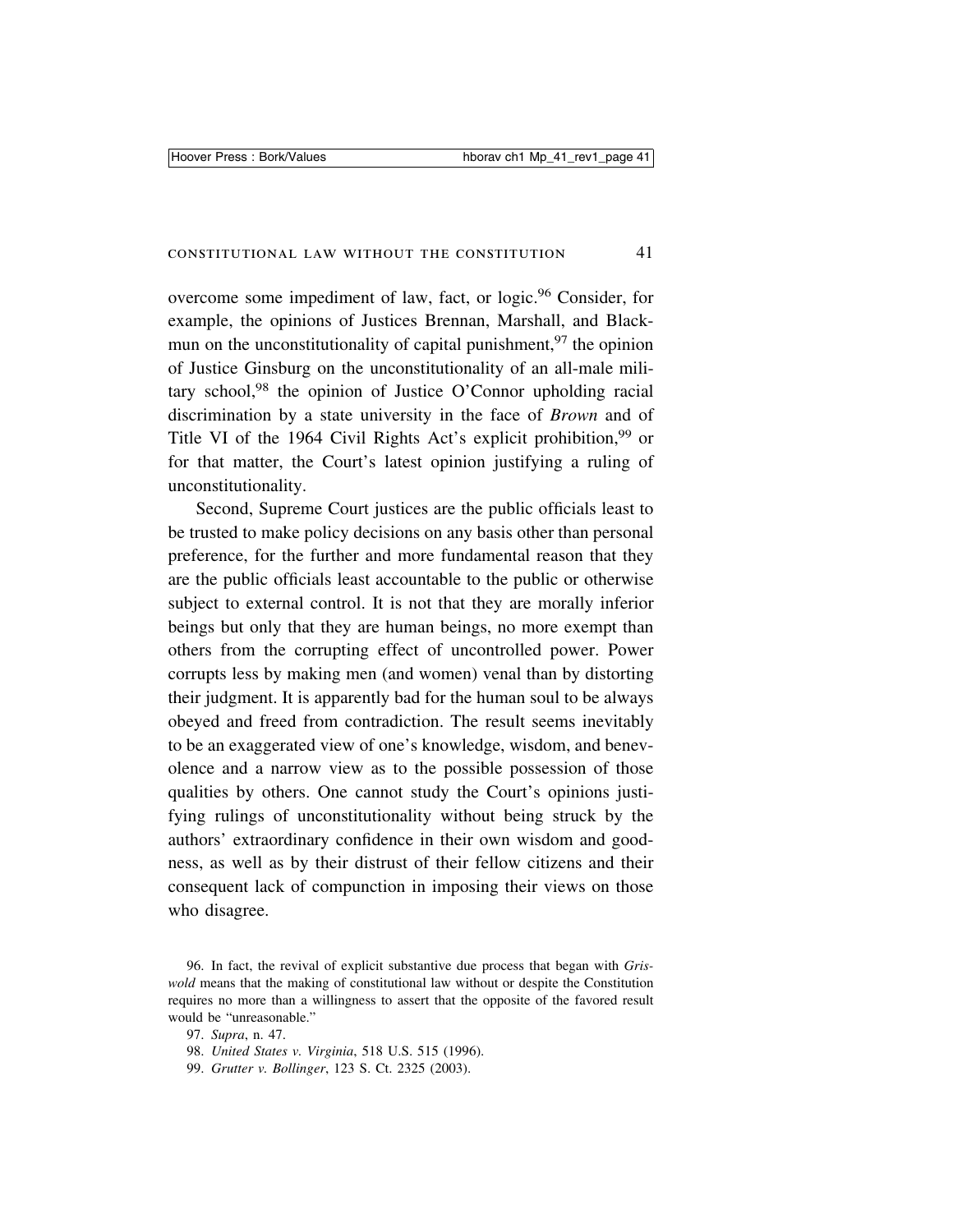overcome some impediment of law, fact, or logic.96 Consider, for example, the opinions of Justices Brennan, Marshall, and Blackmun on the unconstitutionality of capital punishment,  $97$  the opinion of Justice Ginsburg on the unconstitutionality of an all-male military school,98 the opinion of Justice O'Connor upholding racial discrimination by a state university in the face of *Brown* and of Title VI of the 1964 Civil Rights Act's explicit prohibition,<sup>99</sup> or for that matter, the Court's latest opinion justifying a ruling of unconstitutionality.

Second, Supreme Court justices are the public officials least to be trusted to make policy decisions on any basis other than personal preference, for the further and more fundamental reason that they are the public officials least accountable to the public or otherwise subject to external control. It is not that they are morally inferior beings but only that they are human beings, no more exempt than others from the corrupting effect of uncontrolled power. Power corrupts less by making men (and women) venal than by distorting their judgment. It is apparently bad for the human soul to be always obeyed and freed from contradiction. The result seems inevitably to be an exaggerated view of one's knowledge, wisdom, and benevolence and a narrow view as to the possible possession of those qualities by others. One cannot study the Court's opinions justifying rulings of unconstitutionality without being struck by the authors' extraordinary confidence in their own wisdom and goodness, as well as by their distrust of their fellow citizens and their consequent lack of compunction in imposing their views on those who disagree.

<sup>96.</sup> In fact, the revival of explicit substantive due process that began with *Griswold* means that the making of constitutional law without or despite the Constitution requires no more than a willingness to assert that the opposite of the favored result would be "unreasonable."

<sup>97.</sup> *Supra*, n. 47.

<sup>98.</sup> *United States v. Virginia*, 518 U.S. 515 (1996).

<sup>99.</sup> *Grutter v. Bollinger*, 123 S. Ct. 2325 (2003).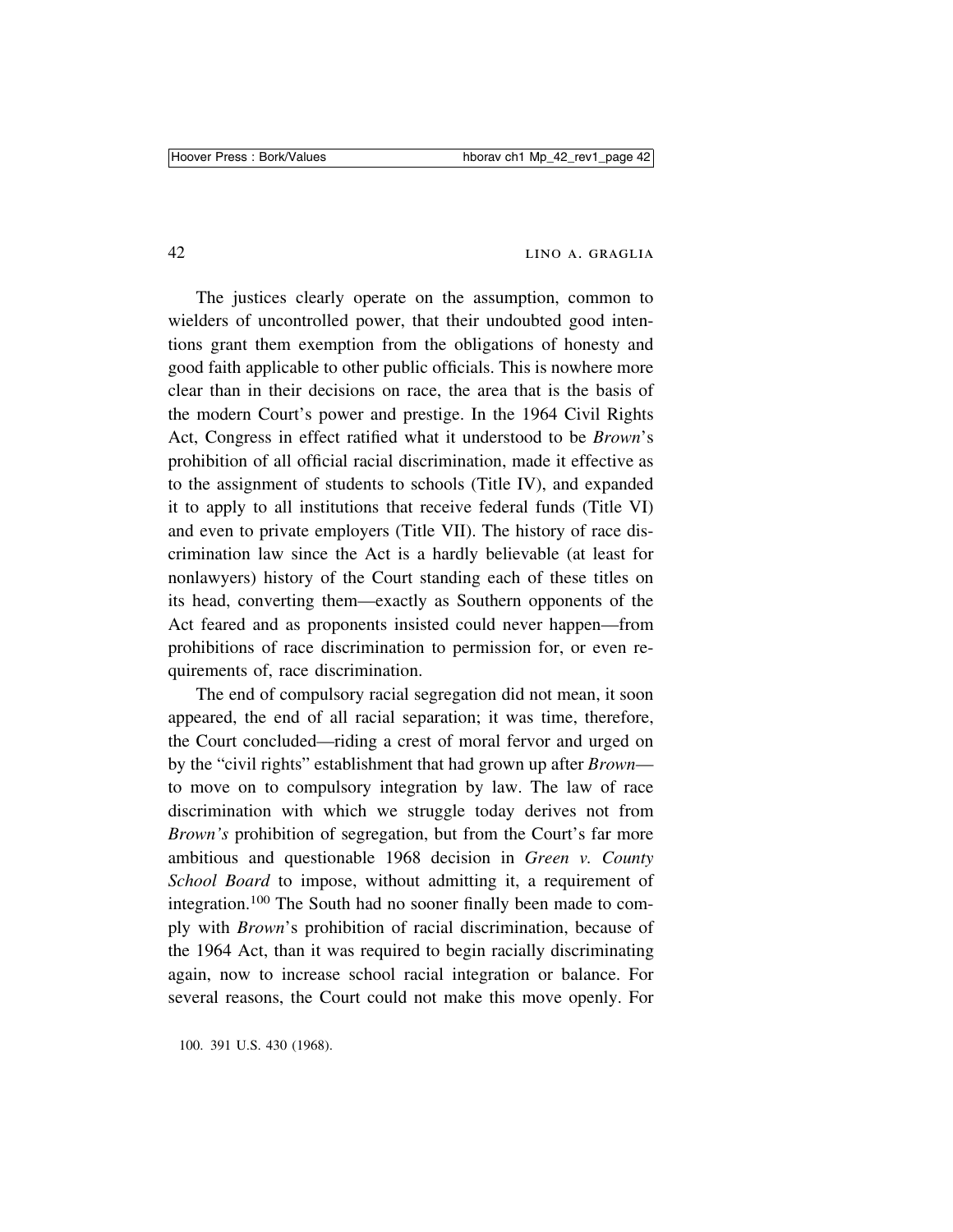The justices clearly operate on the assumption, common to wielders of uncontrolled power, that their undoubted good intentions grant them exemption from the obligations of honesty and good faith applicable to other public officials. This is nowhere more clear than in their decisions on race, the area that is the basis of the modern Court's power and prestige. In the 1964 Civil Rights Act, Congress in effect ratified what it understood to be *Brown*'s prohibition of all official racial discrimination, made it effective as to the assignment of students to schools (Title IV), and expanded it to apply to all institutions that receive federal funds (Title VI) and even to private employers (Title VII). The history of race discrimination law since the Act is a hardly believable (at least for nonlawyers) history of the Court standing each of these titles on its head, converting them—exactly as Southern opponents of the Act feared and as proponents insisted could never happen—from prohibitions of race discrimination to permission for, or even requirements of, race discrimination.

The end of compulsory racial segregation did not mean, it soon appeared, the end of all racial separation; it was time, therefore, the Court concluded—riding a crest of moral fervor and urged on by the "civil rights" establishment that had grown up after *Brown* to move on to compulsory integration by law. The law of race discrimination with which we struggle today derives not from *Brown's* prohibition of segregation, but from the Court's far more ambitious and questionable 1968 decision in *Green v. County School Board* to impose, without admitting it, a requirement of integration.<sup>100</sup> The South had no sooner finally been made to comply with *Brown*'s prohibition of racial discrimination, because of the 1964 Act, than it was required to begin racially discriminating again, now to increase school racial integration or balance. For several reasons, the Court could not make this move openly. For

100. 391 U.S. 430 (1968).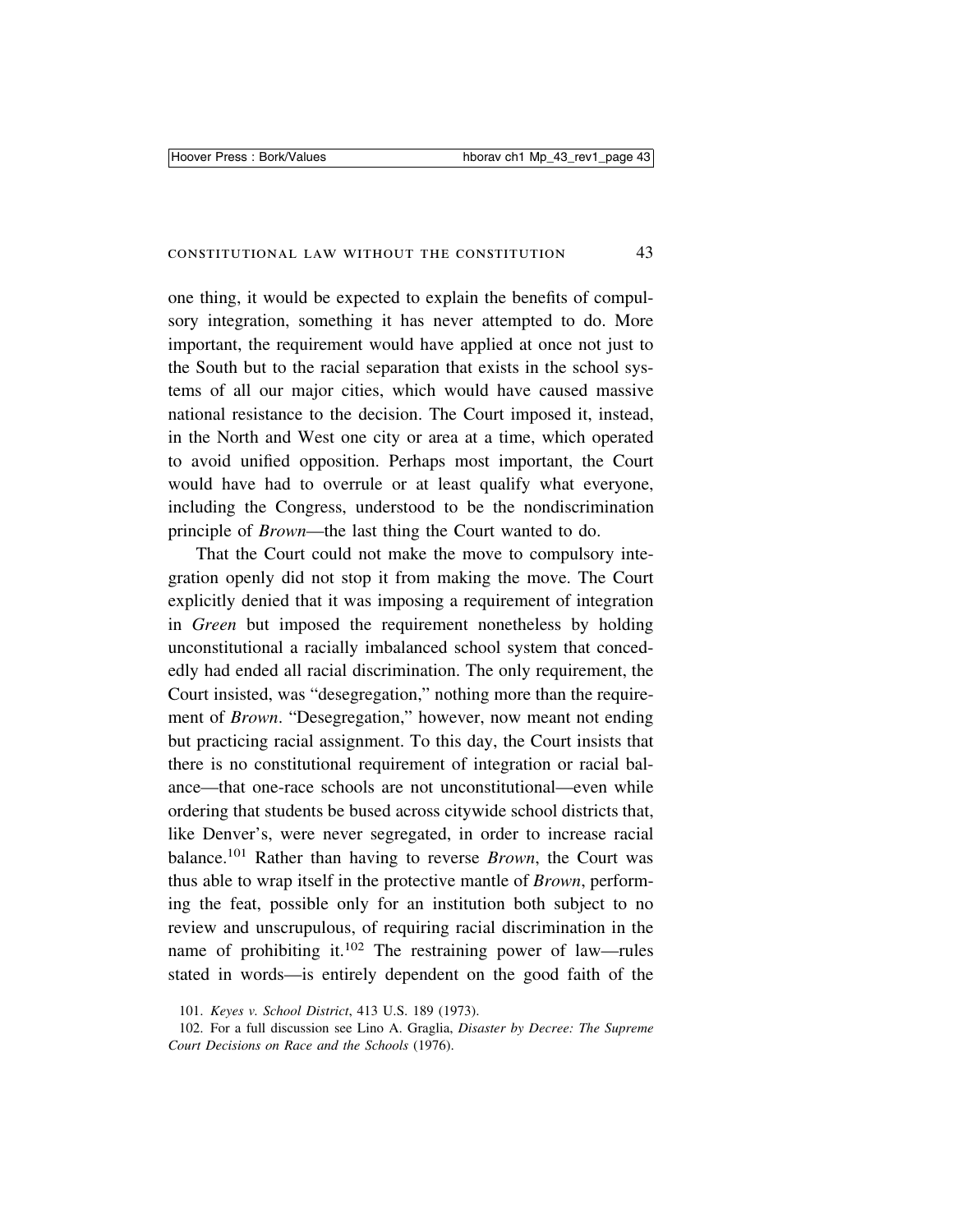one thing, it would be expected to explain the benefits of compulsory integration, something it has never attempted to do. More important, the requirement would have applied at once not just to the South but to the racial separation that exists in the school systems of all our major cities, which would have caused massive national resistance to the decision. The Court imposed it, instead, in the North and West one city or area at a time, which operated to avoid unified opposition. Perhaps most important, the Court would have had to overrule or at least qualify what everyone, including the Congress, understood to be the nondiscrimination principle of *Brown*—the last thing the Court wanted to do.

That the Court could not make the move to compulsory integration openly did not stop it from making the move. The Court explicitly denied that it was imposing a requirement of integration in *Green* but imposed the requirement nonetheless by holding unconstitutional a racially imbalanced school system that concededly had ended all racial discrimination. The only requirement, the Court insisted, was "desegregation," nothing more than the requirement of *Brown*. "Desegregation," however, now meant not ending but practicing racial assignment. To this day, the Court insists that there is no constitutional requirement of integration or racial balance—that one-race schools are not unconstitutional—even while ordering that students be bused across citywide school districts that, like Denver's, were never segregated, in order to increase racial balance.101 Rather than having to reverse *Brown*, the Court was thus able to wrap itself in the protective mantle of *Brown*, performing the feat, possible only for an institution both subject to no review and unscrupulous, of requiring racial discrimination in the name of prohibiting it. $102$  The restraining power of law—rules stated in words—is entirely dependent on the good faith of the

<sup>101.</sup> *Keyes v. School District*, 413 U.S. 189 (1973).

<sup>102.</sup> For a full discussion see Lino A. Graglia, *Disaster by Decree: The Supreme Court Decisions on Race and the Schools* (1976).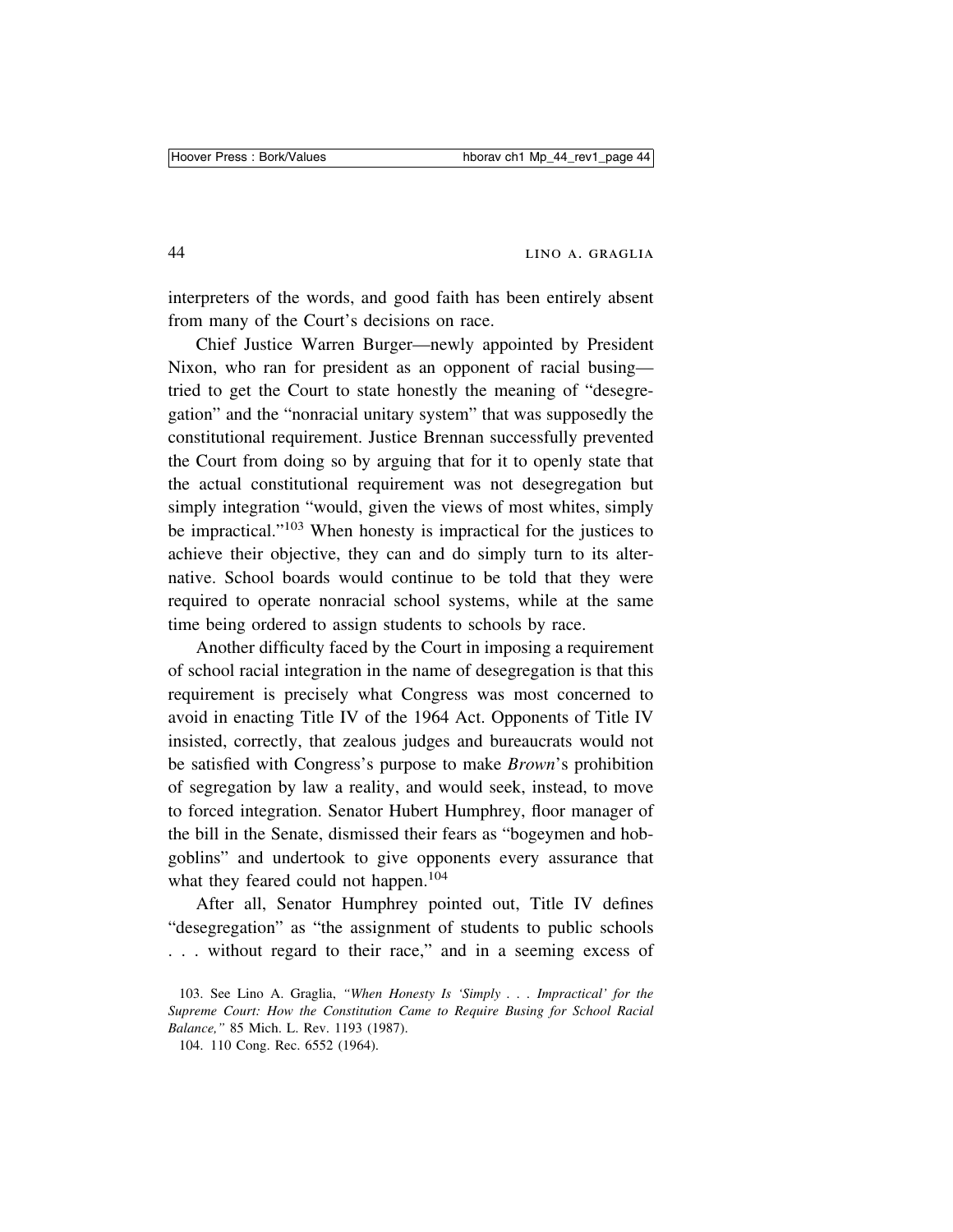interpreters of the words, and good faith has been entirely absent from many of the Court's decisions on race.

Chief Justice Warren Burger—newly appointed by President Nixon, who ran for president as an opponent of racial busing tried to get the Court to state honestly the meaning of "desegregation" and the "nonracial unitary system" that was supposedly the constitutional requirement. Justice Brennan successfully prevented the Court from doing so by arguing that for it to openly state that the actual constitutional requirement was not desegregation but simply integration "would, given the views of most whites, simply be impractical."<sup>103</sup> When honesty is impractical for the justices to achieve their objective, they can and do simply turn to its alternative. School boards would continue to be told that they were required to operate nonracial school systems, while at the same time being ordered to assign students to schools by race.

Another difficulty faced by the Court in imposing a requirement of school racial integration in the name of desegregation is that this requirement is precisely what Congress was most concerned to avoid in enacting Title IV of the 1964 Act. Opponents of Title IV insisted, correctly, that zealous judges and bureaucrats would not be satisfied with Congress's purpose to make *Brown*'s prohibition of segregation by law a reality, and would seek, instead, to move to forced integration. Senator Hubert Humphrey, floor manager of the bill in the Senate, dismissed their fears as "bogeymen and hobgoblins" and undertook to give opponents every assurance that what they feared could not happen.<sup>104</sup>

After all, Senator Humphrey pointed out, Title IV defines "desegregation" as "the assignment of students to public schools . . . without regard to their race," and in a seeming excess of

<sup>103.</sup> See Lino A. Graglia, *"When Honesty Is 'Simply . . . Impractical' for the Supreme Court: How the Constitution Came to Require Busing for School Racial Balance,"* 85 Mich. L. Rev. 1193 (1987). 104. 110 Cong. Rec. 6552 (1964).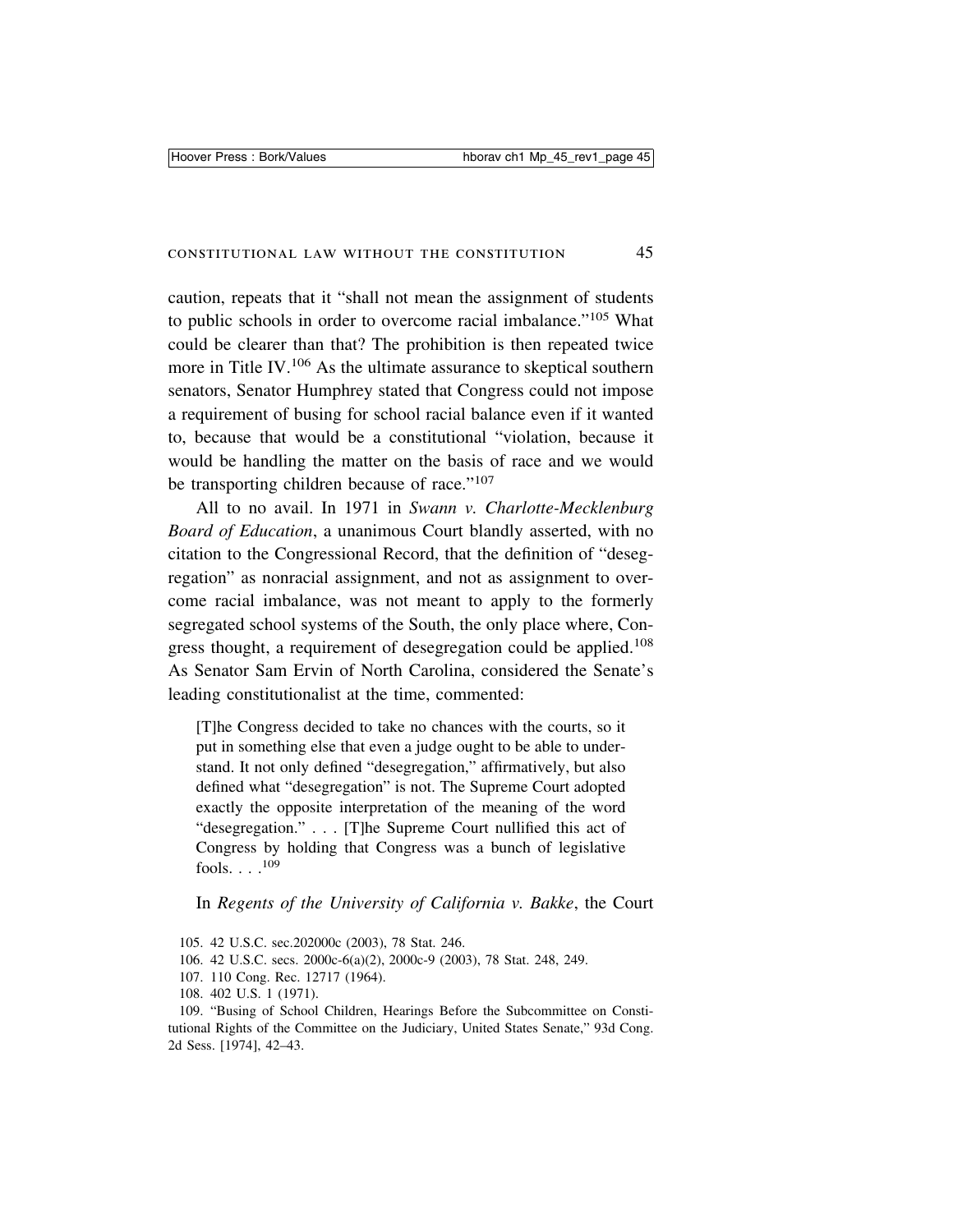caution, repeats that it "shall not mean the assignment of students to public schools in order to overcome racial imbalance."105 What could be clearer than that? The prohibition is then repeated twice more in Title IV.<sup>106</sup> As the ultimate assurance to skeptical southern senators, Senator Humphrey stated that Congress could not impose a requirement of busing for school racial balance even if it wanted to, because that would be a constitutional "violation, because it would be handling the matter on the basis of race and we would be transporting children because of race."107

All to no avail. In 1971 in *Swann v. Charlotte-Mecklenburg Board of Education*, a unanimous Court blandly asserted, with no citation to the Congressional Record, that the definition of "desegregation" as nonracial assignment, and not as assignment to overcome racial imbalance, was not meant to apply to the formerly segregated school systems of the South, the only place where, Congress thought, a requirement of desegregation could be applied.<sup>108</sup> As Senator Sam Ervin of North Carolina, considered the Senate's leading constitutionalist at the time, commented:

[T]he Congress decided to take no chances with the courts, so it put in something else that even a judge ought to be able to understand. It not only defined "desegregation," affirmatively, but also defined what "desegregation" is not. The Supreme Court adopted exactly the opposite interpretation of the meaning of the word "desegregation." . . . [T]he Supreme Court nullified this act of Congress by holding that Congress was a bunch of legislative fools.  $\ldots$ .  $^{109}$ 

#### In *Regents of the University of California v. Bakke*, the Court

- 105. 42 U.S.C. sec.202000c (2003), 78 Stat. 246.
- 106. 42 U.S.C. secs. 2000c-6(a)(2), 2000c-9 (2003), 78 Stat. 248, 249.
- 107. 110 Cong. Rec. 12717 (1964).
- 108. 402 U.S. 1 (1971).

109. "Busing of School Children, Hearings Before the Subcommittee on Constitutional Rights of the Committee on the Judiciary, United States Senate," 93d Cong. 2d Sess. [1974], 42–43.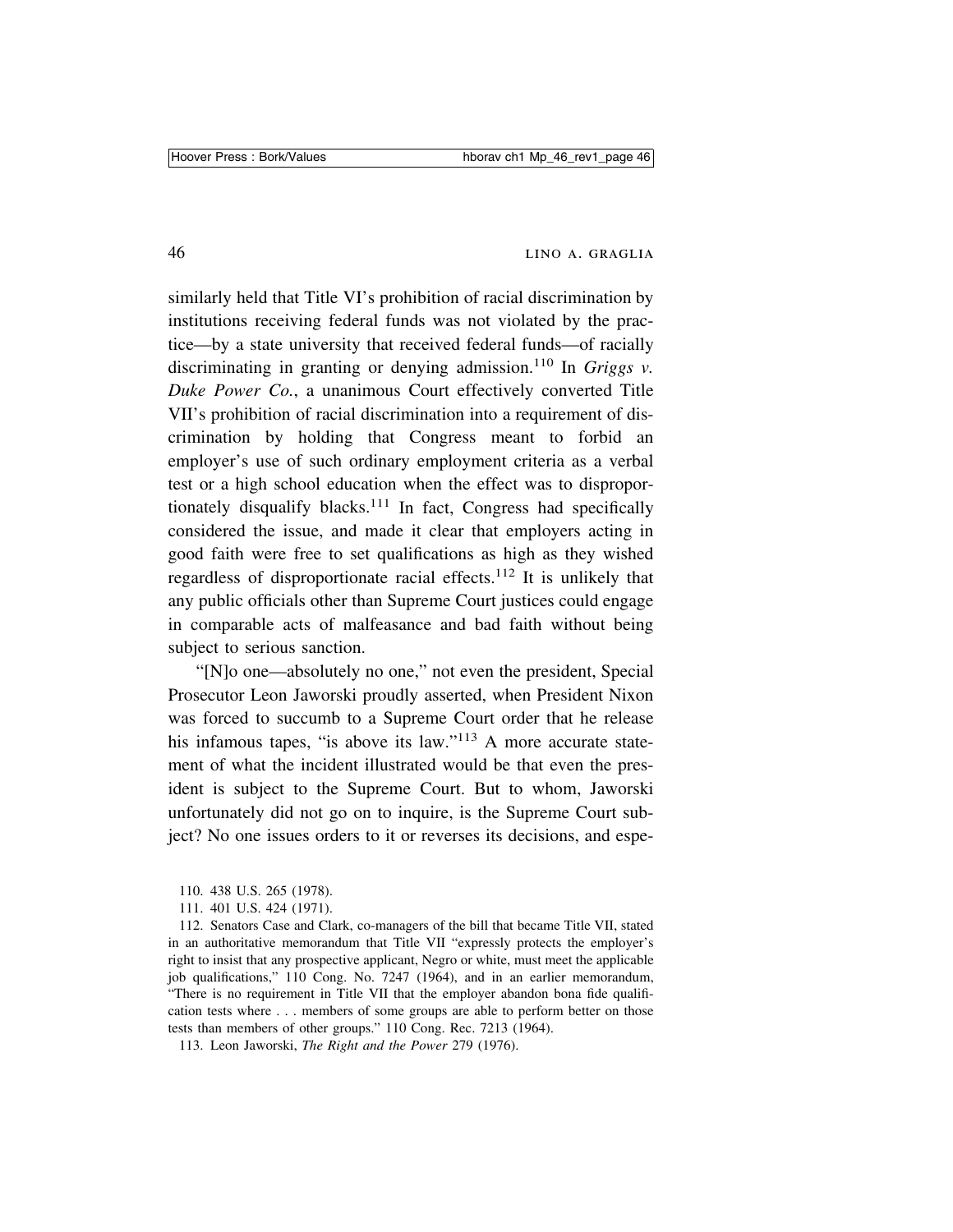similarly held that Title VI's prohibition of racial discrimination by institutions receiving federal funds was not violated by the practice—by a state university that received federal funds—of racially discriminating in granting or denying admission.<sup>110</sup> In *Griggs v. Duke Power Co.*, a unanimous Court effectively converted Title VII's prohibition of racial discrimination into a requirement of discrimination by holding that Congress meant to forbid an employer's use of such ordinary employment criteria as a verbal test or a high school education when the effect was to disproportionately disqualify blacks.<sup>111</sup> In fact, Congress had specifically considered the issue, and made it clear that employers acting in good faith were free to set qualifications as high as they wished regardless of disproportionate racial effects.112 It is unlikely that any public officials other than Supreme Court justices could engage in comparable acts of malfeasance and bad faith without being subject to serious sanction.

"[N]o one—absolutely no one," not even the president, Special Prosecutor Leon Jaworski proudly asserted, when President Nixon was forced to succumb to a Supreme Court order that he release his infamous tapes, "is above its law."<sup>113</sup> A more accurate statement of what the incident illustrated would be that even the president is subject to the Supreme Court. But to whom, Jaworski unfortunately did not go on to inquire, is the Supreme Court subject? No one issues orders to it or reverses its decisions, and espe-

112. Senators Case and Clark, co-managers of the bill that became Title VII, stated in an authoritative memorandum that Title VII "expressly protects the employer's right to insist that any prospective applicant, Negro or white, must meet the applicable job qualifications," 110 Cong. No. 7247 (1964), and in an earlier memorandum, "There is no requirement in Title VII that the employer abandon bona fide qualification tests where . . . members of some groups are able to perform better on those tests than members of other groups." 110 Cong. Rec. 7213 (1964).

113. Leon Jaworski, *The Right and the Power* 279 (1976).

<sup>110. 438</sup> U.S. 265 (1978).

<sup>111. 401</sup> U.S. 424 (1971).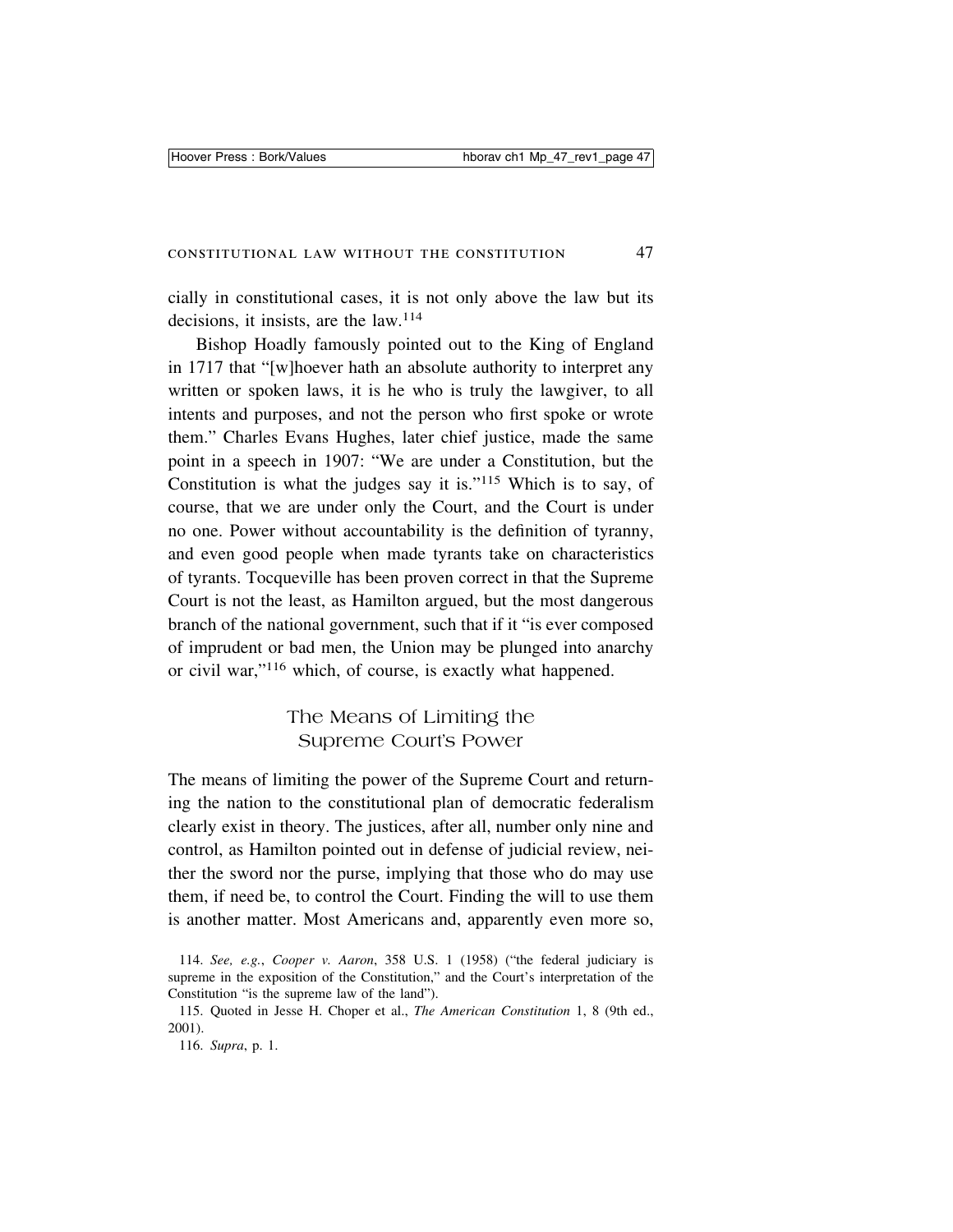cially in constitutional cases, it is not only above the law but its decisions, it insists, are the law.<sup>114</sup>

Bishop Hoadly famously pointed out to the King of England in 1717 that "[w]hoever hath an absolute authority to interpret any written or spoken laws, it is he who is truly the lawgiver, to all intents and purposes, and not the person who first spoke or wrote them." Charles Evans Hughes, later chief justice, made the same point in a speech in 1907: "We are under a Constitution, but the Constitution is what the judges say it is."115 Which is to say, of course, that we are under only the Court, and the Court is under no one. Power without accountability is the definition of tyranny, and even good people when made tyrants take on characteristics of tyrants. Tocqueville has been proven correct in that the Supreme Court is not the least, as Hamilton argued, but the most dangerous branch of the national government, such that if it "is ever composed of imprudent or bad men, the Union may be plunged into anarchy or civil war,"116 which, of course, is exactly what happened.

## The Means of Limiting the Supreme Court's Power

The means of limiting the power of the Supreme Court and returning the nation to the constitutional plan of democratic federalism clearly exist in theory. The justices, after all, number only nine and control, as Hamilton pointed out in defense of judicial review, neither the sword nor the purse, implying that those who do may use them, if need be, to control the Court. Finding the will to use them is another matter. Most Americans and, apparently even more so,

<sup>114.</sup> *See, e.g.*, *Cooper v. Aaron*, 358 U.S. 1 (1958) ("the federal judiciary is supreme in the exposition of the Constitution," and the Court's interpretation of the Constitution "is the supreme law of the land").

<sup>115.</sup> Quoted in Jesse H. Choper et al., *The American Constitution* 1, 8 (9th ed., 2001).

<sup>116.</sup> *Supra*, p. 1.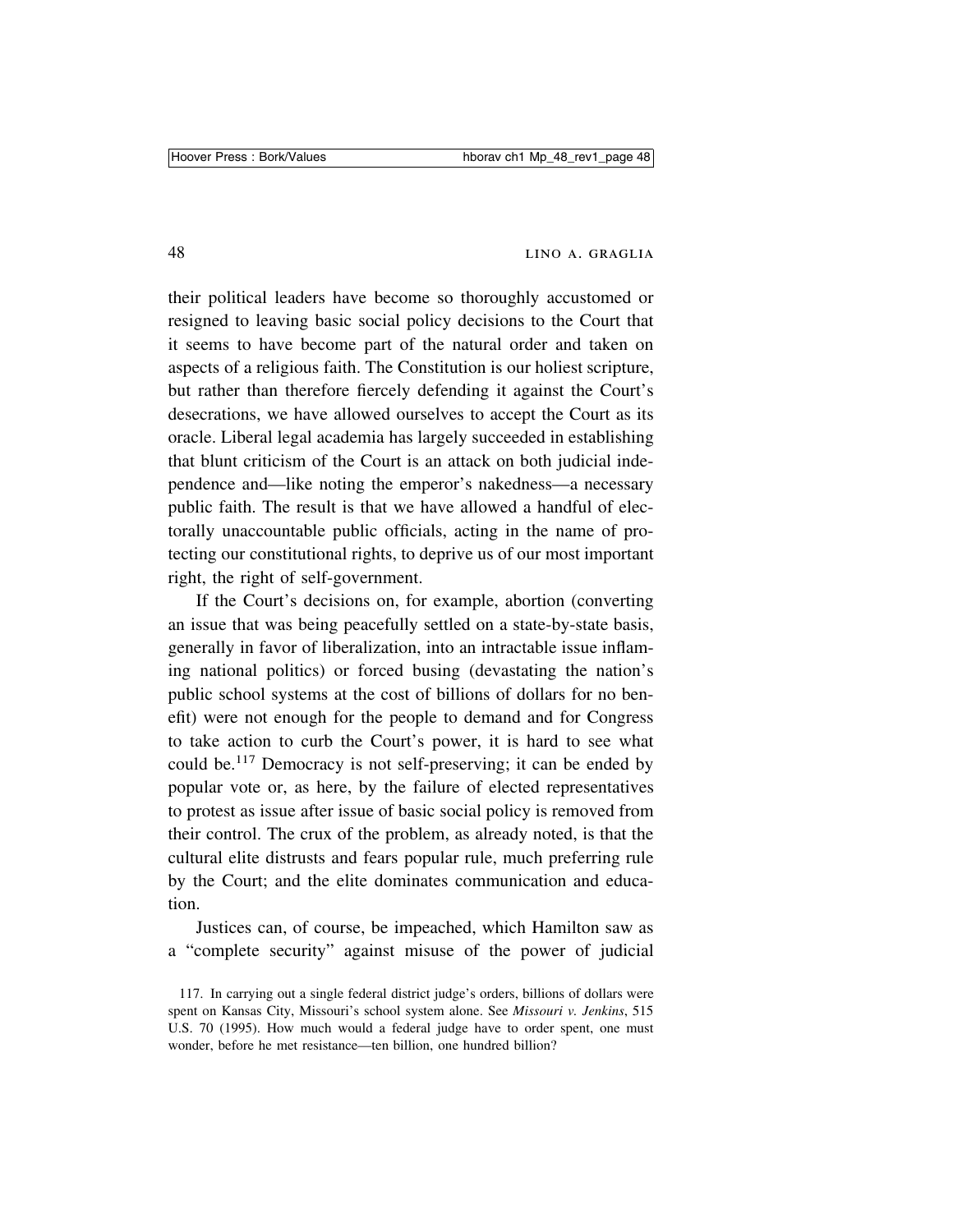#### 48 lino a. graglia

their political leaders have become so thoroughly accustomed or resigned to leaving basic social policy decisions to the Court that it seems to have become part of the natural order and taken on aspects of a religious faith. The Constitution is our holiest scripture, but rather than therefore fiercely defending it against the Court's desecrations, we have allowed ourselves to accept the Court as its oracle. Liberal legal academia has largely succeeded in establishing that blunt criticism of the Court is an attack on both judicial independence and—like noting the emperor's nakedness—a necessary public faith. The result is that we have allowed a handful of electorally unaccountable public officials, acting in the name of protecting our constitutional rights, to deprive us of our most important right, the right of self-government.

If the Court's decisions on, for example, abortion (converting an issue that was being peacefully settled on a state-by-state basis, generally in favor of liberalization, into an intractable issue inflaming national politics) or forced busing (devastating the nation's public school systems at the cost of billions of dollars for no benefit) were not enough for the people to demand and for Congress to take action to curb the Court's power, it is hard to see what could be.117 Democracy is not self-preserving; it can be ended by popular vote or, as here, by the failure of elected representatives to protest as issue after issue of basic social policy is removed from their control. The crux of the problem, as already noted, is that the cultural elite distrusts and fears popular rule, much preferring rule by the Court; and the elite dominates communication and education.

Justices can, of course, be impeached, which Hamilton saw as a "complete security" against misuse of the power of judicial

<sup>117.</sup> In carrying out a single federal district judge's orders, billions of dollars were spent on Kansas City, Missouri's school system alone. See *Missouri v. Jenkins*, 515 U.S. 70 (1995). How much would a federal judge have to order spent, one must wonder, before he met resistance—ten billion, one hundred billion?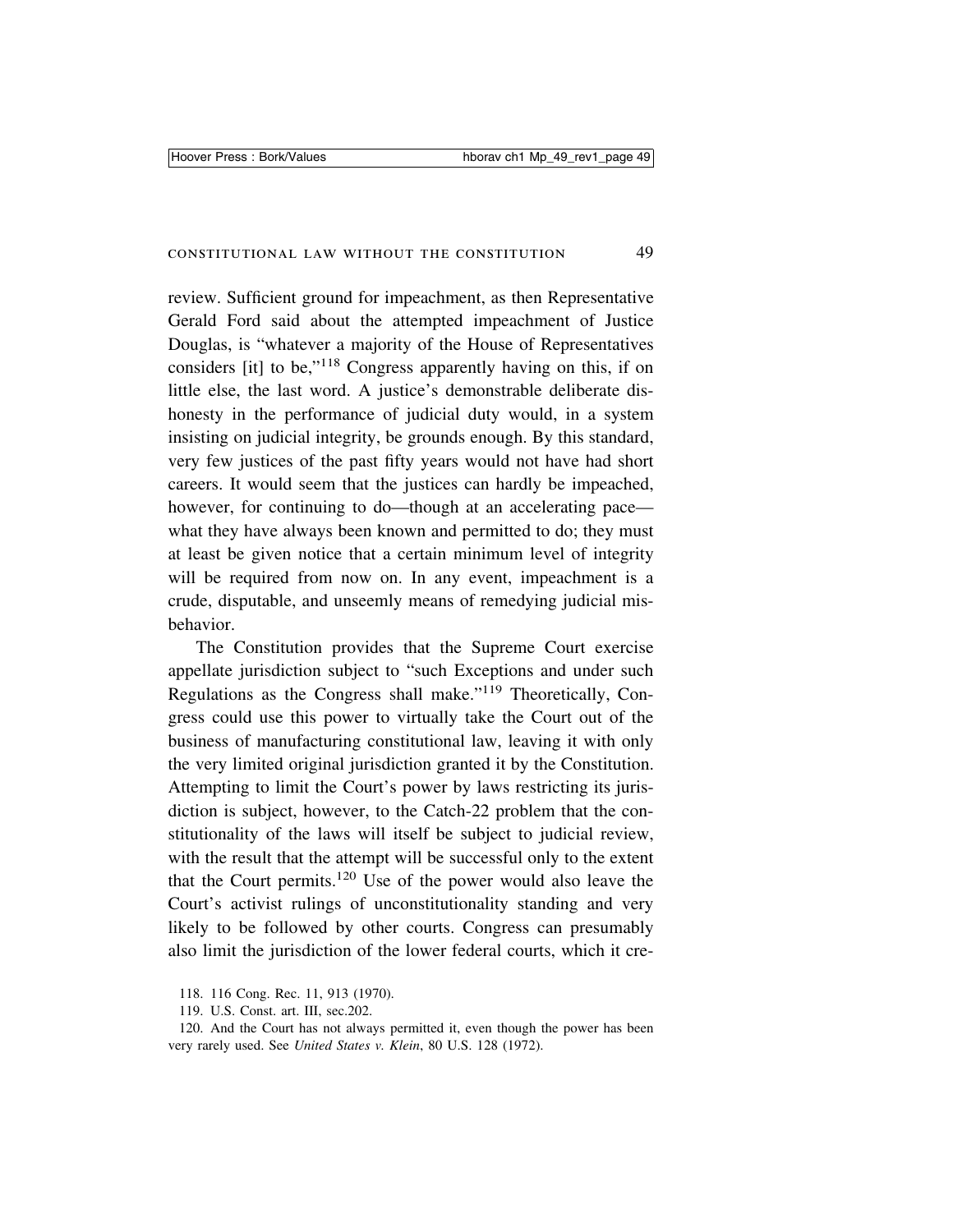review. Sufficient ground for impeachment, as then Representative Gerald Ford said about the attempted impeachment of Justice Douglas, is "whatever a majority of the House of Representatives considers [it] to be,"118 Congress apparently having on this, if on little else, the last word. A justice's demonstrable deliberate dishonesty in the performance of judicial duty would, in a system insisting on judicial integrity, be grounds enough. By this standard, very few justices of the past fifty years would not have had short careers. It would seem that the justices can hardly be impeached, however, for continuing to do—though at an accelerating pace what they have always been known and permitted to do; they must at least be given notice that a certain minimum level of integrity will be required from now on. In any event, impeachment is a crude, disputable, and unseemly means of remedying judicial misbehavior.

The Constitution provides that the Supreme Court exercise appellate jurisdiction subject to "such Exceptions and under such Regulations as the Congress shall make."119 Theoretically, Congress could use this power to virtually take the Court out of the business of manufacturing constitutional law, leaving it with only the very limited original jurisdiction granted it by the Constitution. Attempting to limit the Court's power by laws restricting its jurisdiction is subject, however, to the Catch-22 problem that the constitutionality of the laws will itself be subject to judicial review, with the result that the attempt will be successful only to the extent that the Court permits.<sup>120</sup> Use of the power would also leave the Court's activist rulings of unconstitutionality standing and very likely to be followed by other courts. Congress can presumably also limit the jurisdiction of the lower federal courts, which it cre-

<sup>118. 116</sup> Cong. Rec. 11, 913 (1970).

<sup>119.</sup> U.S. Const. art. III, sec.202.

<sup>120.</sup> And the Court has not always permitted it, even though the power has been very rarely used. See *United States v. Klein*, 80 U.S. 128 (1972).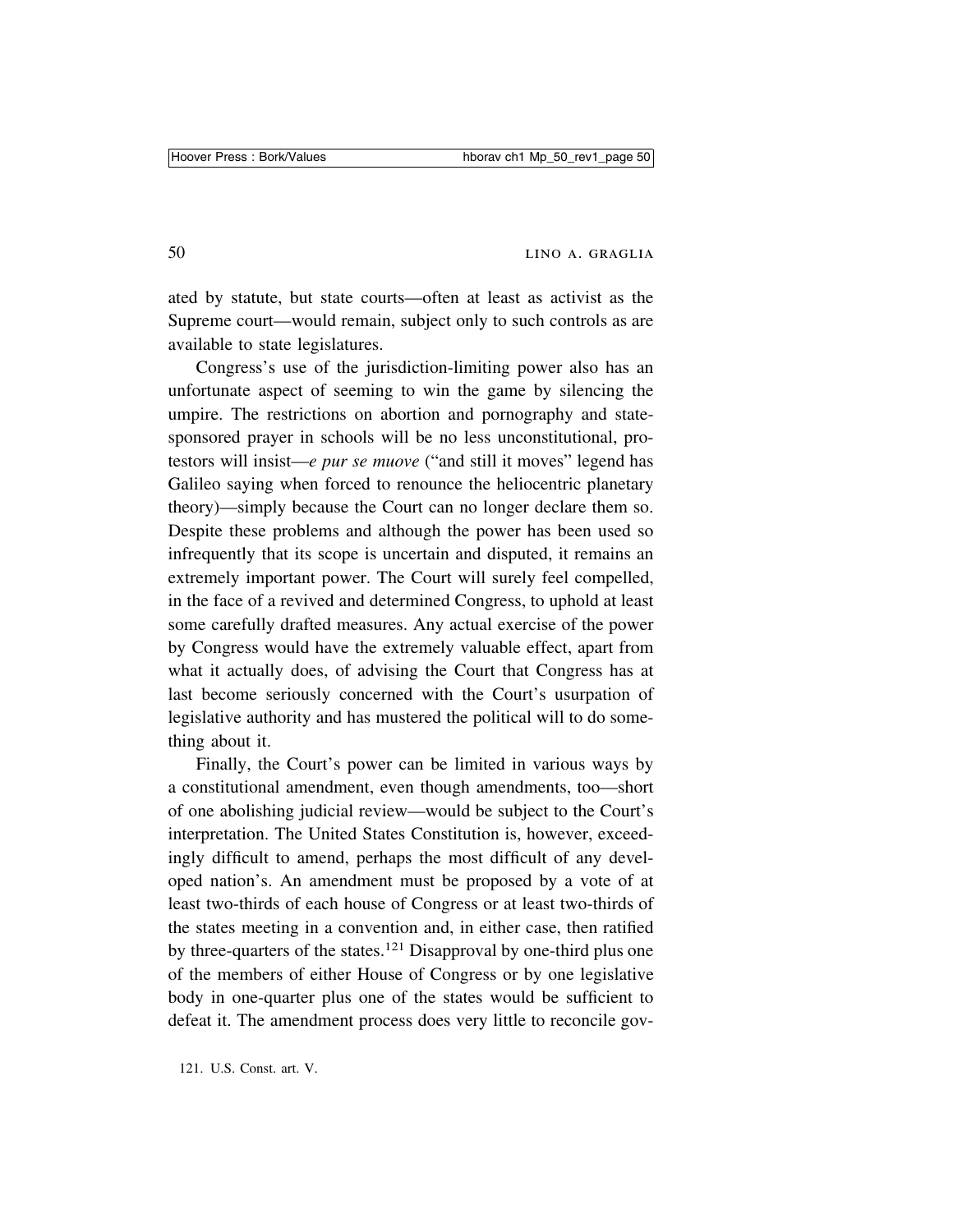ated by statute, but state courts—often at least as activist as the Supreme court—would remain, subject only to such controls as are available to state legislatures.

Congress's use of the jurisdiction-limiting power also has an unfortunate aspect of seeming to win the game by silencing the umpire. The restrictions on abortion and pornography and statesponsored prayer in schools will be no less unconstitutional, protestors will insist—*e pur se muove* ("and still it moves" legend has Galileo saying when forced to renounce the heliocentric planetary theory)—simply because the Court can no longer declare them so. Despite these problems and although the power has been used so infrequently that its scope is uncertain and disputed, it remains an extremely important power. The Court will surely feel compelled, in the face of a revived and determined Congress, to uphold at least some carefully drafted measures. Any actual exercise of the power by Congress would have the extremely valuable effect, apart from what it actually does, of advising the Court that Congress has at last become seriously concerned with the Court's usurpation of legislative authority and has mustered the political will to do something about it.

Finally, the Court's power can be limited in various ways by a constitutional amendment, even though amendments, too—short of one abolishing judicial review—would be subject to the Court's interpretation. The United States Constitution is, however, exceedingly difficult to amend, perhaps the most difficult of any developed nation's. An amendment must be proposed by a vote of at least two-thirds of each house of Congress or at least two-thirds of the states meeting in a convention and, in either case, then ratified by three-quarters of the states.<sup>121</sup> Disapproval by one-third plus one of the members of either House of Congress or by one legislative body in one-quarter plus one of the states would be sufficient to defeat it. The amendment process does very little to reconcile gov-

121. U.S. Const. art. V.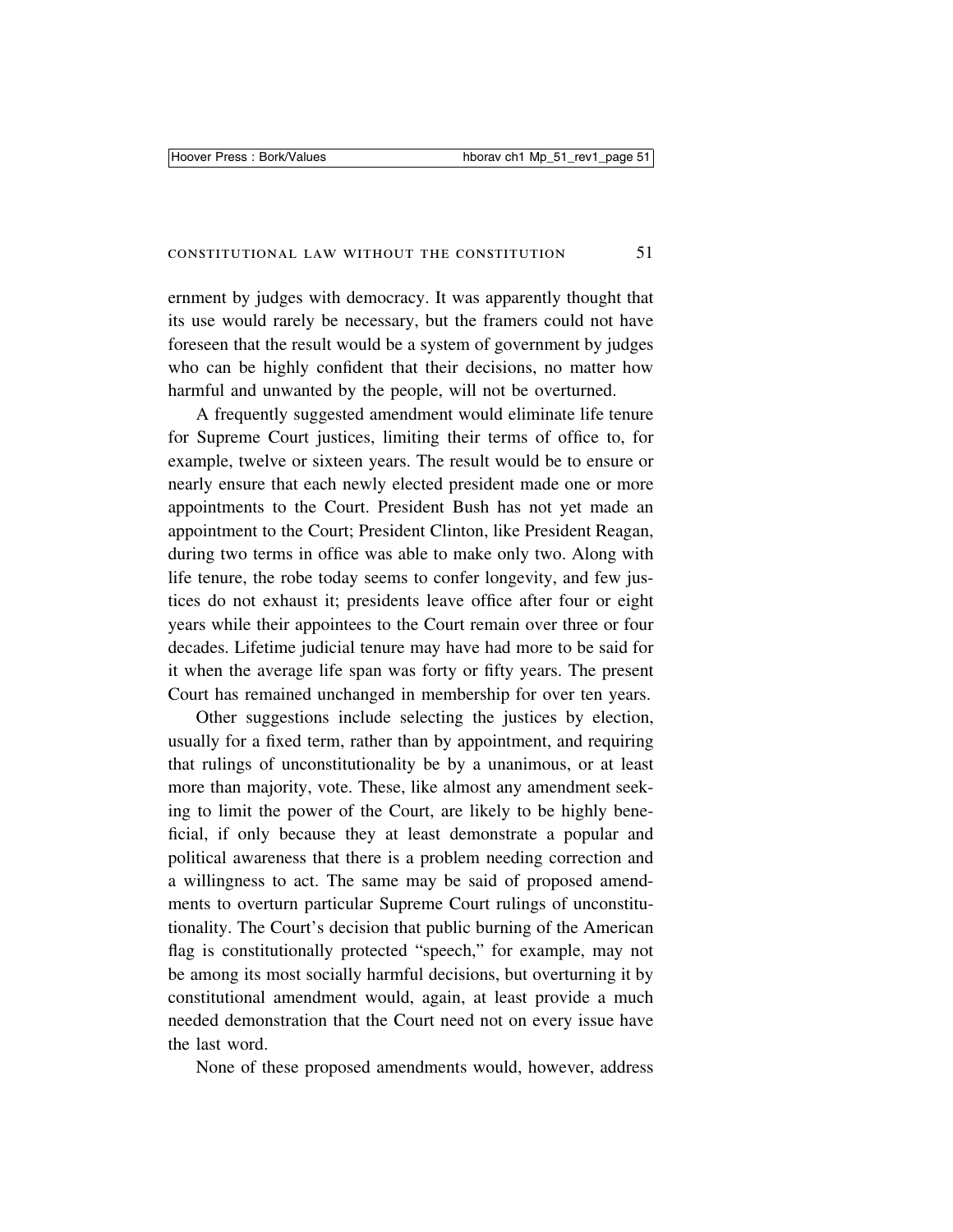ernment by judges with democracy. It was apparently thought that its use would rarely be necessary, but the framers could not have foreseen that the result would be a system of government by judges who can be highly confident that their decisions, no matter how harmful and unwanted by the people, will not be overturned.

A frequently suggested amendment would eliminate life tenure for Supreme Court justices, limiting their terms of office to, for example, twelve or sixteen years. The result would be to ensure or nearly ensure that each newly elected president made one or more appointments to the Court. President Bush has not yet made an appointment to the Court; President Clinton, like President Reagan, during two terms in office was able to make only two. Along with life tenure, the robe today seems to confer longevity, and few justices do not exhaust it; presidents leave office after four or eight years while their appointees to the Court remain over three or four decades. Lifetime judicial tenure may have had more to be said for it when the average life span was forty or fifty years. The present Court has remained unchanged in membership for over ten years.

Other suggestions include selecting the justices by election, usually for a fixed term, rather than by appointment, and requiring that rulings of unconstitutionality be by a unanimous, or at least more than majority, vote. These, like almost any amendment seeking to limit the power of the Court, are likely to be highly beneficial, if only because they at least demonstrate a popular and political awareness that there is a problem needing correction and a willingness to act. The same may be said of proposed amendments to overturn particular Supreme Court rulings of unconstitutionality. The Court's decision that public burning of the American flag is constitutionally protected "speech," for example, may not be among its most socially harmful decisions, but overturning it by constitutional amendment would, again, at least provide a much needed demonstration that the Court need not on every issue have the last word.

None of these proposed amendments would, however, address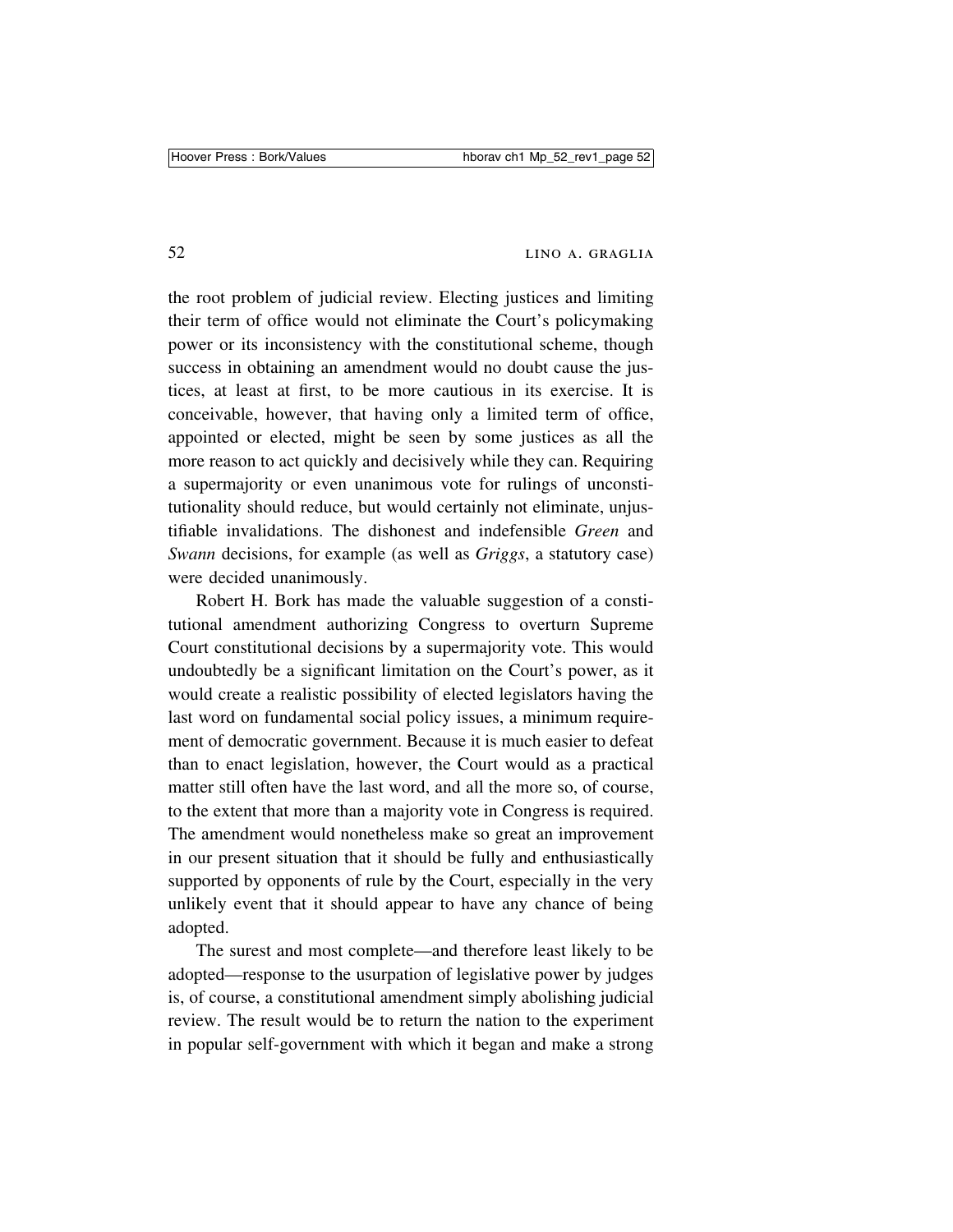the root problem of judicial review. Electing justices and limiting their term of office would not eliminate the Court's policymaking power or its inconsistency with the constitutional scheme, though success in obtaining an amendment would no doubt cause the justices, at least at first, to be more cautious in its exercise. It is conceivable, however, that having only a limited term of office, appointed or elected, might be seen by some justices as all the more reason to act quickly and decisively while they can. Requiring a supermajority or even unanimous vote for rulings of unconstitutionality should reduce, but would certainly not eliminate, unjustifiable invalidations. The dishonest and indefensible *Green* and *Swann* decisions, for example (as well as *Griggs*, a statutory case) were decided unanimously.

Robert H. Bork has made the valuable suggestion of a constitutional amendment authorizing Congress to overturn Supreme Court constitutional decisions by a supermajority vote. This would undoubtedly be a significant limitation on the Court's power, as it would create a realistic possibility of elected legislators having the last word on fundamental social policy issues, a minimum requirement of democratic government. Because it is much easier to defeat than to enact legislation, however, the Court would as a practical matter still often have the last word, and all the more so, of course, to the extent that more than a majority vote in Congress is required. The amendment would nonetheless make so great an improvement in our present situation that it should be fully and enthusiastically supported by opponents of rule by the Court, especially in the very unlikely event that it should appear to have any chance of being adopted.

The surest and most complete—and therefore least likely to be adopted—response to the usurpation of legislative power by judges is, of course, a constitutional amendment simply abolishing judicial review. The result would be to return the nation to the experiment in popular self-government with which it began and make a strong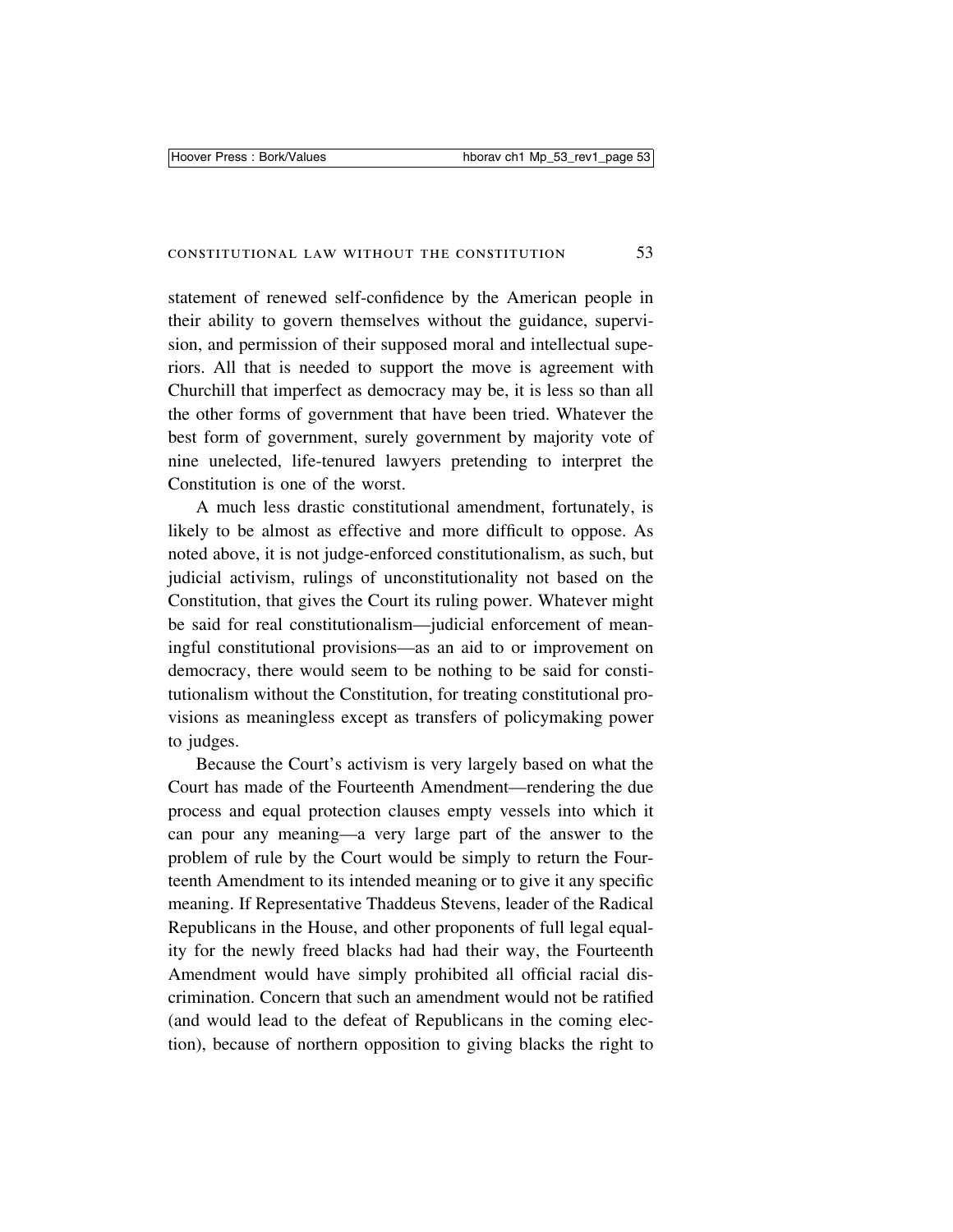statement of renewed self-confidence by the American people in their ability to govern themselves without the guidance, supervision, and permission of their supposed moral and intellectual superiors. All that is needed to support the move is agreement with Churchill that imperfect as democracy may be, it is less so than all the other forms of government that have been tried. Whatever the best form of government, surely government by majority vote of nine unelected, life-tenured lawyers pretending to interpret the Constitution is one of the worst.

A much less drastic constitutional amendment, fortunately, is likely to be almost as effective and more difficult to oppose. As noted above, it is not judge-enforced constitutionalism, as such, but judicial activism, rulings of unconstitutionality not based on the Constitution, that gives the Court its ruling power. Whatever might be said for real constitutionalism—judicial enforcement of meaningful constitutional provisions—as an aid to or improvement on democracy, there would seem to be nothing to be said for constitutionalism without the Constitution, for treating constitutional provisions as meaningless except as transfers of policymaking power to judges.

Because the Court's activism is very largely based on what the Court has made of the Fourteenth Amendment—rendering the due process and equal protection clauses empty vessels into which it can pour any meaning—a very large part of the answer to the problem of rule by the Court would be simply to return the Fourteenth Amendment to its intended meaning or to give it any specific meaning. If Representative Thaddeus Stevens, leader of the Radical Republicans in the House, and other proponents of full legal equality for the newly freed blacks had had their way, the Fourteenth Amendment would have simply prohibited all official racial discrimination. Concern that such an amendment would not be ratified (and would lead to the defeat of Republicans in the coming election), because of northern opposition to giving blacks the right to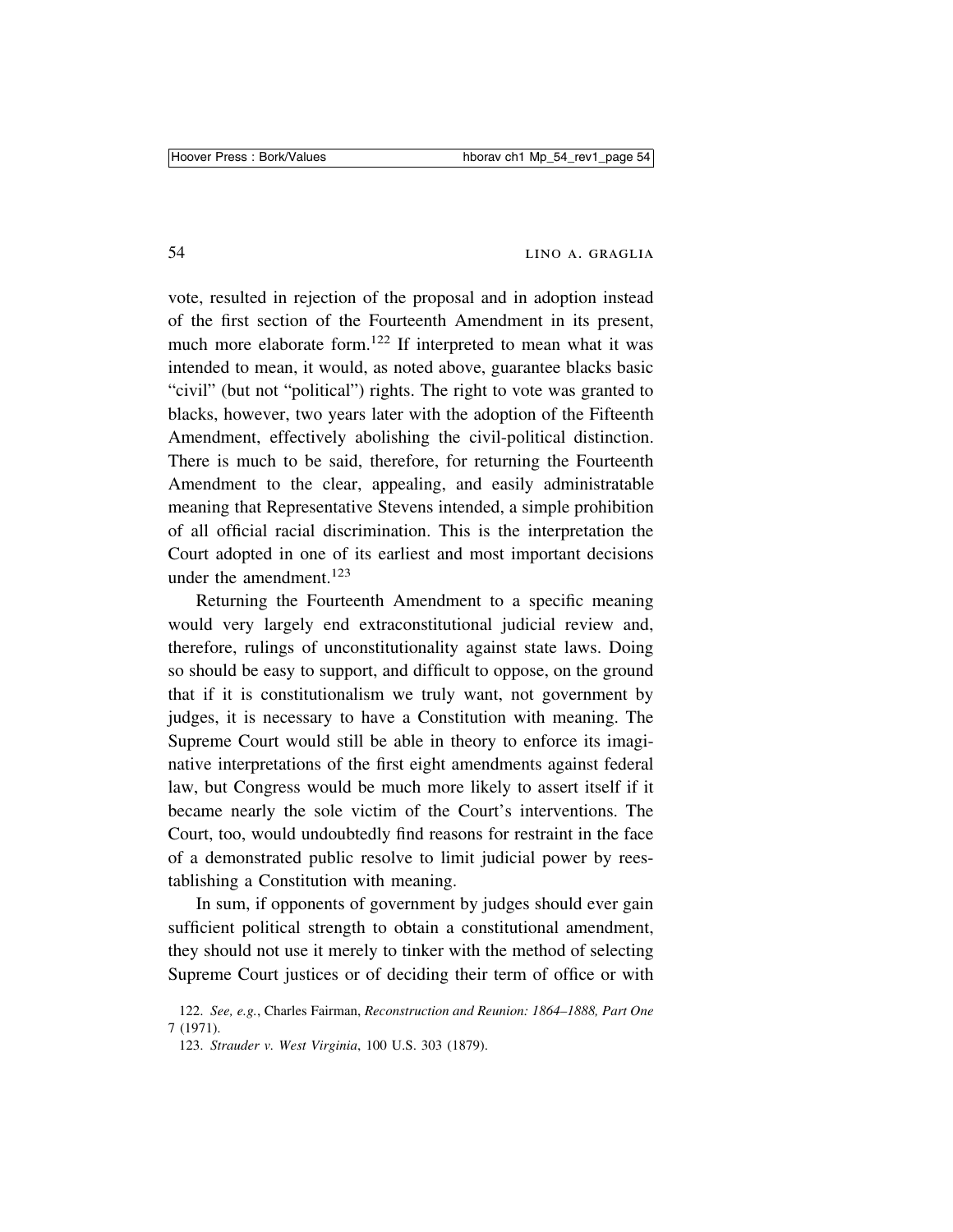vote, resulted in rejection of the proposal and in adoption instead of the first section of the Fourteenth Amendment in its present, much more elaborate form.<sup>122</sup> If interpreted to mean what it was intended to mean, it would, as noted above, guarantee blacks basic "civil" (but not "political") rights. The right to vote was granted to blacks, however, two years later with the adoption of the Fifteenth Amendment, effectively abolishing the civil-political distinction. There is much to be said, therefore, for returning the Fourteenth Amendment to the clear, appealing, and easily administratable meaning that Representative Stevens intended, a simple prohibition of all official racial discrimination. This is the interpretation the Court adopted in one of its earliest and most important decisions under the amendment.<sup>123</sup>

Returning the Fourteenth Amendment to a specific meaning would very largely end extraconstitutional judicial review and, therefore, rulings of unconstitutionality against state laws. Doing so should be easy to support, and difficult to oppose, on the ground that if it is constitutionalism we truly want, not government by judges, it is necessary to have a Constitution with meaning. The Supreme Court would still be able in theory to enforce its imaginative interpretations of the first eight amendments against federal law, but Congress would be much more likely to assert itself if it became nearly the sole victim of the Court's interventions. The Court, too, would undoubtedly find reasons for restraint in the face of a demonstrated public resolve to limit judicial power by reestablishing a Constitution with meaning.

In sum, if opponents of government by judges should ever gain sufficient political strength to obtain a constitutional amendment, they should not use it merely to tinker with the method of selecting Supreme Court justices or of deciding their term of office or with

<sup>122.</sup> *See, e.g.*, Charles Fairman, *Reconstruction and Reunion: 1864–1888, Part One* 7 (1971).

<sup>123.</sup> *Strauder v. West Virginia*, 100 U.S. 303 (1879).